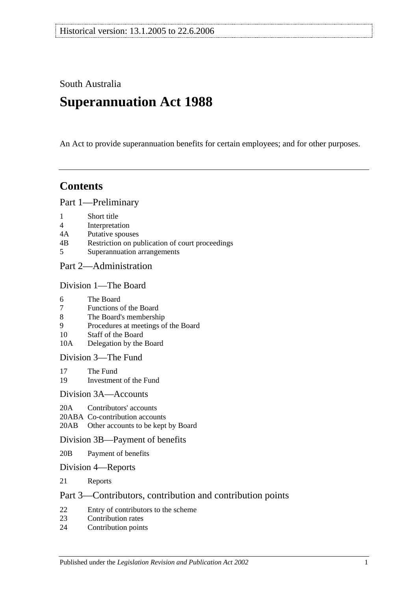South Australia

# **Superannuation Act 1988**

An Act to provide superannuation benefits for certain employees; and for other purposes.

## **Contents**

[Part 1—Preliminary](#page-4-0)

- 1 [Short title](#page-4-1)
- 4 [Interpretation](#page-4-2)
- 4A [Putative spouses](#page-11-0)
- 4B [Restriction on publication of court proceedings](#page-12-0)
- 5 [Superannuation arrangements](#page-12-1)

## [Part 2—Administration](#page-16-0)

#### [Division 1—The Board](#page-16-1)

- 6 [The Board](#page-16-2)
- 7 [Functions of the Board](#page-16-3)
- 8 [The Board's membership](#page-16-4)
- 9 [Procedures at meetings of the Board](#page-17-0)
- 10 [Staff of the Board](#page-17-1)
- 10A [Delegation by the Board](#page-17-2)

[Division 3—The Fund](#page-18-0)

- 17 [The Fund](#page-18-1)<br>19 Investmen
- [Investment of the Fund](#page-19-0)

#### [Division 3A—Accounts](#page-19-1)

- 20A [Contributors' accounts](#page-19-2)
- 20ABA [Co-contribution accounts](#page-20-0)
- 20AB [Other accounts to be kept by Board](#page-20-1)

#### [Division 3B—Payment of benefits](#page-21-0)

- 20B [Payment of benefits](#page-21-1)
- [Division 4—Reports](#page-21-2)
- 21 [Reports](#page-21-3)

## [Part 3—Contributors, contribution and contribution points](#page-22-0)

- 22 [Entry of contributors to the scheme](#page-22-1)<br>23 Contribution rates
- [Contribution rates](#page-24-0)
- 24 [Contribution points](#page-26-0)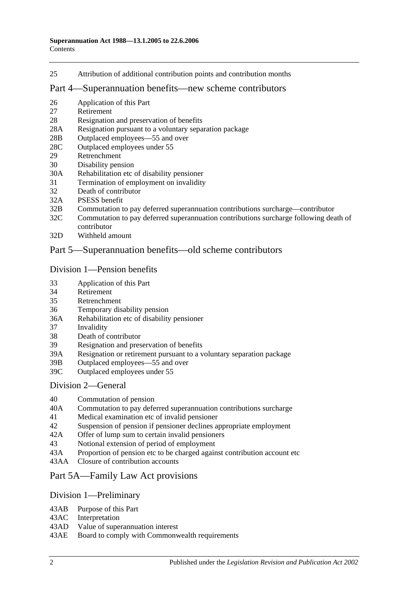25 [Attribution of additional contribution points and contribution months](#page-27-0)

#### [Part 4—Superannuation benefits—new scheme contributors](#page-28-0)

- 26 [Application of this Part](#page-28-1)
- 27 [Retirement](#page-28-2)
- 28 [Resignation and preservation of benefits](#page-29-0)
- 28A [Resignation pursuant to a voluntary separation package](#page-32-0)
- 28B [Outplaced employees—55 and over](#page-33-0)
- 28C [Outplaced employees under 55](#page-34-0)
- 29 [Retrenchment](#page-34-1)
- 30 [Disability pension](#page-35-0)
- 30A [Rehabilitation etc of disability pensioner](#page-36-0)
- 31 [Termination of employment on invalidity](#page-37-0)
- 32 [Death of contributor](#page-40-0)
- 32A [PSESS benefit](#page-45-0)
- 32B [Commutation to pay deferred superannuation contributions surcharge—contributor](#page-46-0)
- 32C [Commutation to pay deferred superannuation contributions surcharge following death of](#page-47-0)  [contributor](#page-47-0)
- 32D [Withheld amount](#page-49-0)

## [Part 5—Superannuation benefits—old scheme contributors](#page-50-0)

#### [Division 1—Pension benefits](#page-50-1)

- 33 [Application of this Part](#page-50-2)
- 34 [Retirement](#page-50-3)
- 35 [Retrenchment](#page-52-0)
- 36 [Temporary disability pension](#page-54-0)
- 36A [Rehabilitation etc of disability pensioner](#page-56-0)
- 37 [Invalidity](#page-56-1)
- 38 [Death of contributor](#page-59-0)
- 39 [Resignation and preservation of benefits](#page-63-0)
- 39A [Resignation or retirement pursuant to a voluntary separation package](#page-69-0)
- 39B [Outplaced employees—55 and over](#page-71-0)
- 39C [Outplaced employees under 55](#page-72-0)

#### [Division 2—General](#page-72-1)

- 40 [Commutation of pension](#page-72-2)<br>40A Commutation to pay defe
- [Commutation to pay deferred superannuation contributions surcharge](#page-73-0)
- 41 [Medical examination etc of invalid pensioner](#page-74-0)
- 42 [Suspension of pension if pensioner declines appropriate employment](#page-74-1)
- 42A [Offer of lump sum to certain invalid pensioners](#page-75-0)
- 43 [Notional extension of period of employment](#page-75-1)
- 43A [Proportion of pension etc to be charged against contribution account etc](#page-76-0)
- 43AA [Closure of contribution accounts](#page-76-1)

## [Part 5A—Family Law Act provisions](#page-78-0)

#### [Division 1—Preliminary](#page-78-1)

- 43AB [Purpose of this Part](#page-78-2)
- 43AC [Interpretation](#page-78-3)
- 43AD [Value of superannuation interest](#page-79-0)
- 43AE [Board to comply with Commonwealth requirements](#page-79-1)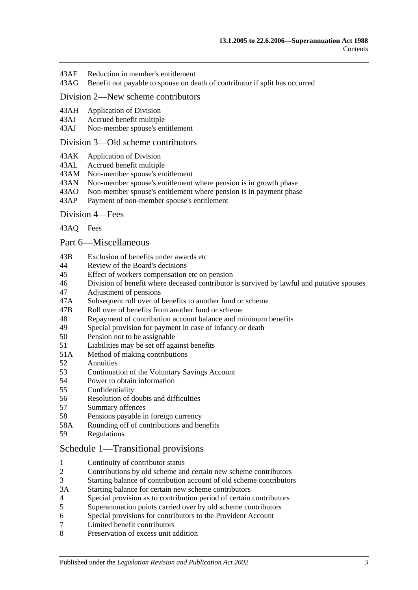- 43AF [Reduction in member's entitlement](#page-79-2)
- 43AG [Benefit not payable to spouse on death of contributor if split has occurred](#page-80-0)

## [Division 2—New scheme contributors](#page-80-1)

- 43AH [Application of Division](#page-80-2)<br>43AI Accrued benefit multiple
- [Accrued benefit multiple](#page-80-3)
- 43AJ [Non-member spouse's entitlement](#page-81-0)

#### [Division 3—Old scheme contributors](#page-81-1)

- 43AK [Application of Division](#page-81-2)
- 43AL [Accrued benefit multiple](#page-81-3)
- 43AM [Non-member spouse's entitlement](#page-82-0)
- 43AN [Non-member spouse's entitlement where pension is in growth phase](#page-82-1)
- 43AO [Non-member spouse's entitlement where pension is in payment phase](#page-82-2)
- 43AP [Payment of non-member spouse's entitlement](#page-84-0)

#### [Division 4—Fees](#page-84-1)

[43AQ](#page-84-2) Fees

#### [Part 6—Miscellaneous](#page-86-0)

- 43B [Exclusion of benefits under awards etc](#page-86-1)
- 44 [Review of the Board's decisions](#page-86-2)
- 45 [Effect of workers compensation etc on pension](#page-86-3)
- 46 [Division of benefit where deceased contributor is survived by lawful and putative spouses](#page-88-0)
- 47 [Adjustment of pensions](#page-89-0)
- 47A [Subsequent roll over of benefits to another fund or scheme](#page-90-0)
- 47B [Roll over of benefits from](#page-90-1) another fund or scheme
- 48 [Repayment of contribution account balance and minimum benefits](#page-90-2)<br>49 Special provision for payment in case of infancy or death
- [Special provision for payment in case of infancy or death](#page-91-0)
- 50 [Pension not to be assignable](#page-91-1)
- 51 [Liabilities may be set off against benefits](#page-92-0)
- 51A [Method of making contributions](#page-92-1)
- 52 [Annuities](#page-92-2)
- 53 Continuation of the [Voluntary Savings Account](#page-92-3)
- 54 [Power to obtain information](#page-92-4)
- 55 [Confidentiality](#page-93-0)
- 56 [Resolution of doubts and difficulties](#page-93-1)
- 57 [Summary offences](#page-93-2)
- 58 [Pensions payable in foreign currency](#page-94-0)
- 58A [Rounding off of contributions and benefits](#page-94-1)
- 59 [Regulations](#page-94-2)

#### [Schedule 1—Transitional provisions](#page-96-0)

- 1 [Continuity of contributor status](#page-96-1)<br>2 Contributions by old scheme and
- 2 [Contributions by old scheme and certain new scheme contributors](#page-96-2)
- 3 [Starting balance of contribution account of old scheme contributors](#page-97-0)
- 3A [Starting balance for certain new scheme contributors](#page-97-1)
- 4 [Special provision as to contribution period of certain contributors](#page-97-2)
- 5 [Superannuation points carried over by old scheme contributors](#page-98-0)
- 6 [Special provisions for contributors to the Provident Account](#page-99-0)
- 7 [Limited benefit contributors](#page-100-0)
- 8 [Preservation of excess unit addition](#page-101-0)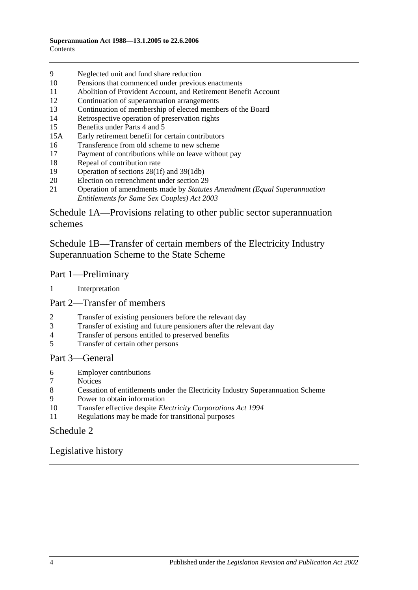- 9 [Neglected unit and fund share reduction](#page-101-1)
- 10 [Pensions that commenced under previous enactments](#page-101-2)
- 11 [Abolition of Provident Account, and Retirement Benefit Account](#page-102-0)
- 12 [Continuation of superannuation arrangements](#page-102-1)
- 13 [Continuation of membership of elected members of the Board](#page-102-2)
- 14 [Retrospective operation of preservation rights](#page-102-3)
- 15 [Benefits under Parts 4](#page-102-4) and [5](#page-102-4)
- 15A [Early retirement benefit for certain contributors](#page-103-0)
- 16 [Transference from old scheme to new scheme](#page-104-0)
- 17 [Payment of contributions while on leave without pay](#page-105-0)
- 18 [Repeal of contribution rate](#page-105-1)
- 19 [Operation of sections](#page-106-0) 28(1f) and [39\(1db\)](#page-106-0)<br>20 Election on retrenchment under section 29
- [Election on retrenchment under section](#page-106-1) 29
- 21 Operation of amendments made by *[Statutes Amendment \(Equal Superannuation](#page-106-2)  [Entitlements for Same Sex Couples\) Act 2003](#page-106-2)*

[Schedule 1A—Provisions relating to other public sector superannuation](#page-106-3)  [schemes](#page-106-3)

[Schedule 1B—Transfer of certain members of the Electricity Industry](#page-107-0)  [Superannuation Scheme to the State Scheme](#page-107-0)

#### Part 1—Preliminary

1 [Interpretation](#page-107-1)

## Part 2—Transfer of members

- 2 [Transfer of existing pensioners before the relevant day](#page-108-0)<br>3 Transfer of existing and future pensioners after the rele
- [Transfer of existing and future pensioners after the relevant day](#page-109-0)
- 4 [Transfer of persons entitled to preserved benefits](#page-111-0)<br>5 Transfer of certain other persons
- 5 [Transfer of certain other persons](#page-113-0)

#### Part 3—General

- 6 [Employer contributions](#page-115-0)
- **[Notices](#page-115-1)**
- 8 [Cessation of entitlements under the Electricity Industry Superannuation Scheme](#page-115-2)
- 9 [Power to obtain information](#page-115-3)
- 10 Transfer effective despite *[Electricity Corporations Act](#page-115-4) 1994*
- 11 [Regulations may be made for transitional purposes](#page-115-5)

## [Schedule 2](#page-116-0)

[Legislative history](#page-120-0)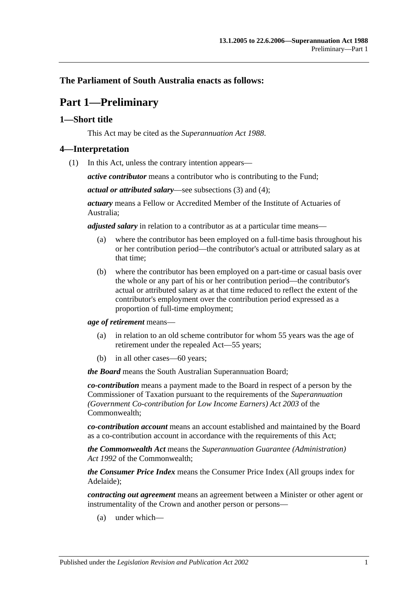## <span id="page-4-0"></span>**The Parliament of South Australia enacts as follows:**

## **Part 1—Preliminary**

## <span id="page-4-1"></span>**1—Short title**

This Act may be cited as the *Superannuation Act 1988*.

#### <span id="page-4-3"></span><span id="page-4-2"></span>**4—Interpretation**

(1) In this Act, unless the contrary intention appears—

*active contributor* means a contributor who is contributing to the Fund;

*actual or attributed salary*—see [subsections](#page-9-0) (3) and [\(4\);](#page-9-1)

*actuary* means a Fellow or Accredited Member of the Institute of Actuaries of Australia;

*adjusted salary* in relation to a contributor as at a particular time means—

- (a) where the contributor has been employed on a full-time basis throughout his or her contribution period—the contributor's actual or attributed salary as at that time;
- (b) where the contributor has been employed on a part-time or casual basis over the whole or any part of his or her contribution period—the contributor's actual or attributed salary as at that time reduced to reflect the extent of the contributor's employment over the contribution period expressed as a proportion of full-time employment;

*age of retirement* means—

- (a) in relation to an old scheme contributor for whom 55 years was the age of retirement under the repealed Act—55 years;
- (b) in all other cases—60 years;

*the Board* means the South Australian Superannuation Board;

*co-contribution* means a payment made to the Board in respect of a person by the Commissioner of Taxation pursuant to the requirements of the *Superannuation (Government Co-contribution for Low Income Earners) Act 2003* of the Commonwealth;

*co-contribution account* means an account established and maintained by the Board as a co-contribution account in accordance with the requirements of this Act;

*the Commonwealth Act* means the *Superannuation Guarantee (Administration) Act 1992* of the Commonwealth;

*the Consumer Price Index* means the Consumer Price Index (All groups index for Adelaide);

*contracting out agreement* means an agreement between a Minister or other agent or instrumentality of the Crown and another person or persons—

(a) under which—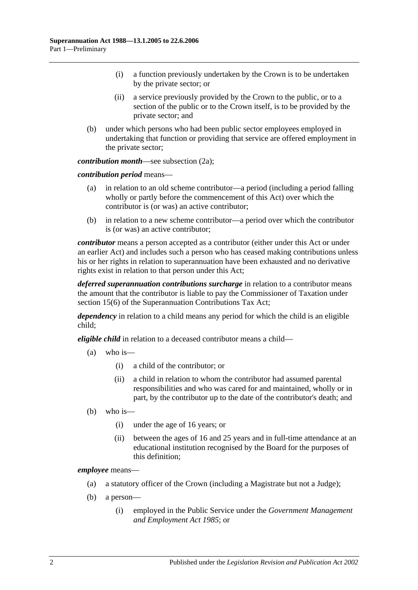- (i) a function previously undertaken by the Crown is to be undertaken by the private sector; or
- (ii) a service previously provided by the Crown to the public, or to a section of the public or to the Crown itself, is to be provided by the private sector; and
- (b) under which persons who had been public sector employees employed in undertaking that function or providing that service are offered employment in the private sector;

*contribution month*—see [subsection](#page-8-0) (2a);

*contribution period* means—

- (a) in relation to an old scheme contributor—a period (including a period falling wholly or partly before the commencement of this Act) over which the contributor is (or was) an active contributor;
- (b) in relation to a new scheme contributor—a period over which the contributor is (or was) an active contributor;

*contributor* means a person accepted as a contributor (either under this Act or under an earlier Act) and includes such a person who has ceased making contributions unless his or her rights in relation to superannuation have been exhausted and no derivative rights exist in relation to that person under this Act;

*deferred superannuation contributions surcharge* in relation to a contributor means the amount that the contributor is liable to pay the Commissioner of Taxation under section 15(6) of the Superannuation Contributions Tax Act;

*dependency* in relation to a child means any period for which the child is an eligible child;

*eligible child* in relation to a deceased contributor means a child—

- $(a)$  who is—
	- (i) a child of the contributor; or
	- (ii) a child in relation to whom the contributor had assumed parental responsibilities and who was cared for and maintained, wholly or in part, by the contributor up to the date of the contributor's death; and
- (b) who is—
	- (i) under the age of 16 years; or
	- (ii) between the ages of 16 and 25 years and in full-time attendance at an educational institution recognised by the Board for the purposes of this definition;

*employee* means—

- (a) a statutory officer of the Crown (including a Magistrate but not a Judge);
- (b) a person—
	- (i) employed in the Public Service under the *[Government Management](http://www.legislation.sa.gov.au/index.aspx?action=legref&type=act&legtitle=Government%20Management%20and%20Employment%20Act%201985)  [and Employment Act](http://www.legislation.sa.gov.au/index.aspx?action=legref&type=act&legtitle=Government%20Management%20and%20Employment%20Act%201985) 1985*; or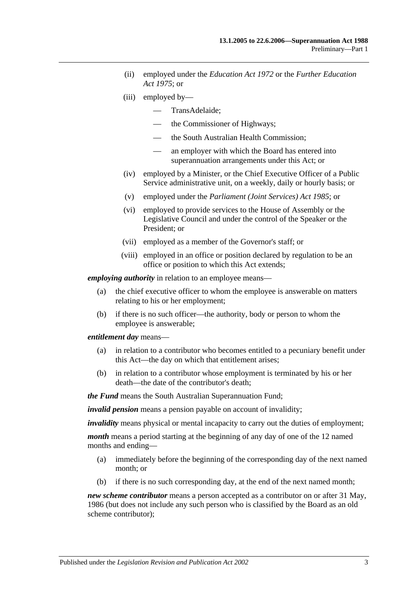- (ii) employed under the *[Education Act](http://www.legislation.sa.gov.au/index.aspx?action=legref&type=act&legtitle=Education%20Act%201972) 1972* or the *[Further Education](http://www.legislation.sa.gov.au/index.aspx?action=legref&type=act&legtitle=Further%20Education%20Act%201975)  Act [1975](http://www.legislation.sa.gov.au/index.aspx?action=legref&type=act&legtitle=Further%20Education%20Act%201975)*; or
- (iii) employed by—
	- TransAdelaide;
	- the Commissioner of Highways;
	- the South Australian Health Commission;
	- an employer with which the Board has entered into superannuation arrangements under this Act; or
- (iv) employed by a Minister, or the Chief Executive Officer of a Public Service administrative unit, on a weekly, daily or hourly basis; or
- (v) employed under the *[Parliament \(Joint Services\) Act](http://www.legislation.sa.gov.au/index.aspx?action=legref&type=act&legtitle=Parliament%20(Joint%20Services)%20Act%201985) 1985*; or
- (vi) employed to provide services to the House of Assembly or the Legislative Council and under the control of the Speaker or the President; or
- (vii) employed as a member of the Governor's staff; or
- (viii) employed in an office or position declared by regulation to be an office or position to which this Act extends;

*employing authority* in relation to an employee means—

- (a) the chief executive officer to whom the employee is answerable on matters relating to his or her employment;
- (b) if there is no such officer—the authority, body or person to whom the employee is answerable;

*entitlement day* means—

- (a) in relation to a contributor who becomes entitled to a pecuniary benefit under this Act—the day on which that entitlement arises;
- (b) in relation to a contributor whose employment is terminated by his or her death—the date of the contributor's death;

*the Fund* means the South Australian Superannuation Fund;

*invalid pension* means a pension payable on account of invalidity;

*invalidity* means physical or mental incapacity to carry out the duties of employment;

*month* means a period starting at the beginning of any day of one of the 12 named months and ending—

- (a) immediately before the beginning of the corresponding day of the next named month; or
- (b) if there is no such corresponding day, at the end of the next named month;

*new scheme contributor* means a person accepted as a contributor on or after 31 May, 1986 (but does not include any such person who is classified by the Board as an old scheme contributor);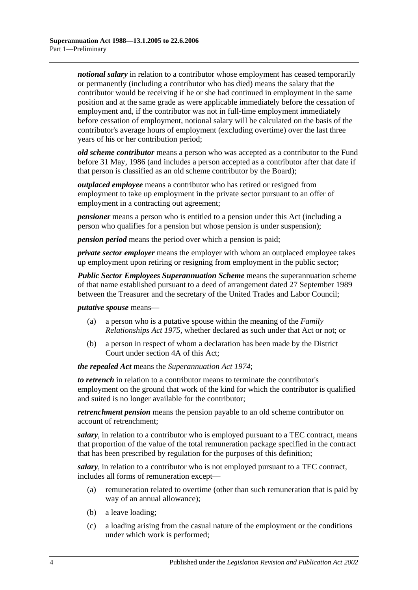*notional salary* in relation to a contributor whose employment has ceased temporarily or permanently (including a contributor who has died) means the salary that the contributor would be receiving if he or she had continued in employment in the same position and at the same grade as were applicable immediately before the cessation of employment and, if the contributor was not in full-time employment immediately before cessation of employment, notional salary will be calculated on the basis of the contributor's average hours of employment (excluding overtime) over the last three years of his or her contribution period;

*old scheme contributor* means a person who was accepted as a contributor to the Fund before 31 May, 1986 (and includes a person accepted as a contributor after that date if that person is classified as an old scheme contributor by the Board);

*outplaced employee* means a contributor who has retired or resigned from employment to take up employment in the private sector pursuant to an offer of employment in a contracting out agreement;

*pensioner* means a person who is entitled to a pension under this Act (including a person who qualifies for a pension but whose pension is under suspension);

*pension period* means the period over which a pension is paid;

*private sector employer* means the employer with whom an outplaced employee takes up employment upon retiring or resigning from employment in the public sector;

*Public Sector Employees Superannuation Scheme* means the superannuation scheme of that name established pursuant to a deed of arrangement dated 27 September 1989 between the Treasurer and the secretary of the United Trades and Labor Council;

#### *putative spouse* means—

- (a) a person who is a putative spouse within the meaning of the *[Family](http://www.legislation.sa.gov.au/index.aspx?action=legref&type=act&legtitle=Family%20Relationships%20Act%201975)  [Relationships Act](http://www.legislation.sa.gov.au/index.aspx?action=legref&type=act&legtitle=Family%20Relationships%20Act%201975) 1975*, whether declared as such under that Act or not; or
- (b) a person in respect of whom a declaration has been made by the District Court under [section](#page-11-0) 4A of this Act;

#### *the repealed Act* means the *[Superannuation Act](http://www.legislation.sa.gov.au/index.aspx?action=legref&type=act&legtitle=Superannuation%20Act%201974) 1974*;

*to retrench* in relation to a contributor means to terminate the contributor's employment on the ground that work of the kind for which the contributor is qualified and suited is no longer available for the contributor;

*retrenchment pension* means the pension payable to an old scheme contributor on account of retrenchment;

*salary*, in relation to a contributor who is employed pursuant to a TEC contract, means that proportion of the value of the total remuneration package specified in the contract that has been prescribed by regulation for the purposes of this definition;

*salary*, in relation to a contributor who is not employed pursuant to a TEC contract, includes all forms of remuneration except—

- (a) remuneration related to overtime (other than such remuneration that is paid by way of an annual allowance);
- (b) a leave loading;
- (c) a loading arising from the casual nature of the employment or the conditions under which work is performed;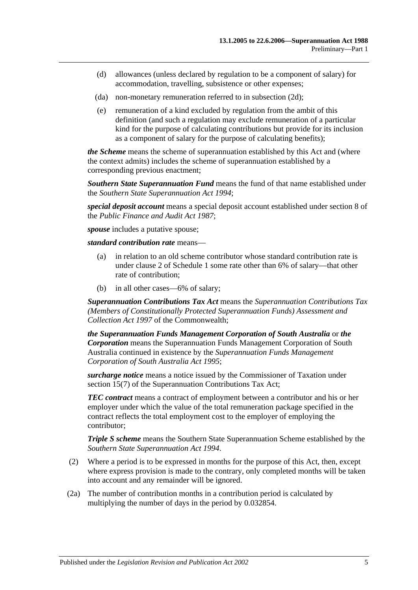- (d) allowances (unless declared by regulation to be a component of salary) for accommodation, travelling, subsistence or other expenses;
- (da) non-monetary remuneration referred to in [subsection](#page-9-2) (2d);
- (e) remuneration of a kind excluded by regulation from the ambit of this definition (and such a regulation may exclude remuneration of a particular kind for the purpose of calculating contributions but provide for its inclusion as a component of salary for the purpose of calculating benefits);

*the Scheme* means the scheme of superannuation established by this Act and (where the context admits) includes the scheme of superannuation established by a corresponding previous enactment;

*Southern State Superannuation Fund* means the fund of that name established under the *[Southern State Superannuation Act](http://www.legislation.sa.gov.au/index.aspx?action=legref&type=act&legtitle=Southern%20State%20Superannuation%20Act%201994) 1994*;

*special deposit account* means a special deposit account established under section 8 of the *[Public Finance and Audit Act](http://www.legislation.sa.gov.au/index.aspx?action=legref&type=act&legtitle=Public%20Finance%20and%20Audit%20Act%201987) 1987*;

*spouse* includes a putative spouse;

*standard contribution rate* means—

- (a) in relation to an old scheme contributor whose standard contribution rate is under [clause](#page-96-2) 2 of [Schedule 1](#page-96-0) some rate other than 6% of salary—that other rate of contribution;
- (b) in all other cases—6% of salary;

*Superannuation Contributions Tax Act* means the *Superannuation Contributions Tax (Members of Constitutionally Protected Superannuation Funds) Assessment and Collection Act 1997* of the Commonwealth;

*the Superannuation Funds Management Corporation of South Australia* or *the Corporation* means the Superannuation Funds Management Corporation of South Australia continued in existence by the *[Superannuation Funds Management](http://www.legislation.sa.gov.au/index.aspx?action=legref&type=act&legtitle=Superannuation%20Funds%20Management%20Corporation%20of%20South%20Australia%20Act%201995)  [Corporation of South Australia Act](http://www.legislation.sa.gov.au/index.aspx?action=legref&type=act&legtitle=Superannuation%20Funds%20Management%20Corporation%20of%20South%20Australia%20Act%201995) 1995*;

*surcharge notice* means a notice issued by the Commissioner of Taxation under section 15(7) of the Superannuation Contributions Tax Act;

*TEC contract* means a contract of employment between a contributor and his or her employer under which the value of the total remuneration package specified in the contract reflects the total employment cost to the employer of employing the contributor;

*Triple S scheme* means the Southern State Superannuation Scheme established by the *[Southern State Superannuation Act](http://www.legislation.sa.gov.au/index.aspx?action=legref&type=act&legtitle=Southern%20State%20Superannuation%20Act%201994) 1994*.

- (2) Where a period is to be expressed in months for the purpose of this Act, then, except where express provision is made to the contrary, only completed months will be taken into account and any remainder will be ignored.
- <span id="page-8-0"></span>(2a) The number of contribution months in a contribution period is calculated by multiplying the number of days in the period by 0.032854.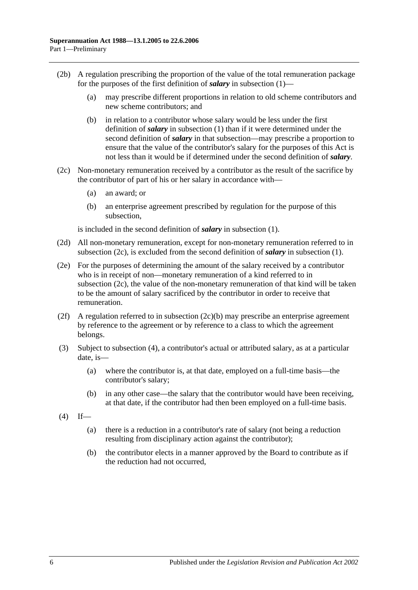- (2b) A regulation prescribing the proportion of the value of the total remuneration package for the purposes of the first definition of *salary* in [subsection](#page-4-3) (1)—
	- (a) may prescribe different proportions in relation to old scheme contributors and new scheme contributors; and
	- (b) in relation to a contributor whose salary would be less under the first definition of *salary* in [subsection](#page-4-3) (1) than if it were determined under the second definition of *salary* in that subsection—may prescribe a proportion to ensure that the value of the contributor's salary for the purposes of this Act is not less than it would be if determined under the second definition of *salary*.
- <span id="page-9-4"></span><span id="page-9-3"></span>(2c) Non-monetary remuneration received by a contributor as the result of the sacrifice by the contributor of part of his or her salary in accordance with—
	- (a) an award; or
	- (b) an enterprise agreement prescribed by regulation for the purpose of this subsection,

is included in the second definition of *salary* in [subsection](#page-4-3) (1).

- <span id="page-9-2"></span>(2d) All non-monetary remuneration, except for non-monetary remuneration referred to in [subsection](#page-9-3) (2c), is excluded from the second definition of *salary* in [subsection](#page-4-3) (1).
- (2e) For the purposes of determining the amount of the salary received by a contributor who is in receipt of non—monetary remuneration of a kind referred to in [subsection](#page-9-3) (2c), the value of the non-monetary remuneration of that kind will be taken to be the amount of salary sacrificed by the contributor in order to receive that remuneration.
- (2f) A regulation referred to in [subsection](#page-9-4)  $(2c)(b)$  may prescribe an enterprise agreement by reference to the agreement or by reference to a class to which the agreement belongs.
- <span id="page-9-0"></span>(3) Subject to [subsection](#page-9-1) (4), a contributor's actual or attributed salary, as at a particular date, is—
	- (a) where the contributor is, at that date, employed on a full-time basis—the contributor's salary;
	- (b) in any other case—the salary that the contributor would have been receiving, at that date, if the contributor had then been employed on a full-time basis.
- <span id="page-9-1"></span> $(4)$  If—
	- (a) there is a reduction in a contributor's rate of salary (not being a reduction resulting from disciplinary action against the contributor);
	- (b) the contributor elects in a manner approved by the Board to contribute as if the reduction had not occurred,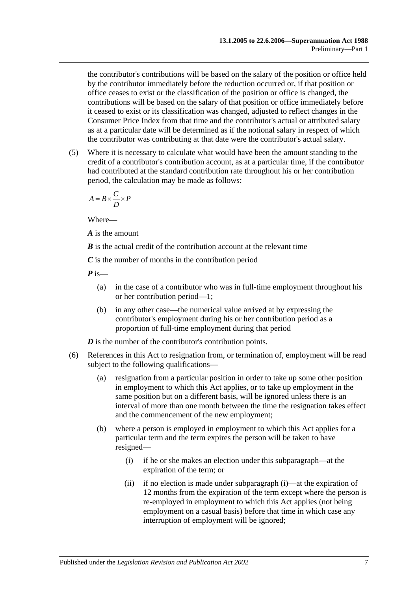the contributor's contributions will be based on the salary of the position or office held by the contributor immediately before the reduction occurred or, if that position or office ceases to exist or the classification of the position or office is changed, the contributions will be based on the salary of that position or office immediately before it ceased to exist or its classification was changed, adjusted to reflect changes in the Consumer Price Index from that time and the contributor's actual or attributed salary as at a particular date will be determined as if the notional salary in respect of which the contributor was contributing at that date were the contributor's actual salary.

(5) Where it is necessary to calculate what would have been the amount standing to the credit of a contributor's contribution account, as at a particular time, if the contributor had contributed at the standard contribution rate throughout his or her contribution period, the calculation may be made as follows:

$$
A = B \times \frac{C}{D} \times P
$$

Where—

*A* is the amount

*B* is the actual credit of the contribution account at the relevant time

*C* is the number of months in the contribution period

*P* is—

- (a) in the case of a contributor who was in full-time employment throughout his or her contribution period—1;
- (b) in any other case—the numerical value arrived at by expressing the contributor's employment during his or her contribution period as a proportion of full-time employment during that period

*D* is the number of the contributor's contribution points.

- <span id="page-10-1"></span><span id="page-10-0"></span>(6) References in this Act to resignation from, or termination of, employment will be read subject to the following qualifications—
	- (a) resignation from a particular position in order to take up some other position in employment to which this Act applies, or to take up employment in the same position but on a different basis, will be ignored unless there is an interval of more than one month between the time the resignation takes effect and the commencement of the new employment;
	- (b) where a person is employed in employment to which this Act applies for a particular term and the term expires the person will be taken to have resigned—
		- (i) if he or she makes an election under this subparagraph—at the expiration of the term; or
		- (ii) if no election is made under [subparagraph](#page-10-0) (i)—at the expiration of 12 months from the expiration of the term except where the person is re-employed in employment to which this Act applies (not being employment on a casual basis) before that time in which case any interruption of employment will be ignored;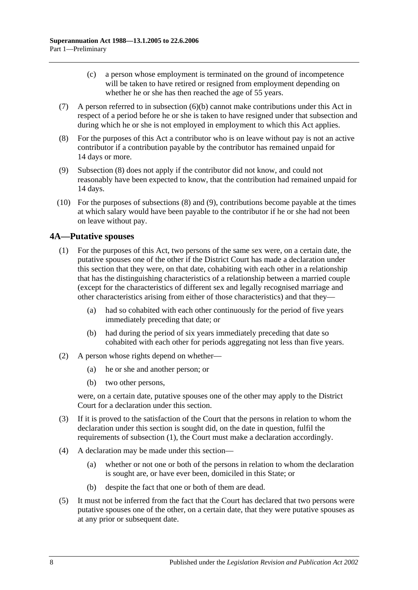- (c) a person whose employment is terminated on the ground of incompetence will be taken to have retired or resigned from employment depending on whether he or she has then reached the age of 55 years.
- (7) A person referred to in [subsection](#page-10-1) (6)(b) cannot make contributions under this Act in respect of a period before he or she is taken to have resigned under that subsection and during which he or she is not employed in employment to which this Act applies.
- <span id="page-11-1"></span>(8) For the purposes of this Act a contributor who is on leave without pay is not an active contributor if a contribution payable by the contributor has remained unpaid for 14 days or more.
- <span id="page-11-2"></span>(9) [Subsection](#page-11-1) (8) does not apply if the contributor did not know, and could not reasonably have been expected to know, that the contribution had remained unpaid for 14 days.
- (10) For the purposes of [subsections](#page-11-1) (8) and [\(9\),](#page-11-2) contributions become payable at the times at which salary would have been payable to the contributor if he or she had not been on leave without pay.

## <span id="page-11-3"></span><span id="page-11-0"></span>**4A—Putative spouses**

- (1) For the purposes of this Act, two persons of the same sex were, on a certain date, the putative spouses one of the other if the District Court has made a declaration under this section that they were, on that date, cohabiting with each other in a relationship that has the distinguishing characteristics of a relationship between a married couple (except for the characteristics of different sex and legally recognised marriage and other characteristics arising from either of those characteristics) and that they—
	- (a) had so cohabited with each other continuously for the period of five years immediately preceding that date; or
	- (b) had during the period of six years immediately preceding that date so cohabited with each other for periods aggregating not less than five years.
- (2) A person whose rights depend on whether—
	- (a) he or she and another person; or
	- (b) two other persons,

were, on a certain date, putative spouses one of the other may apply to the District Court for a declaration under this section.

- (3) If it is proved to the satisfaction of the Court that the persons in relation to whom the declaration under this section is sought did, on the date in question, fulfil the requirements of [subsection](#page-11-3) (1), the Court must make a declaration accordingly.
- (4) A declaration may be made under this section—
	- (a) whether or not one or both of the persons in relation to whom the declaration is sought are, or have ever been, domiciled in this State; or
	- (b) despite the fact that one or both of them are dead.
- (5) It must not be inferred from the fact that the Court has declared that two persons were putative spouses one of the other, on a certain date, that they were putative spouses as at any prior or subsequent date.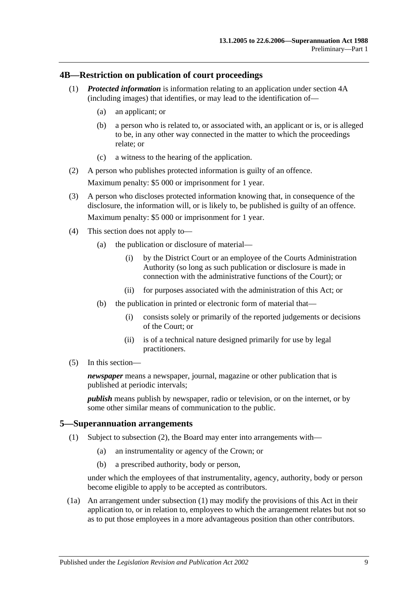#### <span id="page-12-0"></span>**4B—Restriction on publication of court proceedings**

- (1) *Protected information* is information relating to an application under [section](#page-11-0) 4A (including images) that identifies, or may lead to the identification of—
	- (a) an applicant; or
	- (b) a person who is related to, or associated with, an applicant or is, or is alleged to be, in any other way connected in the matter to which the proceedings relate; or
	- (c) a witness to the hearing of the application.
- (2) A person who publishes protected information is guilty of an offence. Maximum penalty: \$5 000 or imprisonment for 1 year.
- (3) A person who discloses protected information knowing that, in consequence of the disclosure, the information will, or is likely to, be published is guilty of an offence. Maximum penalty: \$5 000 or imprisonment for 1 year.
- (4) This section does not apply to—
	- (a) the publication or disclosure of material—
		- (i) by the District Court or an employee of the Courts Administration Authority (so long as such publication or disclosure is made in connection with the administrative functions of the Court); or
		- (ii) for purposes associated with the administration of this Act; or
	- (b) the publication in printed or electronic form of material that—
		- (i) consists solely or primarily of the reported judgements or decisions of the Court; or
		- (ii) is of a technical nature designed primarily for use by legal practitioners.
- (5) In this section—

*newspaper* means a newspaper, journal, magazine or other publication that is published at periodic intervals;

*publish* means publish by newspaper, radio or television, or on the internet, or by some other similar means of communication to the public.

#### <span id="page-12-2"></span><span id="page-12-1"></span>**5—Superannuation arrangements**

- (1) Subject to [subsection](#page-13-0) (2), the Board may enter into arrangements with—
	- (a) an instrumentality or agency of the Crown; or
	- (b) a prescribed authority, body or person,

under which the employees of that instrumentality, agency, authority, body or person become eligible to apply to be accepted as contributors.

(1a) An arrangement under [subsection](#page-12-2) (1) may modify the provisions of this Act in their application to, or in relation to, employees to which the arrangement relates but not so as to put those employees in a more advantageous position than other contributors.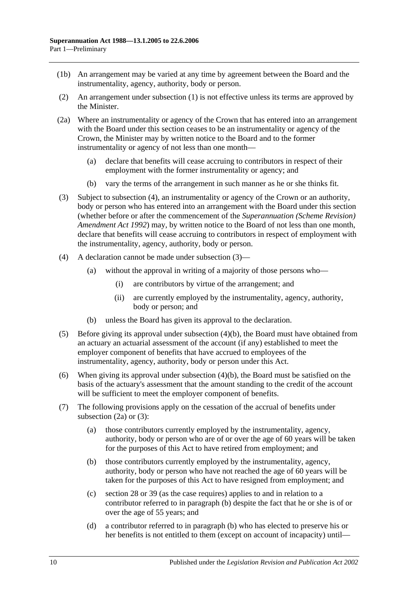- (1b) An arrangement may be varied at any time by agreement between the Board and the instrumentality, agency, authority, body or person.
- <span id="page-13-0"></span>(2) An arrangement under [subsection](#page-12-2) (1) is not effective unless its terms are approved by the Minister.
- <span id="page-13-4"></span>(2a) Where an instrumentality or agency of the Crown that has entered into an arrangement with the Board under this section ceases to be an instrumentality or agency of the Crown, the Minister may by written notice to the Board and to the former instrumentality or agency of not less than one month—
	- (a) declare that benefits will cease accruing to contributors in respect of their employment with the former instrumentality or agency; and
	- (b) vary the terms of the arrangement in such manner as he or she thinks fit.
- <span id="page-13-2"></span>(3) Subject to [subsection](#page-13-1) (4), an instrumentality or agency of the Crown or an authority, body or person who has entered into an arrangement with the Board under this section (whether before or after the commencement of the *[Superannuation \(Scheme Revision\)](http://www.legislation.sa.gov.au/index.aspx?action=legref&type=act&legtitle=Superannuation%20(Scheme%20Revision)%20Amendment%20Act%201992)  [Amendment Act](http://www.legislation.sa.gov.au/index.aspx?action=legref&type=act&legtitle=Superannuation%20(Scheme%20Revision)%20Amendment%20Act%201992) 1992*) may, by written notice to the Board of not less than one month, declare that benefits will cease accruing to contributors in respect of employment with the instrumentality, agency, authority, body or person.
- <span id="page-13-1"></span>(4) A declaration cannot be made under [subsection](#page-13-2) (3)—
	- (a) without the approval in writing of a majority of those persons who—
		- (i) are contributors by virtue of the arrangement; and
		- (ii) are currently employed by the instrumentality, agency, authority, body or person; and
	- (b) unless the Board has given its approval to the declaration.
- <span id="page-13-3"></span>(5) Before giving its approval under [subsection](#page-13-3) (4)(b), the Board must have obtained from an actuary an actuarial assessment of the account (if any) established to meet the employer component of benefits that have accrued to employees of the instrumentality, agency, authority, body or person under this Act.
- (6) When giving its approval under [subsection](#page-13-3) (4)(b), the Board must be satisfied on the basis of the actuary's assessment that the amount standing to the credit of the account will be sufficient to meet the employer component of benefits.
- <span id="page-13-5"></span>(7) The following provisions apply on the cessation of the accrual of benefits under [subsection](#page-13-4)  $(2a)$  or  $(3)$ :
	- (a) those contributors currently employed by the instrumentality, agency, authority, body or person who are of or over the age of 60 years will be taken for the purposes of this Act to have retired from employment; and
	- (b) those contributors currently employed by the instrumentality, agency, authority, body or person who have not reached the age of 60 years will be taken for the purposes of this Act to have resigned from employment; and
	- (c) [section](#page-29-0) 28 or [39](#page-63-0) (as the case requires) applies to and in relation to a contributor referred to in [paragraph](#page-13-5) (b) despite the fact that he or she is of or over the age of 55 years; and
	- (d) a contributor referred to in [paragraph](#page-13-5) (b) who has elected to preserve his or her benefits is not entitled to them (except on account of incapacity) until—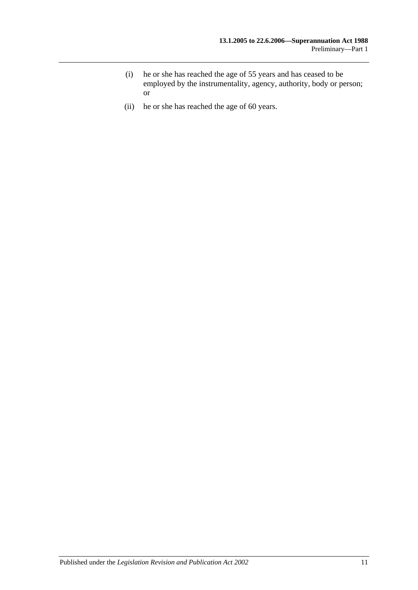- (i) he or she has reached the age of 55 years and has ceased to be employed by the instrumentality, agency, authority, body or person; or
- (ii) he or she has reached the age of 60 years.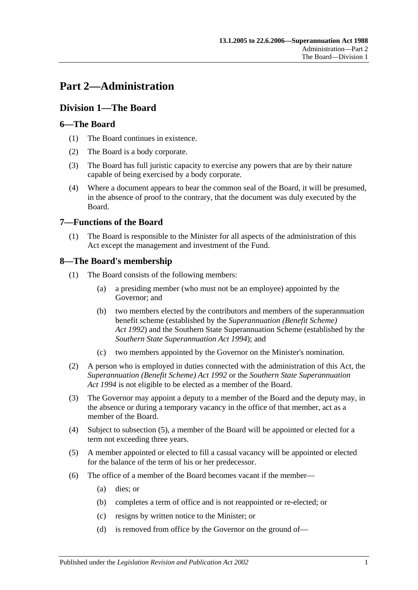## <span id="page-16-0"></span>**Part 2—Administration**

## <span id="page-16-1"></span>**Division 1—The Board**

## <span id="page-16-2"></span>**6—The Board**

- (1) The Board continues in existence.
- (2) The Board is a body corporate.
- (3) The Board has full juristic capacity to exercise any powers that are by their nature capable of being exercised by a body corporate.
- (4) Where a document appears to bear the common seal of the Board, it will be presumed, in the absence of proof to the contrary, that the document was duly executed by the Board.

## <span id="page-16-3"></span>**7—Functions of the Board**

(1) The Board is responsible to the Minister for all aspects of the administration of this Act except the management and investment of the Fund.

## <span id="page-16-4"></span>**8—The Board's membership**

- (1) The Board consists of the following members:
	- (a) a presiding member (who must not be an employee) appointed by the Governor; and
	- (b) two members elected by the contributors and members of the superannuation benefit scheme (established by the *[Superannuation \(Benefit Scheme\)](http://www.legislation.sa.gov.au/index.aspx?action=legref&type=act&legtitle=Superannuation%20(Benefit%20Scheme)%20Act%201992)  Act [1992](http://www.legislation.sa.gov.au/index.aspx?action=legref&type=act&legtitle=Superannuation%20(Benefit%20Scheme)%20Act%201992)*) and the Southern State Superannuation Scheme (established by the *[Southern State Superannuation Act](http://www.legislation.sa.gov.au/index.aspx?action=legref&type=act&legtitle=Southern%20State%20Superannuation%20Act%201994) 1994*); and
	- (c) two members appointed by the Governor on the Minister's nomination.
- (2) A person who is employed in duties connected with the administration of this Act, the *[Superannuation \(Benefit Scheme\) Act](http://www.legislation.sa.gov.au/index.aspx?action=legref&type=act&legtitle=Superannuation%20(Benefit%20Scheme)%20Act%201992) 1992* or the *[Southern State Superannuation](http://www.legislation.sa.gov.au/index.aspx?action=legref&type=act&legtitle=Southern%20State%20Superannuation%20Act%201994)  Act [1994](http://www.legislation.sa.gov.au/index.aspx?action=legref&type=act&legtitle=Southern%20State%20Superannuation%20Act%201994)* is not eligible to be elected as a member of the Board.
- (3) The Governor may appoint a deputy to a member of the Board and the deputy may, in the absence or during a temporary vacancy in the office of that member, act as a member of the Board.
- (4) Subject to [subsection](#page-16-5) (5), a member of the Board will be appointed or elected for a term not exceeding three years.
- <span id="page-16-5"></span>(5) A member appointed or elected to fill a casual vacancy will be appointed or elected for the balance of the term of his or her predecessor.
- (6) The office of a member of the Board becomes vacant if the member—
	- (a) dies; or
	- (b) completes a term of office and is not reappointed or re-elected; or
	- (c) resigns by written notice to the Minister; or
	- (d) is removed from office by the Governor on the ground of—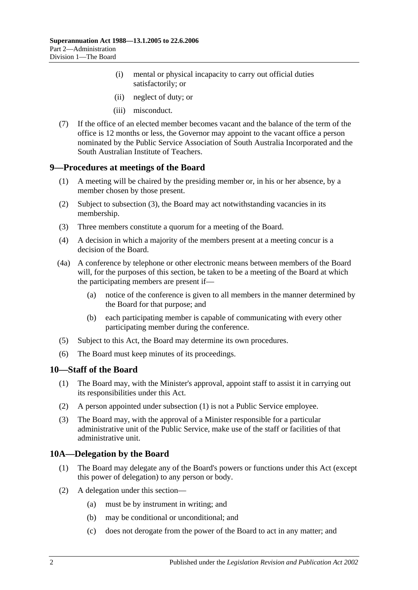- (i) mental or physical incapacity to carry out official duties satisfactorily; or
- (ii) neglect of duty; or
- (iii) misconduct.
- (7) If the office of an elected member becomes vacant and the balance of the term of the office is 12 months or less, the Governor may appoint to the vacant office a person nominated by the Public Service Association of South Australia Incorporated and the South Australian Institute of Teachers.

#### <span id="page-17-0"></span>**9—Procedures at meetings of the Board**

- (1) A meeting will be chaired by the presiding member or, in his or her absence, by a member chosen by those present.
- (2) Subject to [subsection](#page-17-3) (3), the Board may act notwithstanding vacancies in its membership.
- <span id="page-17-3"></span>(3) Three members constitute a quorum for a meeting of the Board.
- (4) A decision in which a majority of the members present at a meeting concur is a decision of the Board.
- (4a) A conference by telephone or other electronic means between members of the Board will, for the purposes of this section, be taken to be a meeting of the Board at which the participating members are present if—
	- (a) notice of the conference is given to all members in the manner determined by the Board for that purpose; and
	- (b) each participating member is capable of communicating with every other participating member during the conference.
- (5) Subject to this Act, the Board may determine its own procedures.
- (6) The Board must keep minutes of its proceedings.

#### <span id="page-17-4"></span><span id="page-17-1"></span>**10—Staff of the Board**

- (1) The Board may, with the Minister's approval, appoint staff to assist it in carrying out its responsibilities under this Act.
- (2) A person appointed under [subsection](#page-17-4) (1) is not a Public Service employee.
- (3) The Board may, with the approval of a Minister responsible for a particular administrative unit of the Public Service, make use of the staff or facilities of that administrative unit.

## <span id="page-17-2"></span>**10A—Delegation by the Board**

- (1) The Board may delegate any of the Board's powers or functions under this Act (except this power of delegation) to any person or body.
- (2) A delegation under this section—
	- (a) must be by instrument in writing; and
	- (b) may be conditional or unconditional; and
	- (c) does not derogate from the power of the Board to act in any matter; and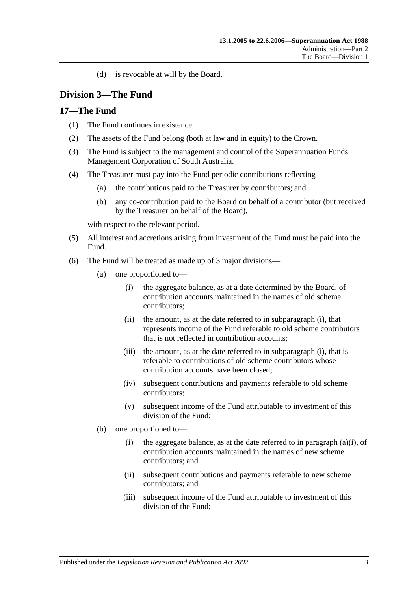(d) is revocable at will by the Board.

## <span id="page-18-0"></span>**Division 3—The Fund**

## <span id="page-18-1"></span>**17—The Fund**

- (1) The Fund continues in existence.
- (2) The assets of the Fund belong (both at law and in equity) to the Crown.
- (3) The Fund is subject to the management and control of the Superannuation Funds Management Corporation of South Australia.
- (4) The Treasurer must pay into the Fund periodic contributions reflecting—
	- (a) the contributions paid to the Treasurer by contributors; and
	- (b) any co-contribution paid to the Board on behalf of a contributor (but received by the Treasurer on behalf of the Board),

with respect to the relevant period.

- (5) All interest and accretions arising from investment of the Fund must be paid into the Fund.
- <span id="page-18-2"></span>(6) The Fund will be treated as made up of 3 major divisions—
	- (a) one proportioned to—
		- (i) the aggregate balance, as at a date determined by the Board, of contribution accounts maintained in the names of old scheme contributors;
		- (ii) the amount, as at the date referred to in [subparagraph](#page-18-2) (i), that represents income of the Fund referable to old scheme contributors that is not reflected in contribution accounts;
		- (iii) the amount, as at the date referred to in [subparagraph](#page-18-2) (i), that is referable to contributions of old scheme contributors whose contribution accounts have been closed;
		- (iv) subsequent contributions and payments referable to old scheme contributors;
		- (v) subsequent income of the Fund attributable to investment of this division of the Fund;
	- (b) one proportioned to
		- (i) the aggregate balance, as at the date referred to in [paragraph](#page-18-2)  $(a)(i)$ , of contribution accounts maintained in the names of new scheme contributors; and
		- (ii) subsequent contributions and payments referable to new scheme contributors; and
		- (iii) subsequent income of the Fund attributable to investment of this division of the Fund;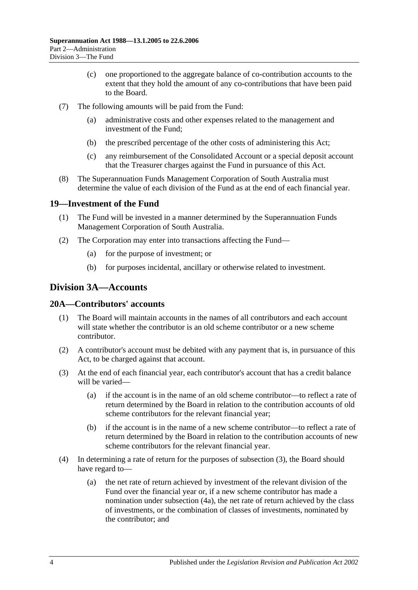- (c) one proportioned to the aggregate balance of co-contribution accounts to the extent that they hold the amount of any co-contributions that have been paid to the Board.
- (7) The following amounts will be paid from the Fund:
	- (a) administrative costs and other expenses related to the management and investment of the Fund;
	- (b) the prescribed percentage of the other costs of administering this Act;
	- (c) any reimbursement of the Consolidated Account or a special deposit account that the Treasurer charges against the Fund in pursuance of this Act.
- (8) The Superannuation Funds Management Corporation of South Australia must determine the value of each division of the Fund as at the end of each financial year.

## <span id="page-19-0"></span>**19—Investment of the Fund**

- (1) The Fund will be invested in a manner determined by the Superannuation Funds Management Corporation of South Australia.
- (2) The Corporation may enter into transactions affecting the Fund—
	- (a) for the purpose of investment; or
	- (b) for purposes incidental, ancillary or otherwise related to investment.

## <span id="page-19-1"></span>**Division 3A—Accounts**

## <span id="page-19-2"></span>**20A—Contributors' accounts**

- (1) The Board will maintain accounts in the names of all contributors and each account will state whether the contributor is an old scheme contributor or a new scheme contributor.
- (2) A contributor's account must be debited with any payment that is, in pursuance of this Act, to be charged against that account.
- <span id="page-19-3"></span>(3) At the end of each financial year, each contributor's account that has a credit balance will be varied—
	- (a) if the account is in the name of an old scheme contributor—to reflect a rate of return determined by the Board in relation to the contribution accounts of old scheme contributors for the relevant financial year;
	- (b) if the account is in the name of a new scheme contributor—to reflect a rate of return determined by the Board in relation to the contribution accounts of new scheme contributors for the relevant financial year.
- (4) In determining a rate of return for the purposes of [subsection](#page-19-3) (3), the Board should have regard to—
	- (a) the net rate of return achieved by investment of the relevant division of the Fund over the financial year or, if a new scheme contributor has made a nomination under [subsection](#page-20-2) (4a), the net rate of return achieved by the class of investments, or the combination of classes of investments, nominated by the contributor; and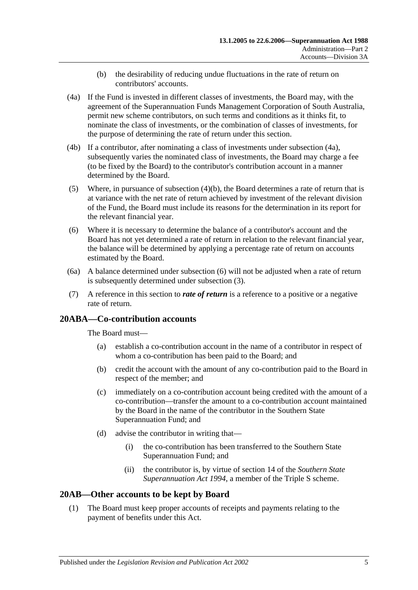- (b) the desirability of reducing undue fluctuations in the rate of return on contributors' accounts.
- <span id="page-20-3"></span><span id="page-20-2"></span>(4a) If the Fund is invested in different classes of investments, the Board may, with the agreement of the Superannuation Funds Management Corporation of South Australia, permit new scheme contributors, on such terms and conditions as it thinks fit, to nominate the class of investments, or the combination of classes of investments, for the purpose of determining the rate of return under this section.
- (4b) If a contributor, after nominating a class of investments under [subsection](#page-20-2) (4a), subsequently varies the nominated class of investments, the Board may charge a fee (to be fixed by the Board) to the contributor's contribution account in a manner determined by the Board.
- (5) Where, in pursuance of [subsection](#page-20-3)  $(4)(b)$ , the Board determines a rate of return that is at variance with the net rate of return achieved by investment of the relevant division of the Fund, the Board must include its reasons for the determination in its report for the relevant financial year.
- <span id="page-20-4"></span>(6) Where it is necessary to determine the balance of a contributor's account and the Board has not yet determined a rate of return in relation to the relevant financial year, the balance will be determined by applying a percentage rate of return on accounts estimated by the Board.
- (6a) A balance determined under [subsection](#page-20-4) (6) will not be adjusted when a rate of return is subsequently determined under [subsection](#page-19-3) (3).
- (7) A reference in this section to *rate of return* is a reference to a positive or a negative rate of return.

## <span id="page-20-0"></span>**20ABA—Co-contribution accounts**

The Board must—

- (a) establish a co-contribution account in the name of a contributor in respect of whom a co-contribution has been paid to the Board; and
- (b) credit the account with the amount of any co-contribution paid to the Board in respect of the member; and
- (c) immediately on a co-contribution account being credited with the amount of a co-contribution—transfer the amount to a co-contribution account maintained by the Board in the name of the contributor in the Southern State Superannuation Fund; and
- (d) advise the contributor in writing that—
	- (i) the co-contribution has been transferred to the Southern State Superannuation Fund; and
	- (ii) the contributor is, by virtue of section 14 of the *[Southern State](http://www.legislation.sa.gov.au/index.aspx?action=legref&type=act&legtitle=Southern%20State%20Superannuation%20Act%201994)  [Superannuation Act](http://www.legislation.sa.gov.au/index.aspx?action=legref&type=act&legtitle=Southern%20State%20Superannuation%20Act%201994) 1994*, a member of the Triple S scheme.

## <span id="page-20-5"></span><span id="page-20-1"></span>**20AB—Other accounts to be kept by Board**

(1) The Board must keep proper accounts of receipts and payments relating to the payment of benefits under this Act.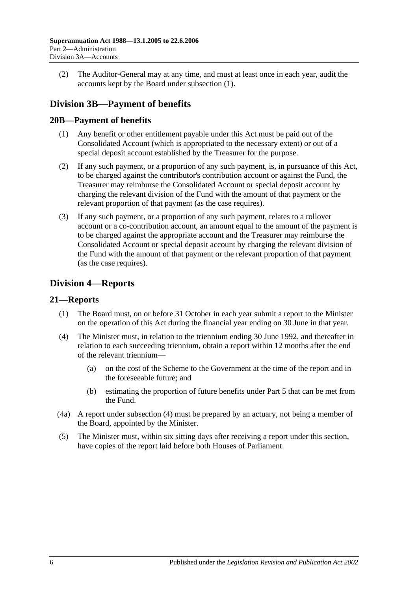(2) The Auditor-General may at any time, and must at least once in each year, audit the accounts kept by the Board under [subsection](#page-20-5) (1).

## <span id="page-21-0"></span>**Division 3B—Payment of benefits**

## <span id="page-21-1"></span>**20B—Payment of benefits**

- (1) Any benefit or other entitlement payable under this Act must be paid out of the Consolidated Account (which is appropriated to the necessary extent) or out of a special deposit account established by the Treasurer for the purpose.
- (2) If any such payment, or a proportion of any such payment, is, in pursuance of this Act, to be charged against the contributor's contribution account or against the Fund, the Treasurer may reimburse the Consolidated Account or special deposit account by charging the relevant division of the Fund with the amount of that payment or the relevant proportion of that payment (as the case requires).
- (3) If any such payment, or a proportion of any such payment, relates to a rollover account or a co-contribution account, an amount equal to the amount of the payment is to be charged against the appropriate account and the Treasurer may reimburse the Consolidated Account or special deposit account by charging the relevant division of the Fund with the amount of that payment or the relevant proportion of that payment (as the case requires).

## <span id="page-21-2"></span>**Division 4—Reports**

## <span id="page-21-3"></span>**21—Reports**

- (1) The Board must, on or before 31 October in each year submit a report to the Minister on the operation of this Act during the financial year ending on 30 June in that year.
- <span id="page-21-4"></span>(4) The Minister must, in relation to the triennium ending 30 June 1992, and thereafter in relation to each succeeding triennium, obtain a report within 12 months after the end of the relevant triennium—
	- (a) on the cost of the Scheme to the Government at the time of the report and in the foreseeable future; and
	- (b) estimating the proportion of future benefits under [Part 5](#page-50-0) that can be met from the Fund.
- (4a) A report under [subsection](#page-21-4) (4) must be prepared by an actuary, not being a member of the Board, appointed by the Minister.
- (5) The Minister must, within six sitting days after receiving a report under this section, have copies of the report laid before both Houses of Parliament.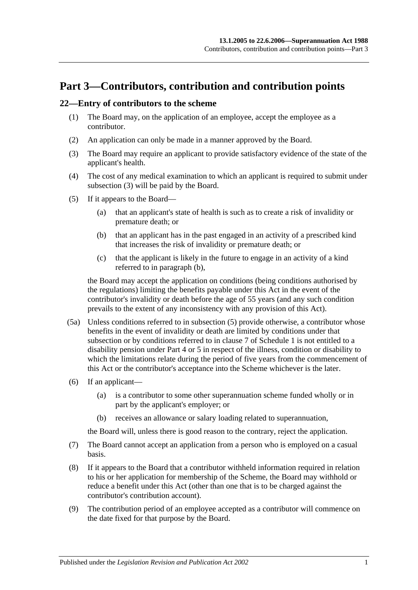## <span id="page-22-0"></span>**Part 3—Contributors, contribution and contribution points**

#### <span id="page-22-5"></span><span id="page-22-1"></span>**22—Entry of contributors to the scheme**

- (1) The Board may, on the application of an employee, accept the employee as a contributor.
- (2) An application can only be made in a manner approved by the Board.
- <span id="page-22-2"></span>(3) The Board may require an applicant to provide satisfactory evidence of the state of the applicant's health.
- (4) The cost of any medical examination to which an applicant is required to submit under [subsection](#page-22-2) (3) will be paid by the Board.
- <span id="page-22-4"></span><span id="page-22-3"></span>(5) If it appears to the Board—
	- (a) that an applicant's state of health is such as to create a risk of invalidity or premature death; or
	- (b) that an applicant has in the past engaged in an activity of a prescribed kind that increases the risk of invalidity or premature death; or
	- (c) that the applicant is likely in the future to engage in an activity of a kind referred to in [paragraph](#page-22-3) (b),

the Board may accept the application on conditions (being conditions authorised by the regulations) limiting the benefits payable under this Act in the event of the contributor's invalidity or death before the age of 55 years (and any such condition prevails to the extent of any inconsistency with any provision of this Act).

- (5a) Unless conditions referred to in [subsection](#page-22-4) (5) provide otherwise, a contributor whose benefits in the event of invalidity or death are limited by conditions under that subsection or by conditions referred to in [clause](#page-100-0) 7 of [Schedule 1](#page-96-0) is not entitled to a disability pension under [Part 4](#page-28-0) or [5](#page-50-0) in respect of the illness, condition or disability to which the limitations relate during the period of five years from the commencement of this Act or the contributor's acceptance into the Scheme whichever is the later.
- (6) If an applicant—
	- (a) is a contributor to some other superannuation scheme funded wholly or in part by the applicant's employer; or
	- (b) receives an allowance or salary loading related to superannuation,

the Board will, unless there is good reason to the contrary, reject the application.

- (7) The Board cannot accept an application from a person who is employed on a casual basis.
- (8) If it appears to the Board that a contributor withheld information required in relation to his or her application for membership of the Scheme, the Board may withhold or reduce a benefit under this Act (other than one that is to be charged against the contributor's contribution account).
- (9) The contribution period of an employee accepted as a contributor will commence on the date fixed for that purpose by the Board.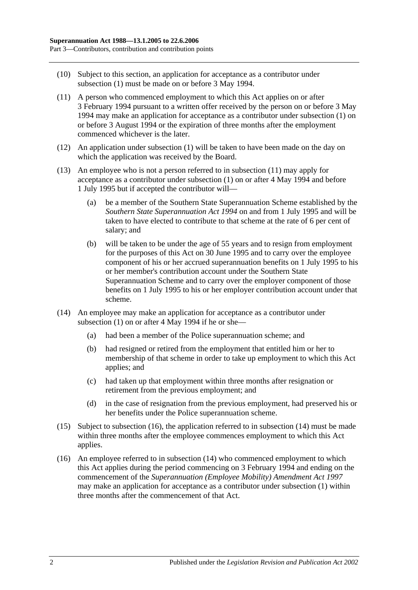- (10) Subject to this section, an application for acceptance as a contributor under [subsection](#page-22-5) (1) must be made on or before 3 May 1994.
- <span id="page-23-0"></span>(11) A person who commenced employment to which this Act applies on or after 3 February 1994 pursuant to a written offer received by the person on or before 3 May 1994 may make an application for acceptance as a contributor under [subsection](#page-22-5) (1) on or before 3 August 1994 or the expiration of three months after the employment commenced whichever is the later.
- (12) An application under [subsection](#page-22-5) (1) will be taken to have been made on the day on which the application was received by the Board.
- (13) An employee who is not a person referred to in [subsection](#page-23-0) (11) may apply for acceptance as a contributor under [subsection](#page-22-5) (1) on or after 4 May 1994 and before 1 July 1995 but if accepted the contributor will—
	- (a) be a member of the Southern State Superannuation Scheme established by the *[Southern State Superannuation Act](http://www.legislation.sa.gov.au/index.aspx?action=legref&type=act&legtitle=Southern%20State%20Superannuation%20Act%201994) 1994* on and from 1 July 1995 and will be taken to have elected to contribute to that scheme at the rate of 6 per cent of salary; and
	- (b) will be taken to be under the age of 55 years and to resign from employment for the purposes of this Act on 30 June 1995 and to carry over the employee component of his or her accrued superannuation benefits on 1 July 1995 to his or her member's contribution account under the Southern State Superannuation Scheme and to carry over the employer component of those benefits on 1 July 1995 to his or her employer contribution account under that scheme.
- <span id="page-23-2"></span>(14) An employee may make an application for acceptance as a contributor under [subsection](#page-22-5)  $(1)$  on or after 4 May 1994 if he or she-
	- (a) had been a member of the Police superannuation scheme; and
	- (b) had resigned or retired from the employment that entitled him or her to membership of that scheme in order to take up employment to which this Act applies; and
	- (c) had taken up that employment within three months after resignation or retirement from the previous employment; and
	- (d) in the case of resignation from the previous employment, had preserved his or her benefits under the Police superannuation scheme.
- (15) Subject to [subsection](#page-23-1) (16), the application referred to in [subsection](#page-23-2) (14) must be made within three months after the employee commences employment to which this Act applies.
- <span id="page-23-1"></span>(16) An employee referred to in [subsection](#page-23-2) (14) who commenced employment to which this Act applies during the period commencing on 3 February 1994 and ending on the commencement of the *[Superannuation \(Employee Mobility\) Amendment Act](http://www.legislation.sa.gov.au/index.aspx?action=legref&type=act&legtitle=Superannuation%20(Employee%20Mobility)%20Amendment%20Act%201997) 1997* may make an application for acceptance as a contributor under [subsection](#page-22-5) (1) within three months after the commencement of that Act.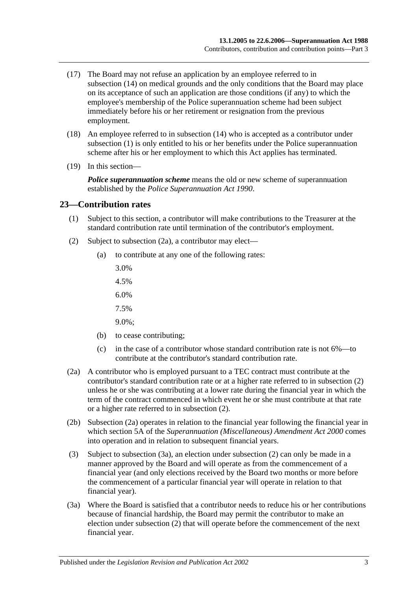- (17) The Board may not refuse an application by an employee referred to in [subsection](#page-23-2) (14) on medical grounds and the only conditions that the Board may place on its acceptance of such an application are those conditions (if any) to which the employee's membership of the Police superannuation scheme had been subject immediately before his or her retirement or resignation from the previous employment.
- (18) An employee referred to in [subsection](#page-23-2) (14) who is accepted as a contributor under [subsection](#page-22-5) (1) is only entitled to his or her benefits under the Police superannuation scheme after his or her employment to which this Act applies has terminated.
- (19) In this section—

*Police superannuation scheme* means the old or new scheme of superannuation established by the *[Police Superannuation Act](http://www.legislation.sa.gov.au/index.aspx?action=legref&type=act&legtitle=Police%20Superannuation%20Act%201990) 1990*.

#### <span id="page-24-0"></span>**23—Contribution rates**

- (1) Subject to this section, a contributor will make contributions to the Treasurer at the standard contribution rate until termination of the contributor's employment.
- <span id="page-24-2"></span>(2) Subject to [subsection](#page-24-1) (2a), a contributor may elect—
	- (a) to contribute at any one of the following rates:
		- 3.0%
		- 4.5%
		- 6.0%
		- 7.5%
		- 9.0%;
	- (b) to cease contributing;
	- (c) in the case of a contributor whose standard contribution rate is not 6%—to contribute at the contributor's standard contribution rate.
- <span id="page-24-1"></span>(2a) A contributor who is employed pursuant to a TEC contract must contribute at the contributor's standard contribution rate or at a higher rate referred to in [subsection](#page-24-2) (2) unless he or she was contributing at a lower rate during the financial year in which the term of the contract commenced in which event he or she must contribute at that rate or a higher rate referred to in [subsection](#page-24-2) (2).
- (2b) [Subsection](#page-24-1) (2a) operates in relation to the financial year following the financial year in which section 5A of the *[Superannuation \(Miscellaneous\) Amendment Act](http://www.legislation.sa.gov.au/index.aspx?action=legref&type=act&legtitle=Superannuation%20(Miscellaneous)%20Amendment%20Act%202000) 2000* comes into operation and in relation to subsequent financial years.
- (3) Subject to [subsection](#page-24-3) (3a), an election under [subsection](#page-24-2) (2) can only be made in a manner approved by the Board and will operate as from the commencement of a financial year (and only elections received by the Board two months or more before the commencement of a particular financial year will operate in relation to that financial year).
- <span id="page-24-3"></span>(3a) Where the Board is satisfied that a contributor needs to reduce his or her contributions because of financial hardship, the Board may permit the contributor to make an election under [subsection](#page-24-2) (2) that will operate before the commencement of the next financial year.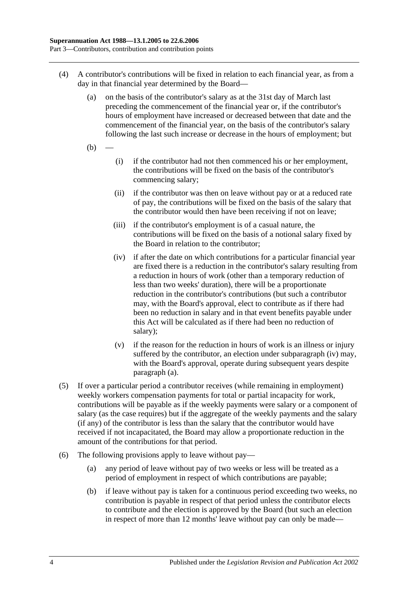- <span id="page-25-1"></span>(4) A contributor's contributions will be fixed in relation to each financial year, as from a day in that financial year determined by the Board—
	- (a) on the basis of the contributor's salary as at the 31st day of March last preceding the commencement of the financial year or, if the contributor's hours of employment have increased or decreased between that date and the commencement of the financial year, on the basis of the contributor's salary following the last such increase or decrease in the hours of employment; but
	- $(b)$
- (i) if the contributor had not then commenced his or her employment, the contributions will be fixed on the basis of the contributor's commencing salary;
- (ii) if the contributor was then on leave without pay or at a reduced rate of pay, the contributions will be fixed on the basis of the salary that the contributor would then have been receiving if not on leave;
- (iii) if the contributor's employment is of a casual nature, the contributions will be fixed on the basis of a notional salary fixed by the Board in relation to the contributor;
- <span id="page-25-0"></span>(iv) if after the date on which contributions for a particular financial year are fixed there is a reduction in the contributor's salary resulting from a reduction in hours of work (other than a temporary reduction of less than two weeks' duration), there will be a proportionate reduction in the contributor's contributions (but such a contributor may, with the Board's approval, elect to contribute as if there had been no reduction in salary and in that event benefits payable under this Act will be calculated as if there had been no reduction of salary);
- (v) if the reason for the reduction in hours of work is an illness or injury suffered by the contributor, an election under [subparagraph](#page-25-0) (iv) may, with the Board's approval, operate during subsequent years despite [paragraph](#page-25-1) (a).
- (5) If over a particular period a contributor receives (while remaining in employment) weekly workers compensation payments for total or partial incapacity for work, contributions will be payable as if the weekly payments were salary or a component of salary (as the case requires) but if the aggregate of the weekly payments and the salary (if any) of the contributor is less than the salary that the contributor would have received if not incapacitated, the Board may allow a proportionate reduction in the amount of the contributions for that period.
- <span id="page-25-2"></span>(6) The following provisions apply to leave without pay—
	- (a) any period of leave without pay of two weeks or less will be treated as a period of employment in respect of which contributions are payable;
	- (b) if leave without pay is taken for a continuous period exceeding two weeks, no contribution is payable in respect of that period unless the contributor elects to contribute and the election is approved by the Board (but such an election in respect of more than 12 months' leave without pay can only be made—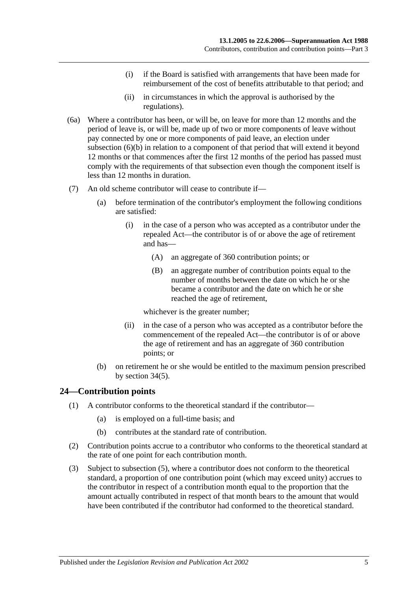- (i) if the Board is satisfied with arrangements that have been made for reimbursement of the cost of benefits attributable to that period; and
- (ii) in circumstances in which the approval is authorised by the regulations).
- (6a) Where a contributor has been, or will be, on leave for more than 12 months and the period of leave is, or will be, made up of two or more components of leave without pay connected by one or more components of paid leave, an election under [subsection](#page-25-2) (6)(b) in relation to a component of that period that will extend it beyond 12 months or that commences after the first 12 months of the period has passed must comply with the requirements of that subsection even though the component itself is less than 12 months in duration.
- (7) An old scheme contributor will cease to contribute if—
	- (a) before termination of the contributor's employment the following conditions are satisfied:
		- (i) in the case of a person who was accepted as a contributor under the repealed Act—the contributor is of or above the age of retirement and has—
			- (A) an aggregate of 360 contribution points; or
			- (B) an aggregate number of contribution points equal to the number of months between the date on which he or she became a contributor and the date on which he or she reached the age of retirement,

whichever is the greater number;

- (ii) in the case of a person who was accepted as a contributor before the commencement of the repealed Act—the contributor is of or above the age of retirement and has an aggregate of 360 contribution points; or
- (b) on retirement he or she would be entitled to the maximum pension prescribed by [section](#page-52-1) 34(5).

## <span id="page-26-0"></span>**24—Contribution points**

- (1) A contributor conforms to the theoretical standard if the contributor—
	- (a) is employed on a full-time basis; and
	- (b) contributes at the standard rate of contribution.
- (2) Contribution points accrue to a contributor who conforms to the theoretical standard at the rate of one point for each contribution month.
- (3) Subject to [subsection](#page-27-1) (5), where a contributor does not conform to the theoretical standard, a proportion of one contribution point (which may exceed unity) accrues to the contributor in respect of a contribution month equal to the proportion that the amount actually contributed in respect of that month bears to the amount that would have been contributed if the contributor had conformed to the theoretical standard.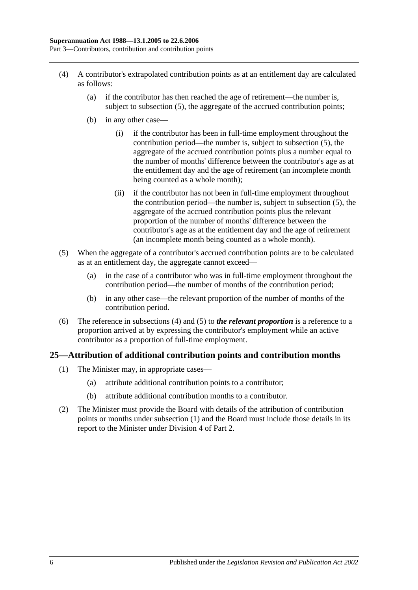- <span id="page-27-2"></span>(4) A contributor's extrapolated contribution points as at an entitlement day are calculated as follows:
	- (a) if the contributor has then reached the age of retirement—the number is, subject to [subsection](#page-27-1) (5), the aggregate of the accrued contribution points;
	- (b) in any other case—
		- (i) if the contributor has been in full-time employment throughout the contribution period—the number is, subject to [subsection](#page-27-1) (5), the aggregate of the accrued contribution points plus a number equal to the number of months' difference between the contributor's age as at the entitlement day and the age of retirement (an incomplete month being counted as a whole month);
		- (ii) if the contributor has not been in full-time employment throughout the contribution period—the number is, subject to [subsection](#page-27-1) (5), the aggregate of the accrued contribution points plus the relevant proportion of the number of months' difference between the contributor's age as at the entitlement day and the age of retirement (an incomplete month being counted as a whole month).
- <span id="page-27-1"></span>(5) When the aggregate of a contributor's accrued contribution points are to be calculated as at an entitlement day, the aggregate cannot exceed—
	- (a) in the case of a contributor who was in full-time employment throughout the contribution period—the number of months of the contribution period;
	- (b) in any other case—the relevant proportion of the number of months of the contribution period.
- (6) The reference in [subsections](#page-27-2) (4) and [\(5\)](#page-27-1) to *the relevant proportion* is a reference to a proportion arrived at by expressing the contributor's employment while an active contributor as a proportion of full-time employment.

## <span id="page-27-3"></span><span id="page-27-0"></span>**25—Attribution of additional contribution points and contribution months**

- (1) The Minister may, in appropriate cases—
	- (a) attribute additional contribution points to a contributor;
	- (b) attribute additional contribution months to a contributor.
- (2) The Minister must provide the Board with details of the attribution of contribution points or months under [subsection](#page-27-3) (1) and the Board must include those details in its report to the Minister under [Division 4](#page-21-2) of [Part 2.](#page-16-0)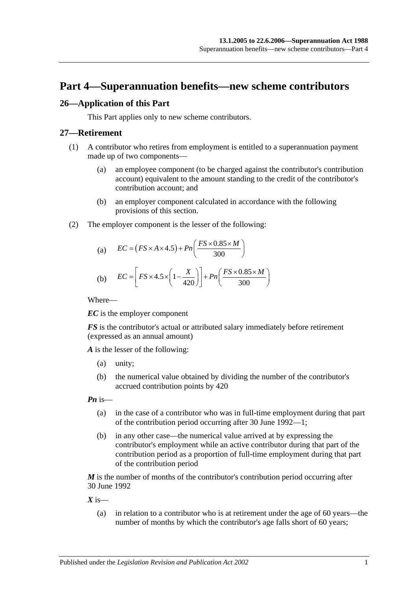## <span id="page-28-0"></span>**Part 4—Superannuation benefits—new scheme contributors**

## <span id="page-28-1"></span>**26—Application of this Part**

This Part applies only to new scheme contributors.

#### <span id="page-28-2"></span>**27—Retirement**

- (1) A contributor who retires from employment is entitled to a superannuation payment made up of two components—
	- (a) an employee component (to be charged against the contributor's contribution account) equivalent to the amount standing to the credit of the contributor's contribution account; and
	- (b) an employer component calculated in accordance with the following provisions of this section.
- (2) The employer component is the lesser of the following:

(a) 
$$
EC = (FS \times A \times 4.5) + Pn\left(\frac{FS \times 0.85 \times M}{300}\right)
$$

(b) 
$$
EC = \left[ FS \times 4.5 \times \left( 1 - \frac{X}{420} \right) \right] + Pn \left( \frac{FS \times 0.85 \times M}{300} \right)
$$

Where—

*EC* is the employer component

*FS* is the contributor's actual or attributed salary immediately before retirement (expressed as an annual amount)

*A* is the lesser of the following:

- (a) unity;
- (b) the numerical value obtained by dividing the number of the contributor's accrued contribution points by 420

*Pn* is—

- (a) in the case of a contributor who was in full-time employment during that part of the contribution period occurring after 30 June 1992—1;
- (b) in any other case—the numerical value arrived at by expressing the contributor's employment while an active contributor during that part of the contribution period as a proportion of full-time employment during that part of the contribution period

*M* is the number of months of the contributor's contribution period occurring after 30 June 1992

 $X$  is—

(a) in relation to a contributor who is at retirement under the age of 60 years—the number of months by which the contributor's age falls short of 60 years;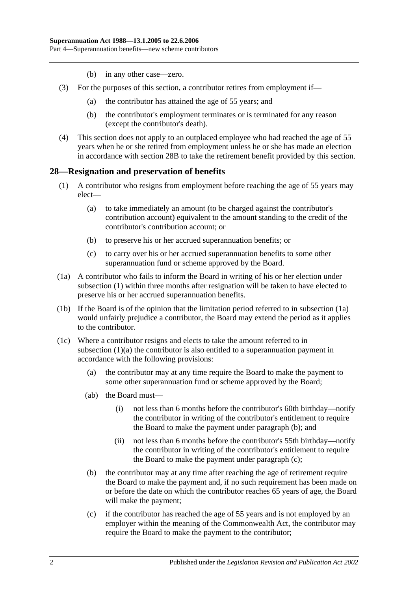- (b) in any other case—zero.
- (3) For the purposes of this section, a contributor retires from employment if—
	- (a) the contributor has attained the age of 55 years; and
	- (b) the contributor's employment terminates or is terminated for any reason (except the contributor's death).
- (4) This section does not apply to an outplaced employee who had reached the age of 55 years when he or she retired from employment unless he or she has made an election in accordance with [section](#page-33-0) 28B to take the retirement benefit provided by this section.

#### <span id="page-29-1"></span><span id="page-29-0"></span>**28—Resignation and preservation of benefits**

- <span id="page-29-3"></span>(1) A contributor who resigns from employment before reaching the age of 55 years may elect—
	- (a) to take immediately an amount (to be charged against the contributor's contribution account) equivalent to the amount standing to the credit of the contributor's contribution account; or
	- (b) to preserve his or her accrued superannuation benefits; or
	- (c) to carry over his or her accrued superannuation benefits to some other superannuation fund or scheme approved by the Board.
- <span id="page-29-2"></span>(1a) A contributor who fails to inform the Board in writing of his or her election under [subsection](#page-29-1) (1) within three months after resignation will be taken to have elected to preserve his or her accrued superannuation benefits.
- (1b) If the Board is of the opinion that the limitation period referred to in [subsection](#page-29-2) (1a) would unfairly prejudice a contributor, the Board may extend the period as it applies to the contributor.
- <span id="page-29-6"></span><span id="page-29-5"></span><span id="page-29-4"></span>(1c) Where a contributor resigns and elects to take the amount referred to in [subsection](#page-29-3) (1)(a) the contributor is also entitled to a superannuation payment in accordance with the following provisions:
	- (a) the contributor may at any time require the Board to make the payment to some other superannuation fund or scheme approved by the Board;
	- (ab) the Board must—
		- (i) not less than 6 months before the contributor's 60th birthday—notify the contributor in writing of the contributor's entitlement to require the Board to make the payment under [paragraph](#page-29-4) (b); and
		- (ii) not less than 6 months before the contributor's 55th birthday—notify the contributor in writing of the contributor's entitlement to require the Board to make the payment under [paragraph](#page-29-5) (c);
	- (b) the contributor may at any time after reaching the age of retirement require the Board to make the payment and, if no such requirement has been made on or before the date on which the contributor reaches 65 years of age, the Board will make the payment;
	- (c) if the contributor has reached the age of 55 years and is not employed by an employer within the meaning of the Commonwealth Act, the contributor may require the Board to make the payment to the contributor;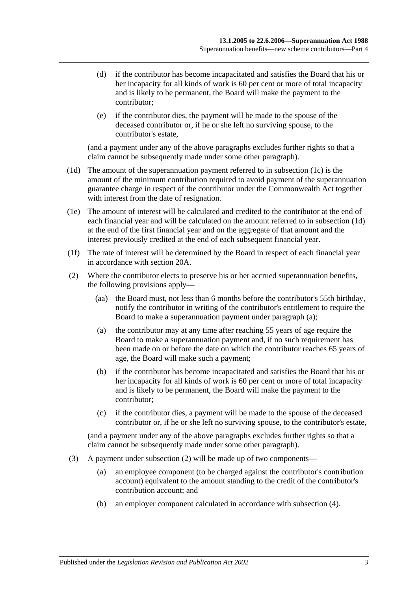- (d) if the contributor has become incapacitated and satisfies the Board that his or her incapacity for all kinds of work is 60 per cent or more of total incapacity and is likely to be permanent, the Board will make the payment to the contributor;
- (e) if the contributor dies, the payment will be made to the spouse of the deceased contributor or, if he or she left no surviving spouse, to the contributor's estate,

(and a payment under any of the above paragraphs excludes further rights so that a claim cannot be subsequently made under some other paragraph).

- <span id="page-30-0"></span>(1d) The amount of the superannuation payment referred to in [subsection](#page-29-6) (1c) is the amount of the minimum contribution required to avoid payment of the superannuation guarantee charge in respect of the contributor under the Commonwealth Act together with interest from the date of resignation.
- (1e) The amount of interest will be calculated and credited to the contributor at the end of each financial year and will be calculated on the amount referred to in [subsection](#page-30-0) (1d) at the end of the first financial year and on the aggregate of that amount and the interest previously credited at the end of each subsequent financial year.
- (1f) The rate of interest will be determined by the Board in respect of each financial year in accordance with [section](#page-19-2) 20A.
- <span id="page-30-2"></span><span id="page-30-1"></span>(2) Where the contributor elects to preserve his or her accrued superannuation benefits, the following provisions apply—
	- (aa) the Board must, not less than 6 months before the contributor's 55th birthday, notify the contributor in writing of the contributor's entitlement to require the Board to make a superannuation payment under [paragraph](#page-30-1) (a);
	- (a) the contributor may at any time after reaching 55 years of age require the Board to make a superannuation payment and, if no such requirement has been made on or before the date on which the contributor reaches 65 years of age, the Board will make such a payment;
	- (b) if the contributor has become incapacitated and satisfies the Board that his or her incapacity for all kinds of work is 60 per cent or more of total incapacity and is likely to be permanent, the Board will make the payment to the contributor;
	- (c) if the contributor dies, a payment will be made to the spouse of the deceased contributor or, if he or she left no surviving spouse, to the contributor's estate,

(and a payment under any of the above paragraphs excludes further rights so that a claim cannot be subsequently made under some other paragraph).

- (3) A payment under [subsection](#page-30-2) (2) will be made up of two components—
	- (a) an employee component (to be charged against the contributor's contribution account) equivalent to the amount standing to the credit of the contributor's contribution account; and
	- (b) an employer component calculated in accordance with [subsection](#page-31-0) (4).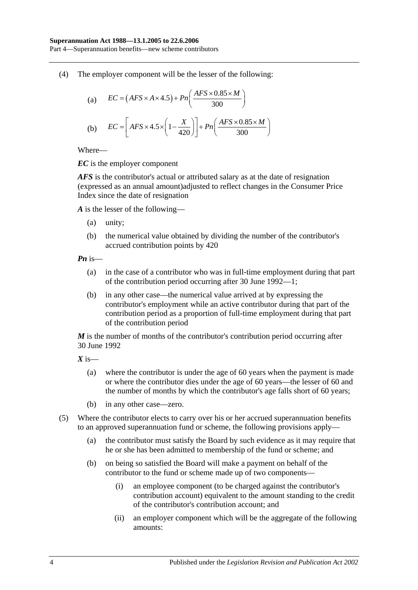<span id="page-31-0"></span>(4) The employer component will be the lesser of the following:

(a) 
$$
EC = (AFS \times A \times 4.5) + Pn\left(\frac{AFS \times 0.85 \times M}{300}\right)
$$
  
(b) 
$$
EC = \left[ AFS \times 4.5 \times \left(1 - \frac{X}{420}\right)\right] + Pn\left(\frac{AFS \times 0.85 \times M}{300}\right)
$$

Where—

*EC* is the employer component

*AFS* is the contributor's actual or attributed salary as at the date of resignation (expressed as an annual amount)adjusted to reflect changes in the Consumer Price Index since the date of resignation

*A* is the lesser of the following—

- (a) unity;
- (b) the numerical value obtained by dividing the number of the contributor's accrued contribution points by 420

*Pn* is—

- (a) in the case of a contributor who was in full-time employment during that part of the contribution period occurring after 30 June 1992—1;
- (b) in any other case—the numerical value arrived at by expressing the contributor's employment while an active contributor during that part of the contribution period as a proportion of full-time employment during that part of the contribution period

*M* is the number of months of the contributor's contribution period occurring after 30 June 1992

*X* is—

- (a) where the contributor is under the age of 60 years when the payment is made or where the contributor dies under the age of 60 years—the lesser of 60 and the number of months by which the contributor's age falls short of 60 years;
- (b) in any other case—zero.
- (5) Where the contributor elects to carry over his or her accrued superannuation benefits to an approved superannuation fund or scheme, the following provisions apply—
	- (a) the contributor must satisfy the Board by such evidence as it may require that he or she has been admitted to membership of the fund or scheme; and
	- (b) on being so satisfied the Board will make a payment on behalf of the contributor to the fund or scheme made up of two components—
		- (i) an employee component (to be charged against the contributor's contribution account) equivalent to the amount standing to the credit of the contributor's contribution account; and
		- (ii) an employer component which will be the aggregate of the following amounts: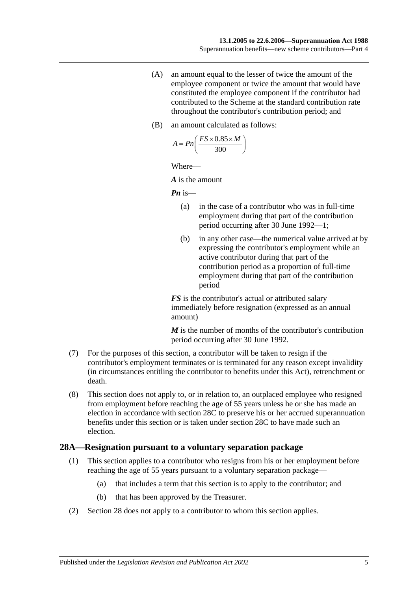- (A) an amount equal to the lesser of twice the amount of the employee component or twice the amount that would have constituted the employee component if the contributor had contributed to the Scheme at the standard contribution rate throughout the contributor's contribution period; and
- (B) an amount calculated as follows:

$$
A = P n \left( \frac{FS \times 0.85 \times M}{300} \right)
$$

Where—

*A* is the amount

*Pn* is—

- (a) in the case of a contributor who was in full-time employment during that part of the contribution period occurring after 30 June 1992—1;
- (b) in any other case—the numerical value arrived at by expressing the contributor's employment while an active contributor during that part of the contribution period as a proportion of full-time employment during that part of the contribution period

*FS* is the contributor's actual or attributed salary immediately before resignation (expressed as an annual amount)

*M* is the number of months of the contributor's contribution period occurring after 30 June 1992.

- (7) For the purposes of this section, a contributor will be taken to resign if the contributor's employment terminates or is terminated for any reason except invalidity (in circumstances entitling the contributor to benefits under this Act), retrenchment or death.
- (8) This section does not apply to, or in relation to, an outplaced employee who resigned from employment before reaching the age of 55 years unless he or she has made an election in accordance with [section](#page-34-0) 28C to preserve his or her accrued superannuation benefits under this section or is taken under [section](#page-34-0) 28C to have made such an election.

#### <span id="page-32-1"></span><span id="page-32-0"></span>**28A—Resignation pursuant to a voluntary separation package**

- (1) This section applies to a contributor who resigns from his or her employment before reaching the age of 55 years pursuant to a voluntary separation package—
	- (a) that includes a term that this section is to apply to the contributor; and
	- (b) that has been approved by the Treasurer.
- (2) [Section](#page-29-0) 28 does not apply to a contributor to whom this section applies.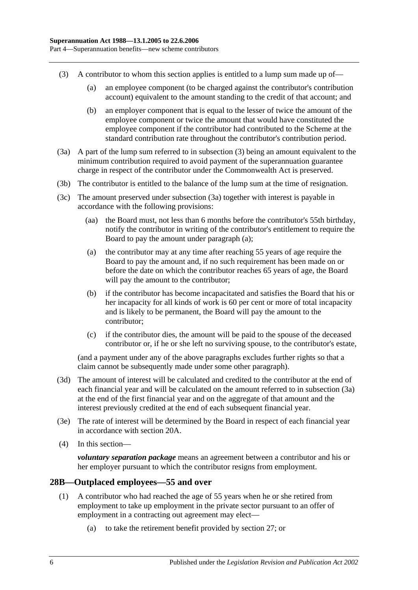- <span id="page-33-1"></span>(3) A contributor to whom this section applies is entitled to a lump sum made up of—
	- (a) an employee component (to be charged against the contributor's contribution account) equivalent to the amount standing to the credit of that account; and
	- (b) an employer component that is equal to the lesser of twice the amount of the employee component or twice the amount that would have constituted the employee component if the contributor had contributed to the Scheme at the standard contribution rate throughout the contributor's contribution period.
- <span id="page-33-2"></span>(3a) A part of the lump sum referred to in [subsection](#page-33-1) (3) being an amount equivalent to the minimum contribution required to avoid payment of the superannuation guarantee charge in respect of the contributor under the Commonwealth Act is preserved.
- (3b) The contributor is entitled to the balance of the lump sum at the time of resignation.
- <span id="page-33-3"></span>(3c) The amount preserved under [subsection](#page-33-2) (3a) together with interest is payable in accordance with the following provisions:
	- (aa) the Board must, not less than 6 months before the contributor's 55th birthday, notify the contributor in writing of the contributor's entitlement to require the Board to pay the amount under [paragraph](#page-33-3) (a);
	- (a) the contributor may at any time after reaching 55 years of age require the Board to pay the amount and, if no such requirement has been made on or before the date on which the contributor reaches 65 years of age, the Board will pay the amount to the contributor;
	- (b) if the contributor has become incapacitated and satisfies the Board that his or her incapacity for all kinds of work is 60 per cent or more of total incapacity and is likely to be permanent, the Board will pay the amount to the contributor;
	- (c) if the contributor dies, the amount will be paid to the spouse of the deceased contributor or, if he or she left no surviving spouse, to the contributor's estate,

(and a payment under any of the above paragraphs excludes further rights so that a claim cannot be subsequently made under some other paragraph).

- (3d) The amount of interest will be calculated and credited to the contributor at the end of each financial year and will be calculated on the amount referred to in [subsection](#page-33-2) (3a) at the end of the first financial year and on the aggregate of that amount and the interest previously credited at the end of each subsequent financial year.
- (3e) The rate of interest will be determined by the Board in respect of each financial year in accordance with [section](#page-19-2) 20A.
- (4) In this section—

*voluntary separation package* means an agreement between a contributor and his or her employer pursuant to which the contributor resigns from employment.

## <span id="page-33-4"></span><span id="page-33-0"></span>**28B—Outplaced employees—55 and over**

- (1) A contributor who had reached the age of 55 years when he or she retired from employment to take up employment in the private sector pursuant to an offer of employment in a contracting out agreement may elect—
	- (a) to take the retirement benefit provided by [section](#page-28-2) 27; or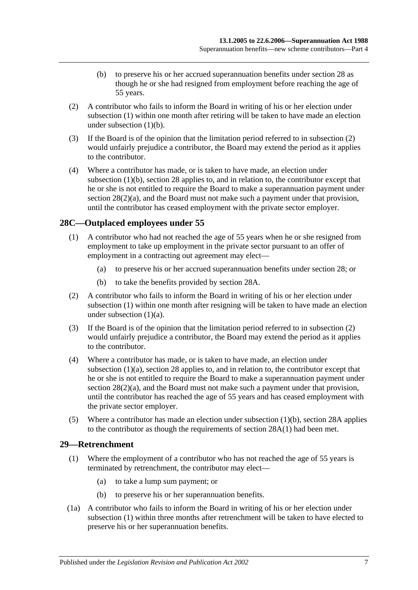- (b) to preserve his or her accrued superannuation benefits under [section](#page-29-0) 28 as though he or she had resigned from employment before reaching the age of 55 years.
- <span id="page-34-3"></span><span id="page-34-2"></span>(2) A contributor who fails to inform the Board in writing of his or her election under [subsection](#page-33-4) (1) within one month after retiring will be taken to have made an election under [subsection](#page-34-2)  $(1)(b)$ .
- (3) If the Board is of the opinion that the limitation period referred to in [subsection](#page-34-3) (2) would unfairly prejudice a contributor, the Board may extend the period as it applies to the contributor.
- (4) Where a contributor has made, or is taken to have made, an election under [subsection](#page-34-2) (1)(b), [section](#page-29-0) 28 applies to, and in relation to, the contributor except that he or she is not entitled to require the Board to make a superannuation payment under section  $28(2)(a)$ , and the Board must not make such a payment under that provision, until the contributor has ceased employment with the private sector employer.

## <span id="page-34-4"></span><span id="page-34-0"></span>**28C—Outplaced employees under 55**

- <span id="page-34-5"></span>(1) A contributor who had not reached the age of 55 years when he or she resigned from employment to take up employment in the private sector pursuant to an offer of employment in a contracting out agreement may elect—
	- (a) to preserve his or her accrued superannuation benefits under [section](#page-29-0) 28; or
	- (b) to take the benefits provided by [section](#page-32-0) 28A.
- <span id="page-34-7"></span><span id="page-34-6"></span>(2) A contributor who fails to inform the Board in writing of his or her election under [subsection](#page-34-4) (1) within one month after resigning will be taken to have made an election under [subsection](#page-34-5) (1)(a).
- (3) If the Board is of the opinion that the limitation period referred to in [subsection](#page-34-6) (2) would unfairly prejudice a contributor, the Board may extend the period as it applies to the contributor.
- (4) Where a contributor has made, or is taken to have made, an election under [subsection](#page-34-5) (1)(a), [section](#page-29-0) 28 applies to, and in relation to, the contributor except that he or she is not entitled to require the Board to make a superannuation payment under section  $28(2)(a)$ , and the Board must not make such a payment under that provision, until the contributor has reached the age of 55 years and has ceased employment with the private sector employer.
- (5) Where a contributor has made an election under [subsection](#page-34-7) (1)(b), [section](#page-32-0) 28A applies to the contributor as though the requirements of [section](#page-32-1) 28A(1) had been met.

#### <span id="page-34-8"></span><span id="page-34-1"></span>**29—Retrenchment**

- (1) Where the employment of a contributor who has not reached the age of 55 years is terminated by retrenchment, the contributor may elect—
	- (a) to take a lump sum payment; or
	- (b) to preserve his or her superannuation benefits.
- <span id="page-34-9"></span>(1a) A contributor who fails to inform the Board in writing of his or her election under [subsection](#page-34-8) (1) within three months after retrenchment will be taken to have elected to preserve his or her superannuation benefits.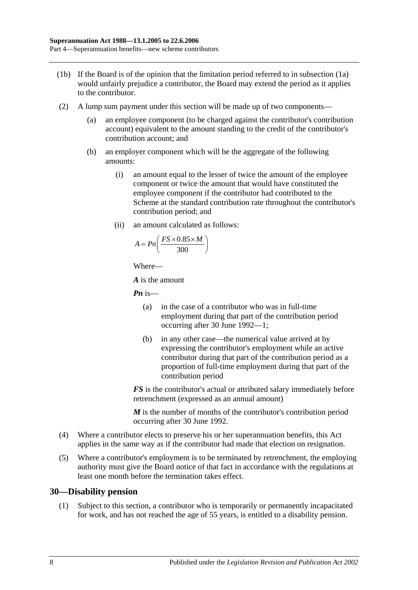- (1b) If the Board is of the opinion that the limitation period referred to in [subsection](#page-34-9) (1a) would unfairly prejudice a contributor, the Board may extend the period as it applies to the contributor.
- (2) A lump sum payment under this section will be made up of two components—
	- (a) an employee component (to be charged against the contributor's contribution account) equivalent to the amount standing to the credit of the contributor's contribution account; and
	- (b) an employer component which will be the aggregate of the following amounts:
		- (i) an amount equal to the lesser of twice the amount of the employee component or twice the amount that would have constituted the employee component if the contributor had contributed to the Scheme at the standard contribution rate throughout the contributor's contribution period; and
		- (ii) an amount calculated as follows:

$$
A = P n \left( \frac{FS \times 0.85 \times M}{300} \right)
$$

Where—

*A* is the amount

*Pn* is—

- (a) in the case of a contributor who was in full-time employment during that part of the contribution period occurring after 30 June 1992—1;
- (b) in any other case—the numerical value arrived at by expressing the contributor's employment while an active contributor during that part of the contribution period as a proportion of full-time employment during that part of the contribution period

*FS* is the contributor's actual or attributed salary immediately before retrenchment (expressed as an annual amount)

*M* is the number of months of the contributor's contribution period occurring after 30 June 1992.

- (4) Where a contributor elects to preserve his or her superannuation benefits, this Act applies in the same way as if the contributor had made that election on resignation.
- (5) Where a contributor's employment is to be terminated by retrenchment, the employing authority must give the Board notice of that fact in accordance with the regulations at least one month before the termination takes effect.

#### <span id="page-35-0"></span>**30—Disability pension**

(1) Subject to this section, a contributor who is temporarily or permanently incapacitated for work, and has not reached the age of 55 years, is entitled to a disability pension.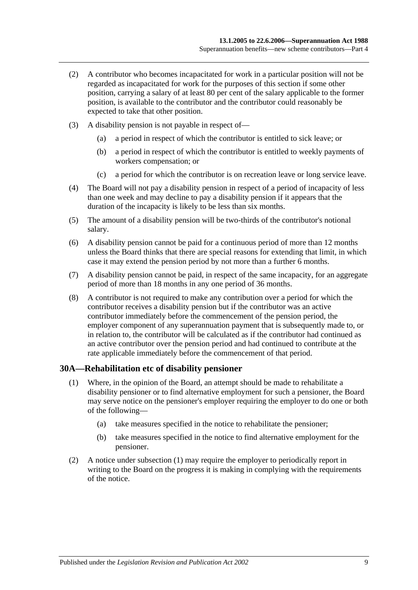- (2) A contributor who becomes incapacitated for work in a particular position will not be regarded as incapacitated for work for the purposes of this section if some other position, carrying a salary of at least 80 per cent of the salary applicable to the former position, is available to the contributor and the contributor could reasonably be expected to take that other position.
- (3) A disability pension is not payable in respect of—
	- (a) a period in respect of which the contributor is entitled to sick leave; or
	- (b) a period in respect of which the contributor is entitled to weekly payments of workers compensation; or
	- (c) a period for which the contributor is on recreation leave or long service leave.
- (4) The Board will not pay a disability pension in respect of a period of incapacity of less than one week and may decline to pay a disability pension if it appears that the duration of the incapacity is likely to be less than six months.
- (5) The amount of a disability pension will be two-thirds of the contributor's notional salary.
- (6) A disability pension cannot be paid for a continuous period of more than 12 months unless the Board thinks that there are special reasons for extending that limit, in which case it may extend the pension period by not more than a further 6 months.
- (7) A disability pension cannot be paid, in respect of the same incapacity, for an aggregate period of more than 18 months in any one period of 36 months.
- (8) A contributor is not required to make any contribution over a period for which the contributor receives a disability pension but if the contributor was an active contributor immediately before the commencement of the pension period, the employer component of any superannuation payment that is subsequently made to, or in relation to, the contributor will be calculated as if the contributor had continued as an active contributor over the pension period and had continued to contribute at the rate applicable immediately before the commencement of that period.

#### <span id="page-36-0"></span>**30A—Rehabilitation etc of disability pensioner**

- (1) Where, in the opinion of the Board, an attempt should be made to rehabilitate a disability pensioner or to find alternative employment for such a pensioner, the Board may serve notice on the pensioner's employer requiring the employer to do one or both of the following—
	- (a) take measures specified in the notice to rehabilitate the pensioner;
	- (b) take measures specified in the notice to find alternative employment for the pensioner.
- (2) A notice under [subsection](#page-36-0) (1) may require the employer to periodically report in writing to the Board on the progress it is making in complying with the requirements of the notice.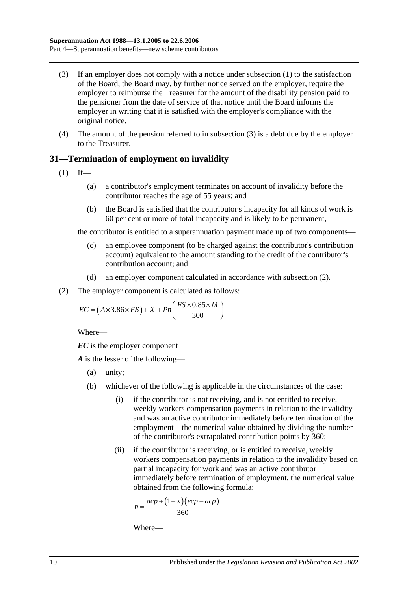- <span id="page-37-0"></span>(3) If an employer does not comply with a notice under [subsection](#page-36-0) (1) to the satisfaction of the Board, the Board may, by further notice served on the employer, require the employer to reimburse the Treasurer for the amount of the disability pension paid to the pensioner from the date of service of that notice until the Board informs the employer in writing that it is satisfied with the employer's compliance with the original notice.
- (4) The amount of the pension referred to in [subsection](#page-37-0) (3) is a debt due by the employer to the Treasurer.

## **31—Termination of employment on invalidity**

- <span id="page-37-2"></span> $(1)$  If—
	- (a) a contributor's employment terminates on account of invalidity before the contributor reaches the age of 55 years; and
	- (b) the Board is satisfied that the contributor's incapacity for all kinds of work is 60 per cent or more of total incapacity and is likely to be permanent,

the contributor is entitled to a superannuation payment made up of two components—

- (c) an employee component (to be charged against the contributor's contribution account) equivalent to the amount standing to the credit of the contributor's contribution account; and
- (d) an employer component calculated in accordance with [subsection](#page-37-1) (2).
- <span id="page-37-1"></span>(2) The employer component is calculated as follows:

$$
EC = (A \times 3.86 \times FS) + X + Pn\left(\frac{FS \times 0.85 \times M}{300}\right)
$$

Where—

*EC* is the employer component

*A* is the lesser of the following—

- (a) unity;
- (b) whichever of the following is applicable in the circumstances of the case:
	- (i) if the contributor is not receiving, and is not entitled to receive, weekly workers compensation payments in relation to the invalidity and was an active contributor immediately before termination of the employment—the numerical value obtained by dividing the number of the contributor's extrapolated contribution points by 360;
	- (ii) if the contributor is receiving, or is entitled to receive, weekly workers compensation payments in relation to the invalidity based on partial incapacity for work and was an active contributor immediately before termination of employment, the numerical value obtained from the following formula:

$$
n = \frac{acp + (1 - x)(ecp - acp)}{360}
$$

Where—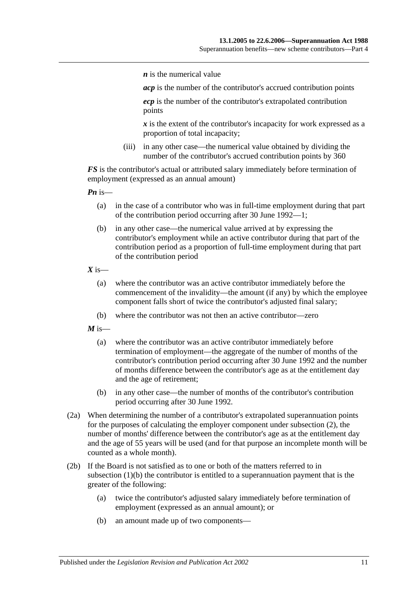*n* is the numerical value

*acp* is the number of the contributor's accrued contribution points

*ecp* is the number of the contributor's extrapolated contribution points

*x* is the extent of the contributor's incapacity for work expressed as a proportion of total incapacity;

(iii) in any other case—the numerical value obtained by dividing the number of the contributor's accrued contribution points by 360

*FS* is the contributor's actual or attributed salary immediately before termination of employment (expressed as an annual amount)

*Pn* is—

- (a) in the case of a contributor who was in full-time employment during that part of the contribution period occurring after 30 June 1992—1;
- (b) in any other case—the numerical value arrived at by expressing the contributor's employment while an active contributor during that part of the contribution period as a proportion of full-time employment during that part of the contribution period

 $X$  is—

- (a) where the contributor was an active contributor immediately before the commencement of the invalidity—the amount (if any) by which the employee component falls short of twice the contributor's adjusted final salary;
- (b) where the contributor was not then an active contributor—zero

 $M$  is—

- (a) where the contributor was an active contributor immediately before termination of employment—the aggregate of the number of months of the contributor's contribution period occurring after 30 June 1992 and the number of months difference between the contributor's age as at the entitlement day and the age of retirement;
- (b) in any other case—the number of months of the contributor's contribution period occurring after 30 June 1992.
- (2a) When determining the number of a contributor's extrapolated superannuation points for the purposes of calculating the employer component under [subsection](#page-37-1) (2), the number of months' difference between the contributor's age as at the entitlement day and the age of 55 years will be used (and for that purpose an incomplete month will be counted as a whole month).
- <span id="page-38-0"></span>(2b) If the Board is not satisfied as to one or both of the matters referred to in [subsection](#page-37-2) (1)(b) the contributor is entitled to a superannuation payment that is the greater of the following:
	- (a) twice the contributor's adjusted salary immediately before termination of employment (expressed as an annual amount); or
	- (b) an amount made up of two components—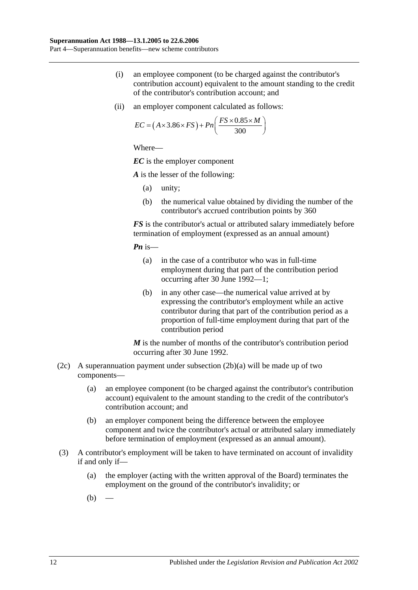- (i) an employee component (to be charged against the contributor's contribution account) equivalent to the amount standing to the credit of the contributor's contribution account; and
- (ii) an employer component calculated as follows:

$$
EC = (A \times 3.86 \times FS) + Pn\left(\frac{FS \times 0.85 \times M}{300}\right)
$$

*EC* is the employer component

*A* is the lesser of the following:

- (a) unity;
- (b) the numerical value obtained by dividing the number of the contributor's accrued contribution points by 360

*FS* is the contributor's actual or attributed salary immediately before termination of employment (expressed as an annual amount)

*Pn* is—

- (a) in the case of a contributor who was in full-time employment during that part of the contribution period occurring after 30 June 1992—1;
- (b) in any other case—the numerical value arrived at by expressing the contributor's employment while an active contributor during that part of the contribution period as a proportion of full-time employment during that part of the contribution period

*M* is the number of months of the contributor's contribution period occurring after 30 June 1992.

- (2c) A superannuation payment under [subsection](#page-38-0)  $(2b)(a)$  will be made up of two components—
	- (a) an employee component (to be charged against the contributor's contribution account) equivalent to the amount standing to the credit of the contributor's contribution account; and
	- (b) an employer component being the difference between the employee component and twice the contributor's actual or attributed salary immediately before termination of employment (expressed as an annual amount).
- <span id="page-39-1"></span><span id="page-39-0"></span>(3) A contributor's employment will be taken to have terminated on account of invalidity if and only if—
	- (a) the employer (acting with the written approval of the Board) terminates the employment on the ground of the contributor's invalidity; or
	- $(b)$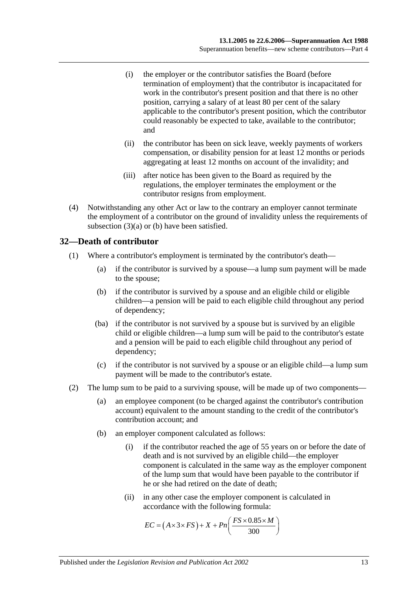- (i) the employer or the contributor satisfies the Board (before termination of employment) that the contributor is incapacitated for work in the contributor's present position and that there is no other position, carrying a salary of at least 80 per cent of the salary applicable to the contributor's present position, which the contributor could reasonably be expected to take, available to the contributor; and
- (ii) the contributor has been on sick leave, weekly payments of workers compensation, or disability pension for at least 12 months or periods aggregating at least 12 months on account of the invalidity; and
- (iii) after notice has been given to the Board as required by the regulations, the employer terminates the employment or the contributor resigns from employment.
- (4) Notwithstanding any other Act or law to the contrary an employer cannot terminate the employment of a contributor on the ground of invalidity unless the requirements of [subsection](#page-39-0) (3)(a) or [\(b\)](#page-39-1) have been satisfied.

## **32—Death of contributor**

- (1) Where a contributor's employment is terminated by the contributor's death—
	- (a) if the contributor is survived by a spouse—a lump sum payment will be made to the spouse;
	- (b) if the contributor is survived by a spouse and an eligible child or eligible children—a pension will be paid to each eligible child throughout any period of dependency;
	- (ba) if the contributor is not survived by a spouse but is survived by an eligible child or eligible children—a lump sum will be paid to the contributor's estate and a pension will be paid to each eligible child throughout any period of dependency;
	- (c) if the contributor is not survived by a spouse or an eligible child—a lump sum payment will be made to the contributor's estate.
- (2) The lump sum to be paid to a surviving spouse, will be made up of two components—
	- (a) an employee component (to be charged against the contributor's contribution account) equivalent to the amount standing to the credit of the contributor's contribution account; and
	- (b) an employer component calculated as follows:
		- (i) if the contributor reached the age of 55 years on or before the date of death and is not survived by an eligible child—the employer component is calculated in the same way as the employer component of the lump sum that would have been payable to the contributor if he or she had retired on the date of death;
		- (ii) in any other case the employer component is calculated in accordance with the following formula:

$$
EC = (A \times 3 \times FS) + X + Pn\left(\frac{FS \times 0.85 \times M}{300}\right)
$$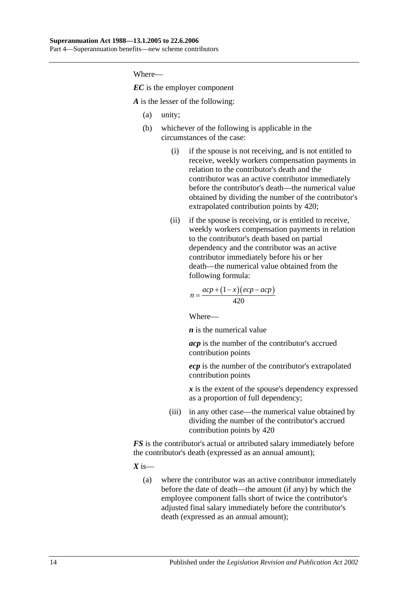*EC* is the employer component

*A* is the lesser of the following:

- (a) unity;
- (b) whichever of the following is applicable in the circumstances of the case:
	- (i) if the spouse is not receiving, and is not entitled to receive, weekly workers compensation payments in relation to the contributor's death and the contributor was an active contributor immediately before the contributor's death—the numerical value obtained by dividing the number of the contributor's extrapolated contribution points by 420;
	- (ii) if the spouse is receiving, or is entitled to receive, weekly workers compensation payments in relation to the contributor's death based on partial dependency and the contributor was an active contributor immediately before his or her death—the numerical value obtained from the following formula:

$$
n = \frac{acp + (1 - x)(ecp - acp)}{420}
$$

Where—

*n* is the numerical value

*acp* is the number of the contributor's accrued contribution points

*ecp* is the number of the contributor's extrapolated contribution points

*x* is the extent of the spouse's dependency expressed as a proportion of full dependency;

(iii) in any other case—the numerical value obtained by dividing the number of the contributor's accrued contribution points by 420

*FS* is the contributor's actual or attributed salary immediately before the contributor's death (expressed as an annual amount);

 $X$  is—

(a) where the contributor was an active contributor immediately before the date of death—the amount (if any) by which the employee component falls short of twice the contributor's adjusted final salary immediately before the contributor's death (expressed as an annual amount);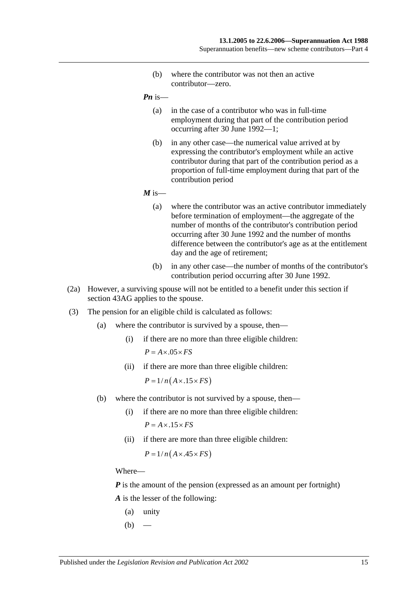(b) where the contributor was not then an active contributor—zero.

*Pn* is—

- (a) in the case of a contributor who was in full-time employment during that part of the contribution period occurring after 30 June 1992—1;
- (b) in any other case—the numerical value arrived at by expressing the contributor's employment while an active contributor during that part of the contribution period as a proportion of full-time employment during that part of the contribution period

 $M$  is—

- (a) where the contributor was an active contributor immediately before termination of employment—the aggregate of the number of months of the contributor's contribution period occurring after 30 June 1992 and the number of months difference between the contributor's age as at the entitlement day and the age of retirement;
- (b) in any other case—the number of months of the contributor's contribution period occurring after 30 June 1992.
- (2a) However, a surviving spouse will not be entitled to a benefit under this section if section 43AG applies to the spouse.
- (3) The pension for an eligible child is calculated as follows:
	- (a) where the contributor is survived by a spouse, then—
		- (i) if there are no more than three eligible children:  $P = A \times .05 \times FS$
		- (ii) if there are more than three eligible children:

 $P = 1/n(A \times .15 \times FS)$ 

- (b) where the contributor is not survived by a spouse, then—
	- (i) if there are no more than three eligible children:  $P = A \times 0.15 \times FS$
	- (ii) if there are more than three eligible children:

 $P = 1/n(A \times .45 \times FS)$ 

Where—

*P* is the amount of the pension (expressed as an amount per fortnight) *A* is the lesser of the following:

- (a) unity
- $(b)$  —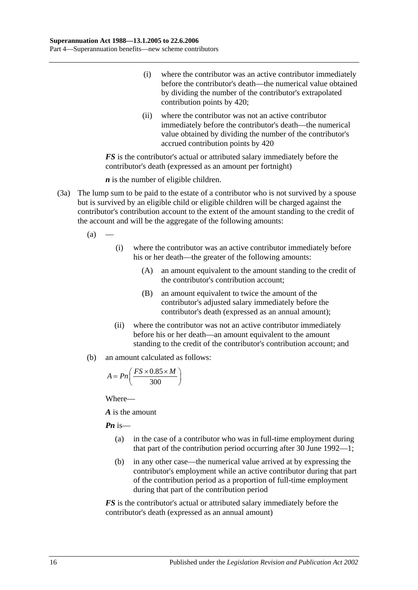- (i) where the contributor was an active contributor immediately before the contributor's death—the numerical value obtained by dividing the number of the contributor's extrapolated contribution points by 420;
- (ii) where the contributor was not an active contributor immediately before the contributor's death—the numerical value obtained by dividing the number of the contributor's accrued contribution points by 420

*FS* is the contributor's actual or attributed salary immediately before the contributor's death (expressed as an amount per fortnight)

*n* is the number of eligible children.

- (3a) The lump sum to be paid to the estate of a contributor who is not survived by a spouse but is survived by an eligible child or eligible children will be charged against the contributor's contribution account to the extent of the amount standing to the credit of the account and will be the aggregate of the following amounts:
	- $(a)$ 
		- (i) where the contributor was an active contributor immediately before his or her death—the greater of the following amounts:
			- (A) an amount equivalent to the amount standing to the credit of the contributor's contribution account;
			- (B) an amount equivalent to twice the amount of the contributor's adjusted salary immediately before the contributor's death (expressed as an annual amount);
		- (ii) where the contributor was not an active contributor immediately before his or her death—an amount equivalent to the amount standing to the credit of the contributor's contribution account; and
	- (b) an amount calculated as follows:

$$
A = P n \left( \frac{FS \times 0.85 \times M}{300} \right)
$$

Where—

*A* is the amount

*Pn* is—

- (a) in the case of a contributor who was in full-time employment during that part of the contribution period occurring after 30 June 1992—1;
- (b) in any other case—the numerical value arrived at by expressing the contributor's employment while an active contributor during that part of the contribution period as a proportion of full-time employment during that part of the contribution period

*FS* is the contributor's actual or attributed salary immediately before the contributor's death (expressed as an annual amount)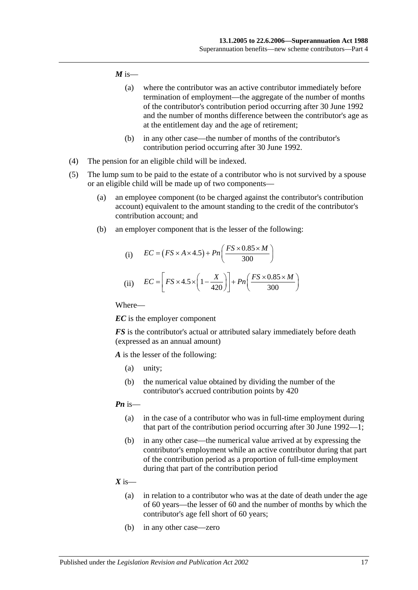#### $M$  is—

- (a) where the contributor was an active contributor immediately before termination of employment—the aggregate of the number of months of the contributor's contribution period occurring after 30 June 1992 and the number of months difference between the contributor's age as at the entitlement day and the age of retirement;
- (b) in any other case—the number of months of the contributor's contribution period occurring after 30 June 1992.
- (4) The pension for an eligible child will be indexed.
- (5) The lump sum to be paid to the estate of a contributor who is not survived by a spouse or an eligible child will be made up of two components—
	- (a) an employee component (to be charged against the contributor's contribution account) equivalent to the amount standing to the credit of the contributor's contribution account; and
	- (b) an employer component that is the lesser of the following:

(i) 
$$
EC = (FS \times A \times 4.5) + Pn\left(\frac{FS \times 0.85 \times M}{300}\right)
$$
  
(ii) 
$$
EC = \left[FS \times 4.5 \times \left(1 - \frac{X}{420}\right)\right] + Pn\left(\frac{FS \times 0.85 \times M}{300}\right)
$$

Where—

*EC* is the employer component

*FS* is the contributor's actual or attributed salary immediately before death (expressed as an annual amount)

*A* is the lesser of the following:

- (a) unity;
- (b) the numerical value obtained by dividing the number of the contributor's accrued contribution points by 420

#### *Pn* is—

- (a) in the case of a contributor who was in full-time employment during that part of the contribution period occurring after 30 June 1992—1;
- (b) in any other case—the numerical value arrived at by expressing the contributor's employment while an active contributor during that part of the contribution period as a proportion of full-time employment during that part of the contribution period
- $X$  is—
	- (a) in relation to a contributor who was at the date of death under the age of 60 years—the lesser of 60 and the number of months by which the contributor's age fell short of 60 years;
	- (b) in any other case—zero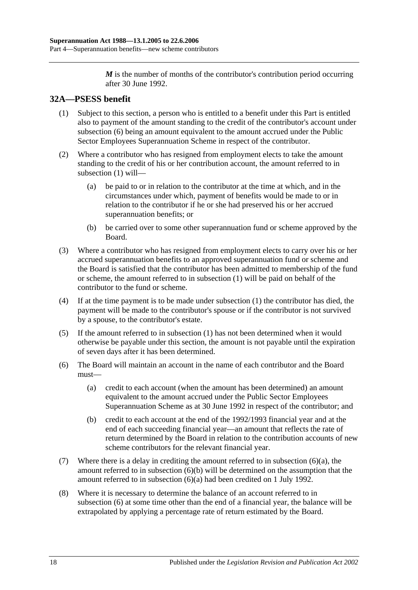*M* is the number of months of the contributor's contribution period occurring after 30 June 1992.

# <span id="page-45-1"></span>**32A—PSESS benefit**

- (1) Subject to this section, a person who is entitled to a benefit under this Part is entitled also to payment of the amount standing to the credit of the contributor's account under [subsection](#page-45-0) (6) being an amount equivalent to the amount accrued under the Public Sector Employees Superannuation Scheme in respect of the contributor.
- (2) Where a contributor who has resigned from employment elects to take the amount standing to the credit of his or her contribution account, the amount referred to in [subsection](#page-45-1) (1) will—
	- (a) be paid to or in relation to the contributor at the time at which, and in the circumstances under which, payment of benefits would be made to or in relation to the contributor if he or she had preserved his or her accrued superannuation benefits; or
	- (b) be carried over to some other superannuation fund or scheme approved by the Board.
- (3) Where a contributor who has resigned from employment elects to carry over his or her accrued superannuation benefits to an approved superannuation fund or scheme and the Board is satisfied that the contributor has been admitted to membership of the fund or scheme, the amount referred to in [subsection](#page-45-1) (1) will be paid on behalf of the contributor to the fund or scheme.
- (4) If at the time payment is to be made under [subsection](#page-45-1) (1) the contributor has died, the payment will be made to the contributor's spouse or if the contributor is not survived by a spouse, to the contributor's estate.
- (5) If the amount referred to in [subsection](#page-45-1) (1) has not been determined when it would otherwise be payable under this section, the amount is not payable until the expiration of seven days after it has been determined.
- <span id="page-45-2"></span><span id="page-45-0"></span>(6) The Board will maintain an account in the name of each contributor and the Board must—
	- (a) credit to each account (when the amount has been determined) an amount equivalent to the amount accrued under the Public Sector Employees Superannuation Scheme as at 30 June 1992 in respect of the contributor; and
	- (b) credit to each account at the end of the 1992/1993 financial year and at the end of each succeeding financial year—an amount that reflects the rate of return determined by the Board in relation to the contribution accounts of new scheme contributors for the relevant financial year.
- <span id="page-45-3"></span>(7) Where there is a delay in crediting the amount referred to in [subsection](#page-45-2) (6)(a), the amount referred to in [subsection](#page-45-3) (6)(b) will be determined on the assumption that the amount referred to in [subsection](#page-45-2) (6)(a) had been credited on 1 July 1992.
- (8) Where it is necessary to determine the balance of an account referred to in [subsection](#page-45-0) (6) at some time other than the end of a financial year, the balance will be extrapolated by applying a percentage rate of return estimated by the Board.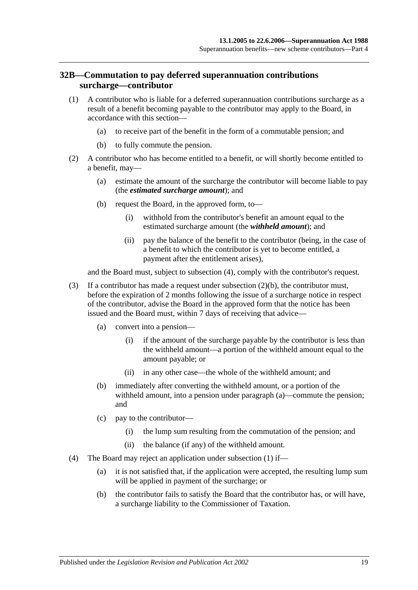## <span id="page-46-3"></span>**32B—Commutation to pay deferred superannuation contributions surcharge—contributor**

- <span id="page-46-2"></span>(1) A contributor who is liable for a deferred superannuation contributions surcharge as a result of a benefit becoming payable to the contributor may apply to the Board, in accordance with this section—
	- (a) to receive part of the benefit in the form of a commutable pension; and
	- (b) to fully commute the pension.
- <span id="page-46-1"></span>(2) A contributor who has become entitled to a benefit, or will shortly become entitled to a benefit, may—
	- (a) estimate the amount of the surcharge the contributor will become liable to pay (the *estimated surcharge amount*); and
	- (b) request the Board, in the approved form, to—
		- (i) withhold from the contributor's benefit an amount equal to the estimated surcharge amount (the *withheld amount*); and
		- (ii) pay the balance of the benefit to the contributor (being, in the case of a benefit to which the contributor is yet to become entitled, a payment after the entitlement arises),

and the Board must, subject to [subsection](#page-46-0) (4), comply with the contributor's request.

- (3) If a contributor has made a request under [subsection](#page-46-1) (2)(b), the contributor must, before the expiration of 2 months following the issue of a surcharge notice in respect of the contributor, advise the Board in the approved form that the notice has been issued and the Board must, within 7 days of receiving that advice—
	- (a) convert into a pension—
		- (i) if the amount of the surcharge payable by the contributor is less than the withheld amount—a portion of the withheld amount equal to the amount payable; or
		- (ii) in any other case—the whole of the withheld amount; and
	- (b) immediately after converting the withheld amount, or a portion of the withheld amount, into a pension under paragraph (a)—commute the pension; and
	- (c) pay to the contributor—
		- (i) the lump sum resulting from the commutation of the pension; and
		- (ii) the balance (if any) of the withheld amount.
- <span id="page-46-0"></span>(4) The Board may reject an application under [subsection](#page-46-2) (1) if—
	- (a) it is not satisfied that, if the application were accepted, the resulting lump sum will be applied in payment of the surcharge; or
	- (b) the contributor fails to satisfy the Board that the contributor has, or will have, a surcharge liability to the Commissioner of Taxation.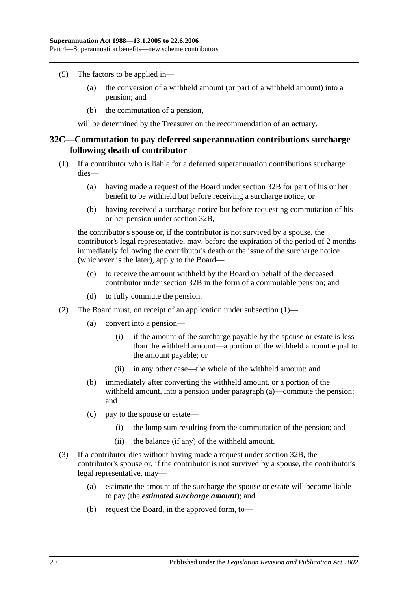- (5) The factors to be applied in—
	- (a) the conversion of a withheld amount (or part of a withheld amount) into a pension; and
	- (b) the commutation of a pension,

will be determined by the Treasurer on the recommendation of an actuary.

#### <span id="page-47-2"></span>**32C—Commutation to pay deferred superannuation contributions surcharge following death of contributor**

- <span id="page-47-0"></span>(1) If a contributor who is liable for a deferred superannuation contributions surcharge dies—
	- (a) having made a request of the Board under [section](#page-46-3) 32B for part of his or her benefit to be withheld but before receiving a surcharge notice; or
	- (b) having received a surcharge notice but before requesting commutation of his or her pension under [section](#page-46-3) 32B,

the contributor's spouse or, if the contributor is not survived by a spouse, the contributor's legal representative, may, before the expiration of the period of 2 months immediately following the contributor's death or the issue of the surcharge notice (whichever is the later), apply to the Board—

- (c) to receive the amount withheld by the Board on behalf of the deceased contributor under [section](#page-46-3) 32B in the form of a commutable pension; and
- (d) to fully commute the pension.
- (2) The Board must, on receipt of an application under [subsection](#page-47-0) (1)—
	- (a) convert into a pension—
		- (i) if the amount of the surcharge payable by the spouse or estate is less than the withheld amount—a portion of the withheld amount equal to the amount payable; or
		- (ii) in any other case—the whole of the withheld amount; and
	- (b) immediately after converting the withheld amount, or a portion of the withheld amount, into a pension under paragraph (a)—commute the pension; and
	- (c) pay to the spouse or estate—
		- (i) the lump sum resulting from the commutation of the pension; and
		- (ii) the balance (if any) of the withheld amount.
- <span id="page-47-1"></span>(3) If a contributor dies without having made a request under [section](#page-46-3) 32B, the contributor's spouse or, if the contributor is not survived by a spouse, the contributor's legal representative, may—
	- (a) estimate the amount of the surcharge the spouse or estate will become liable to pay (the *estimated surcharge amount*); and
	- (b) request the Board, in the approved form, to—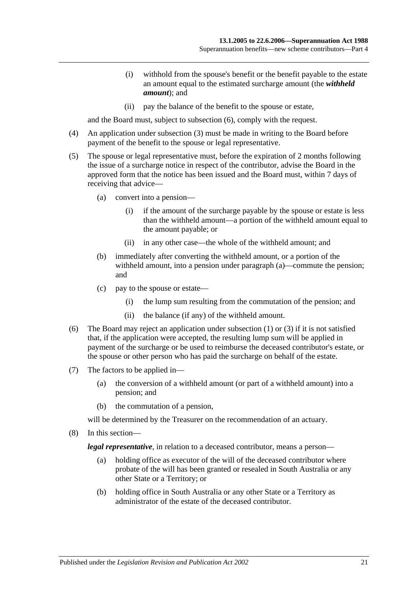- (i) withhold from the spouse's benefit or the benefit payable to the estate an amount equal to the estimated surcharge amount (the *withheld amount*); and
- (ii) pay the balance of the benefit to the spouse or estate,

and the Board must, subject to [subsection](#page-48-0) (6), comply with the request.

- (4) An application under [subsection](#page-47-1) (3) must be made in writing to the Board before payment of the benefit to the spouse or legal representative.
- (5) The spouse or legal representative must, before the expiration of 2 months following the issue of a surcharge notice in respect of the contributor, advise the Board in the approved form that the notice has been issued and the Board must, within 7 days of receiving that advice—
	- (a) convert into a pension—
		- (i) if the amount of the surcharge payable by the spouse or estate is less than the withheld amount—a portion of the withheld amount equal to the amount payable; or
		- (ii) in any other case—the whole of the withheld amount; and
	- (b) immediately after converting the withheld amount, or a portion of the withheld amount, into a pension under paragraph (a)—commute the pension; and
	- (c) pay to the spouse or estate—
		- (i) the lump sum resulting from the commutation of the pension; and
		- (ii) the balance (if any) of the withheld amount.
- <span id="page-48-0"></span>(6) The Board may reject an application under [subsection](#page-47-0) (1) or [\(3\)](#page-47-1) if it is not satisfied that, if the application were accepted, the resulting lump sum will be applied in payment of the surcharge or be used to reimburse the deceased contributor's estate, or the spouse or other person who has paid the surcharge on behalf of the estate.
- (7) The factors to be applied in—
	- (a) the conversion of a withheld amount (or part of a withheld amount) into a pension; and
	- (b) the commutation of a pension,

will be determined by the Treasurer on the recommendation of an actuary.

(8) In this section—

*legal representative*, in relation to a deceased contributor, means a person—

- (a) holding office as executor of the will of the deceased contributor where probate of the will has been granted or resealed in South Australia or any other State or a Territory; or
- (b) holding office in South Australia or any other State or a Territory as administrator of the estate of the deceased contributor.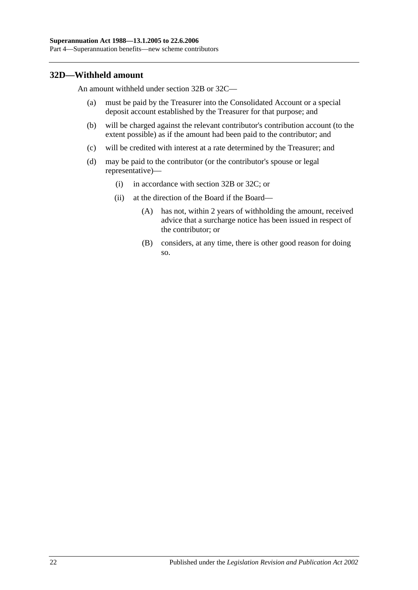## **32D—Withheld amount**

An amount withheld under [section](#page-46-3) 32B or [32C—](#page-47-2)

- (a) must be paid by the Treasurer into the Consolidated Account or a special deposit account established by the Treasurer for that purpose; and
- (b) will be charged against the relevant contributor's contribution account (to the extent possible) as if the amount had been paid to the contributor; and
- (c) will be credited with interest at a rate determined by the Treasurer; and
- (d) may be paid to the contributor (or the contributor's spouse or legal representative)—
	- (i) in accordance with [section](#page-46-3) 32B or [32C;](#page-47-2) or
	- (ii) at the direction of the Board if the Board—
		- (A) has not, within 2 years of withholding the amount, received advice that a surcharge notice has been issued in respect of the contributor; or
		- (B) considers, at any time, there is other good reason for doing so.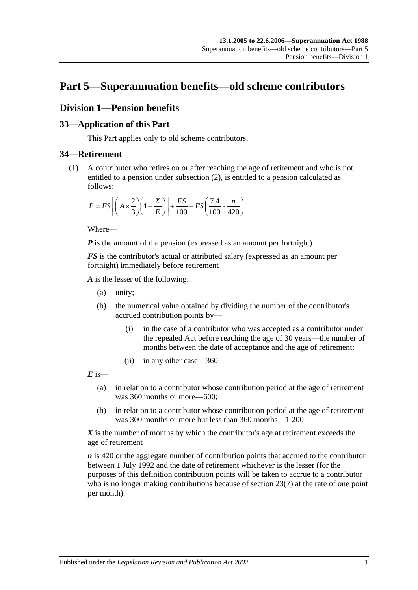# **Part 5—Superannuation benefits—old scheme contributors**

# **Division 1—Pension benefits**

#### **33—Application of this Part**

This Part applies only to old scheme contributors.

#### <span id="page-50-0"></span>**34—Retirement**

(1) A contributor who retires on or after reaching the age of retirement and who is not entitled to a pension under [subsection](#page-51-0) (2), is entitled to a pension calculated as follows:

$$
P = FS \left[ \left( A \times \frac{2}{3} \right) \left( 1 + \frac{X}{E} \right) \right] + \frac{FS}{100} + FS \left( \frac{7.4}{100} \times \frac{n}{420} \right)
$$

Where—

*P* is the amount of the pension (expressed as an amount per fortnight)

*FS* is the contributor's actual or attributed salary (expressed as an amount per fortnight) immediately before retirement

*A* is the lesser of the following:

- (a) unity;
- (b) the numerical value obtained by dividing the number of the contributor's accrued contribution points by—
	- (i) in the case of a contributor who was accepted as a contributor under the repealed Act before reaching the age of 30 years—the number of months between the date of acceptance and the age of retirement;
	- (ii) in any other case—360

 $\vec{E}$  is—

- (a) in relation to a contributor whose contribution period at the age of retirement was 360 months or more—600;
- (b) in relation to a contributor whose contribution period at the age of retirement was 300 months or more but less than 360 months—1 200

*X* is the number of months by which the contributor's age at retirement exceeds the age of retirement

*n* is 420 or the aggregate number of contribution points that accrued to the contributor between 1 July 1992 and the date of retirement whichever is the lesser (for the purposes of this definition contribution points will be taken to accrue to a contributor who is no longer making contributions because of [section](#page-26-0) 23(7) at the rate of one point per month).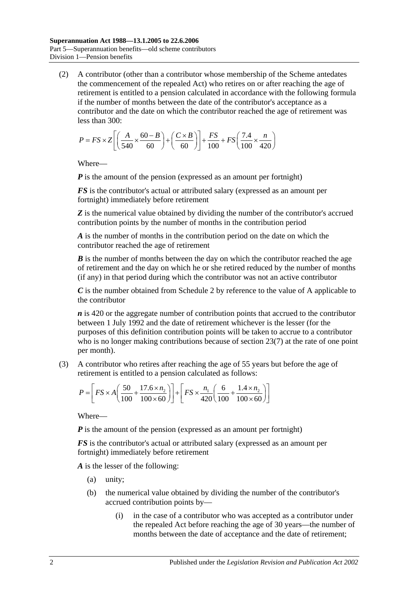<span id="page-51-0"></span>(2) A contributor (other than a contributor whose membership of the Scheme antedates the commencement of the repealed Act) who retires on or after reaching the age of retirement is entitled to a pension calculated in accordance with the following formula if the number of months between the date of the contributor's acceptance as a contributor and the date on which the contributor reached the age of retirement was less than 300:

$$
P = FS \times Z \left[ \left( \frac{A}{540} \times \frac{60 - B}{60} \right) + \left( \frac{C \times B}{60} \right) \right] + \frac{FS}{100} + FS \left( \frac{7.4}{100} \times \frac{n}{420} \right)
$$

Where—

*P* is the amount of the pension (expressed as an amount per fortnight)

*FS* is the contributor's actual or attributed salary (expressed as an amount per fortnight) immediately before retirement

**Z** is the numerical value obtained by dividing the number of the contributor's accrued contribution points by the number of months in the contribution period

*A* is the number of months in the contribution period on the date on which the contributor reached the age of retirement

*B* is the number of months between the day on which the contributor reached the age of retirement and the day on which he or she retired reduced by the number of months (if any) in that period during which the contributor was not an active contributor

*C* is the number obtained from [Schedule 2](#page-116-0) by reference to the value of A applicable to the contributor

*n* is 420 or the aggregate number of contribution points that accrued to the contributor between 1 July 1992 and the date of retirement whichever is the lesser (for the purposes of this definition contribution points will be taken to accrue to a contributor who is no longer making contributions because of [section](#page-26-0) 23(7) at the rate of one point per month).

(3) A contributor who retires after reaching the age of 55 years but before the age of retirement is entitled to a pension calculated as follows:

$$
P = \left[ FS \times A \left( \frac{50}{100} + \frac{17.6 \times n_2}{100 \times 60} \right) \right] + \left[ FS \times \frac{n_1}{420} \left( \frac{6}{100} + \frac{1.4 \times n_2}{100 \times 60} \right) \right]
$$

Where—

*P* is the amount of the pension (expressed as an amount per fortnight)

*FS* is the contributor's actual or attributed salary (expressed as an amount per fortnight) immediately before retirement

*A* is the lesser of the following:

- (a) unity;
- (b) the numerical value obtained by dividing the number of the contributor's accrued contribution points by—
	- (i) in the case of a contributor who was accepted as a contributor under the repealed Act before reaching the age of 30 years—the number of months between the date of acceptance and the date of retirement;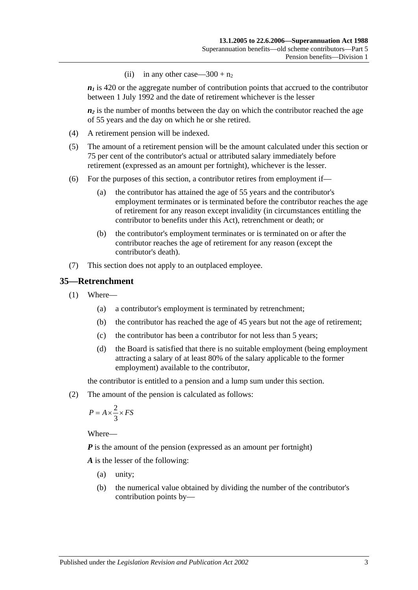(ii) in any other case— $300 + n_2$ 

 $n_1$  is 420 or the aggregate number of contribution points that accrued to the contributor between 1 July 1992 and the date of retirement whichever is the lesser

 $n_2$  is the number of months between the day on which the contributor reached the age of 55 years and the day on which he or she retired.

- (4) A retirement pension will be indexed.
- (5) The amount of a retirement pension will be the amount calculated under this section or 75 per cent of the contributor's actual or attributed salary immediately before retirement (expressed as an amount per fortnight), whichever is the lesser.
- (6) For the purposes of this section, a contributor retires from employment if—
	- (a) the contributor has attained the age of 55 years and the contributor's employment terminates or is terminated before the contributor reaches the age of retirement for any reason except invalidity (in circumstances entitling the contributor to benefits under this Act), retrenchment or death; or
	- (b) the contributor's employment terminates or is terminated on or after the contributor reaches the age of retirement for any reason (except the contributor's death).
- (7) This section does not apply to an outplaced employee.

#### <span id="page-52-1"></span>**35—Retrenchment**

- (1) Where—
	- (a) a contributor's employment is terminated by retrenchment;
	- (b) the contributor has reached the age of 45 years but not the age of retirement;
	- (c) the contributor has been a contributor for not less than 5 years;
	- (d) the Board is satisfied that there is no suitable employment (being employment attracting a salary of at least 80% of the salary applicable to the former employment) available to the contributor,

the contributor is entitled to a pension and a lump sum under this section.

<span id="page-52-0"></span>(2) The amount of the pension is calculated as follows:

$$
P = A \times \frac{2}{3} \times FS
$$

Where—

*P* is the amount of the pension (expressed as an amount per fortnight)

*A* is the lesser of the following:

- (a) unity;
- (b) the numerical value obtained by dividing the number of the contributor's contribution points by—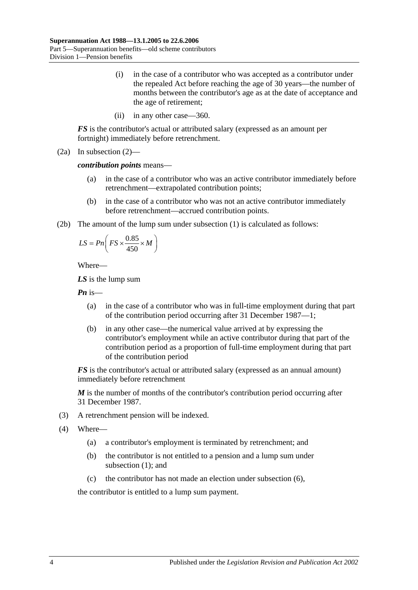- (i) in the case of a contributor who was accepted as a contributor under the repealed Act before reaching the age of 30 years—the number of months between the contributor's age as at the date of acceptance and the age of retirement;
- (ii) in any other case—360.

*FS* is the contributor's actual or attributed salary (expressed as an amount per fortnight) immediately before retrenchment.

(2a) In [subsection](#page-52-0) (2)—

*contribution points* means—

- (a) in the case of a contributor who was an active contributor immediately before retrenchment—extrapolated contribution points;
- (b) in the case of a contributor who was not an active contributor immediately before retrenchment—accrued contribution points.
- (2b) The amount of the lump sum under [subsection](#page-52-1) (1) is calculated as follows:

$$
LS = P n \left( FS \times \frac{0.85}{450} \times M \right)
$$

Where—

*LS* is the lump sum

*Pn* is—

- (a) in the case of a contributor who was in full-time employment during that part of the contribution period occurring after 31 December 1987—1;
- (b) in any other case—the numerical value arrived at by expressing the contributor's employment while an active contributor during that part of the contribution period as a proportion of full-time employment during that part of the contribution period

*FS* is the contributor's actual or attributed salary (expressed as an annual amount) immediately before retrenchment

*M* is the number of months of the contributor's contribution period occurring after 31 December 1987.

- (3) A retrenchment pension will be indexed.
- (4) Where—
	- (a) a contributor's employment is terminated by retrenchment; and
	- (b) the contributor is not entitled to a pension and a lump sum under [subsection](#page-52-1) (1); and
	- (c) the contributor has not made an election under [subsection](#page-54-0) (6),

the contributor is entitled to a lump sum payment.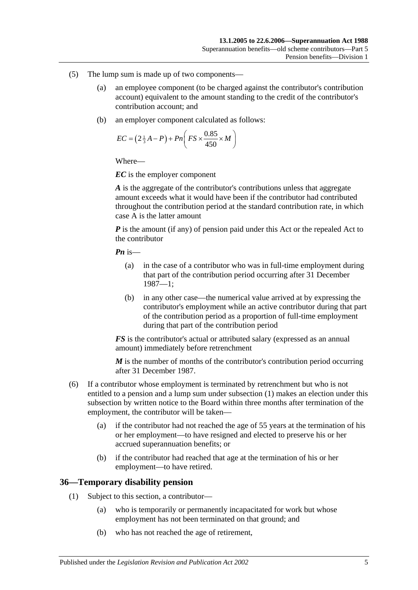- (5) The lump sum is made up of two components—
	- (a) an employee component (to be charged against the contributor's contribution account) equivalent to the amount standing to the credit of the contributor's contribution account; and
	- (b) an employer component calculated as follows:

$$
EC = \left(2\frac{1}{3}A - P\right) + Pn\left(FS \times \frac{0.85}{450} \times M\right)
$$

*EC* is the employer component

*A* is the aggregate of the contributor's contributions unless that aggregate amount exceeds what it would have been if the contributor had contributed throughout the contribution period at the standard contribution rate, in which case A is the latter amount

*P* is the amount (if any) of pension paid under this Act or the repealed Act to the contributor

*Pn* is—

- (a) in the case of a contributor who was in full-time employment during that part of the contribution period occurring after 31 December 1987—1;
- (b) in any other case—the numerical value arrived at by expressing the contributor's employment while an active contributor during that part of the contribution period as a proportion of full-time employment during that part of the contribution period

*FS* is the contributor's actual or attributed salary (expressed as an annual amount) immediately before retrenchment

*M* is the number of months of the contributor's contribution period occurring after 31 December 1987.

- <span id="page-54-0"></span>(6) If a contributor whose employment is terminated by retrenchment but who is not entitled to a pension and a lump sum under [subsection](#page-52-1) (1) makes an election under this subsection by written notice to the Board within three months after termination of the employment, the contributor will be taken—
	- (a) if the contributor had not reached the age of 55 years at the termination of his or her employment—to have resigned and elected to preserve his or her accrued superannuation benefits; or
	- (b) if the contributor had reached that age at the termination of his or her employment—to have retired.

## **36—Temporary disability pension**

- (1) Subject to this section, a contributor—
	- (a) who is temporarily or permanently incapacitated for work but whose employment has not been terminated on that ground; and
	- (b) who has not reached the age of retirement,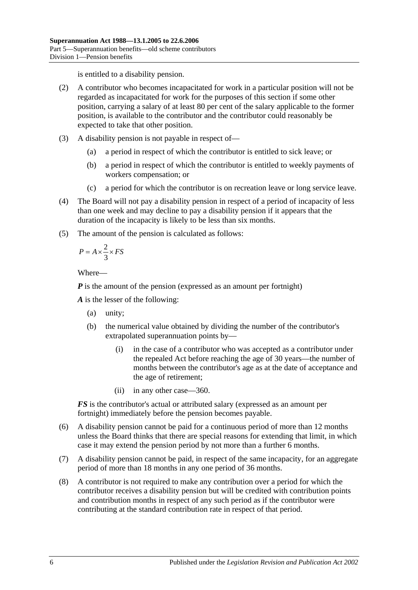is entitled to a disability pension.

- (2) A contributor who becomes incapacitated for work in a particular position will not be regarded as incapacitated for work for the purposes of this section if some other position, carrying a salary of at least 80 per cent of the salary applicable to the former position, is available to the contributor and the contributor could reasonably be expected to take that other position.
- (3) A disability pension is not payable in respect of—
	- (a) a period in respect of which the contributor is entitled to sick leave; or
	- (b) a period in respect of which the contributor is entitled to weekly payments of workers compensation; or
	- (c) a period for which the contributor is on recreation leave or long service leave.
- (4) The Board will not pay a disability pension in respect of a period of incapacity of less than one week and may decline to pay a disability pension if it appears that the duration of the incapacity is likely to be less than six months.
- (5) The amount of the pension is calculated as follows:

$$
P = A \times \frac{2}{3} \times FS
$$

Where—

*P* is the amount of the pension (expressed as an amount per fortnight)

*A* is the lesser of the following:

- (a) unity;
- (b) the numerical value obtained by dividing the number of the contributor's extrapolated superannuation points by—
	- (i) in the case of a contributor who was accepted as a contributor under the repealed Act before reaching the age of 30 years—the number of months between the contributor's age as at the date of acceptance and the age of retirement;
	- (ii) in any other case—360.

*FS* is the contributor's actual or attributed salary (expressed as an amount per fortnight) immediately before the pension becomes payable.

- (6) A disability pension cannot be paid for a continuous period of more than 12 months unless the Board thinks that there are special reasons for extending that limit, in which case it may extend the pension period by not more than a further 6 months.
- (7) A disability pension cannot be paid, in respect of the same incapacity, for an aggregate period of more than 18 months in any one period of 36 months.
- (8) A contributor is not required to make any contribution over a period for which the contributor receives a disability pension but will be credited with contribution points and contribution months in respect of any such period as if the contributor were contributing at the standard contribution rate in respect of that period.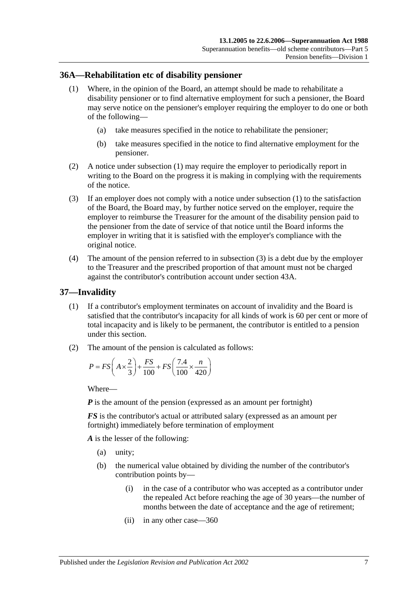#### <span id="page-56-0"></span>**36A—Rehabilitation etc of disability pensioner**

- (1) Where, in the opinion of the Board, an attempt should be made to rehabilitate a disability pensioner or to find alternative employment for such a pensioner, the Board may serve notice on the pensioner's employer requiring the employer to do one or both of the following—
	- (a) take measures specified in the notice to rehabilitate the pensioner;
	- (b) take measures specified in the notice to find alternative employment for the pensioner.
- (2) A notice under [subsection](#page-56-0) (1) may require the employer to periodically report in writing to the Board on the progress it is making in complying with the requirements of the notice.
- <span id="page-56-1"></span>(3) If an employer does not comply with a notice under [subsection](#page-56-0) (1) to the satisfaction of the Board, the Board may, by further notice served on the employer, require the employer to reimburse the Treasurer for the amount of the disability pension paid to the pensioner from the date of service of that notice until the Board informs the employer in writing that it is satisfied with the employer's compliance with the original notice.
- (4) The amount of the pension referred to in [subsection](#page-56-1) (3) is a debt due by the employer to the Treasurer and the prescribed proportion of that amount must not be charged against the contributor's contribution account under [section](#page-76-0) 43A.

#### <span id="page-56-3"></span>**37—Invalidity**

- (1) If a contributor's employment terminates on account of invalidity and the Board is satisfied that the contributor's incapacity for all kinds of work is 60 per cent or more of total incapacity and is likely to be permanent, the contributor is entitled to a pension under this section.
- <span id="page-56-2"></span>(2) The amount of the pension is calculated as follows:

$$
P = FS\left(A \times \frac{2}{3}\right) + \frac{FS}{100} + FS\left(\frac{7.4}{100} \times \frac{n}{420}\right)
$$

Where—

*P* is the amount of the pension (expressed as an amount per fortnight)

*FS* is the contributor's actual or attributed salary (expressed as an amount per fortnight) immediately before termination of employment

*A* is the lesser of the following:

- (a) unity;
- (b) the numerical value obtained by dividing the number of the contributor's contribution points by—
	- (i) in the case of a contributor who was accepted as a contributor under the repealed Act before reaching the age of 30 years—the number of months between the date of acceptance and the age of retirement;
	- (ii) in any other case—360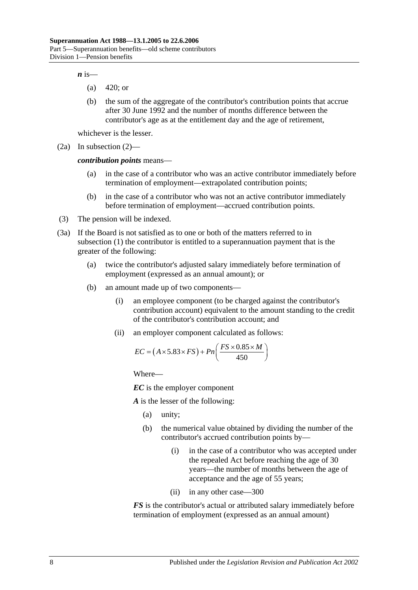$\boldsymbol{n}$  is—

- (a) 420; or
- (b) the sum of the aggregate of the contributor's contribution points that accrue after 30 June 1992 and the number of months difference between the contributor's age as at the entitlement day and the age of retirement,

whichever is the lesser.

(2a) In [subsection](#page-56-2) (2)—

*contribution points* means—

- (a) in the case of a contributor who was an active contributor immediately before termination of employment—extrapolated contribution points;
- (b) in the case of a contributor who was not an active contributor immediately before termination of employment—accrued contribution points.
- (3) The pension will be indexed.
- <span id="page-57-0"></span>(3a) If the Board is not satisfied as to one or both of the matters referred to in [subsection](#page-56-3) (1) the contributor is entitled to a superannuation payment that is the greater of the following:
	- (a) twice the contributor's adjusted salary immediately before termination of employment (expressed as an annual amount); or
	- (b) an amount made up of two components—
		- (i) an employee component (to be charged against the contributor's contribution account) equivalent to the amount standing to the credit of the contributor's contribution account; and
		- (ii) an employer component calculated as follows:

$$
EC = (A \times 5.83 \times FS) + Pn\left(\frac{FS \times 0.85 \times M}{450}\right)
$$

Where—

*EC* is the employer component

*A* is the lesser of the following:

- (a) unity;
- (b) the numerical value obtained by dividing the number of the contributor's accrued contribution points by—
	- (i) in the case of a contributor who was accepted under the repealed Act before reaching the age of 30 years—the number of months between the age of acceptance and the age of 55 years;
	- (ii) in any other case—300

*FS* is the contributor's actual or attributed salary immediately before termination of employment (expressed as an annual amount)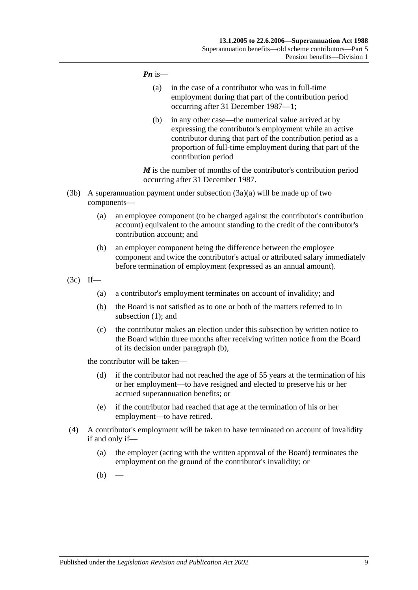#### *Pn* is—

- (a) in the case of a contributor who was in full-time employment during that part of the contribution period occurring after 31 December 1987—1;
- (b) in any other case—the numerical value arrived at by expressing the contributor's employment while an active contributor during that part of the contribution period as a proportion of full-time employment during that part of the contribution period

*M* is the number of months of the contributor's contribution period occurring after 31 December 1987.

- (3b) A superannuation payment under [subsection](#page-57-0)  $(3a)(a)$  will be made up of two components—
	- (a) an employee component (to be charged against the contributor's contribution account) equivalent to the amount standing to the credit of the contributor's contribution account; and
	- (b) an employer component being the difference between the employee component and twice the contributor's actual or attributed salary immediately before termination of employment (expressed as an annual amount).
- <span id="page-58-0"></span>(3c) If—
	- (a) a contributor's employment terminates on account of invalidity; and
	- (b) the Board is not satisfied as to one or both of the matters referred to in [subsection](#page-56-3) (1); and
	- (c) the contributor makes an election under this subsection by written notice to the Board within three months after receiving written notice from the Board of its decision under [paragraph](#page-58-0) (b),

the contributor will be taken—

- (d) if the contributor had not reached the age of 55 years at the termination of his or her employment—to have resigned and elected to preserve his or her accrued superannuation benefits; or
- (e) if the contributor had reached that age at the termination of his or her employment—to have retired.
- <span id="page-58-2"></span><span id="page-58-1"></span>(4) A contributor's employment will be taken to have terminated on account of invalidity if and only if—
	- (a) the employer (acting with the written approval of the Board) terminates the employment on the ground of the contributor's invalidity; or
	- $(b)$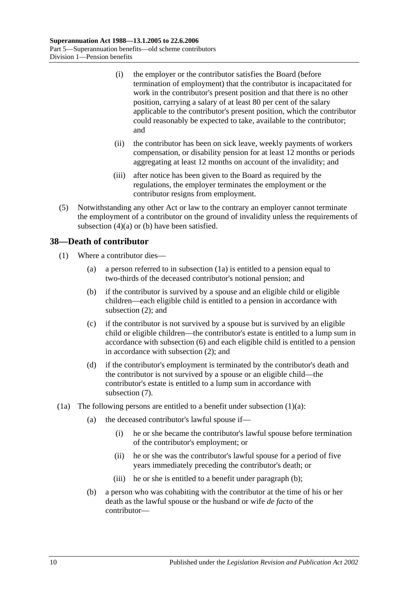- (i) the employer or the contributor satisfies the Board (before termination of employment) that the contributor is incapacitated for work in the contributor's present position and that there is no other position, carrying a salary of at least 80 per cent of the salary applicable to the contributor's present position, which the contributor could reasonably be expected to take, available to the contributor; and
- (ii) the contributor has been on sick leave, weekly payments of workers compensation, or disability pension for at least 12 months or periods aggregating at least 12 months on account of the invalidity; and
- (iii) after notice has been given to the Board as required by the regulations, the employer terminates the employment or the contributor resigns from employment.
- (5) Notwithstanding any other Act or law to the contrary an employer cannot terminate the employment of a contributor on the ground of invalidity unless the requirements of [subsection](#page-58-1)  $(4)(a)$  or  $(b)$  have been satisfied.

## **38—Death of contributor**

- <span id="page-59-1"></span>(1) Where a contributor dies—
	- (a) a person referred to in [subsection](#page-59-0) (1a) is entitled to a pension equal to two-thirds of the deceased contributor's notional pension; and
	- (b) if the contributor is survived by a spouse and an eligible child or eligible children—each eligible child is entitled to a pension in accordance with [subsection](#page-60-0) (2); and
	- (c) if the contributor is not survived by a spouse but is survived by an eligible child or eligible children—the contributor's estate is entitled to a lump sum in accordance with [subsection](#page-61-0) (6) and each eligible child is entitled to a pension in accordance with [subsection](#page-60-0) (2); and
	- (d) if the contributor's employment is terminated by the contributor's death and the contributor is not survived by a spouse or an eligible child—the contributor's estate is entitled to a lump sum in accordance with [subsection](#page-62-0) (7).
- <span id="page-59-2"></span><span id="page-59-0"></span>(1a) The following persons are entitled to a benefit under [subsection](#page-59-1)  $(1)(a)$ :
	- (a) the deceased contributor's lawful spouse if—
		- (i) he or she became the contributor's lawful spouse before termination of the contributor's employment; or
		- (ii) he or she was the contributor's lawful spouse for a period of five years immediately preceding the contributor's death; or
		- (iii) he or she is entitled to a benefit under [paragraph](#page-59-2) (b);
	- (b) a person who was cohabiting with the contributor at the time of his or her death as the lawful spouse or the husband or wife *de facto* of the contributor—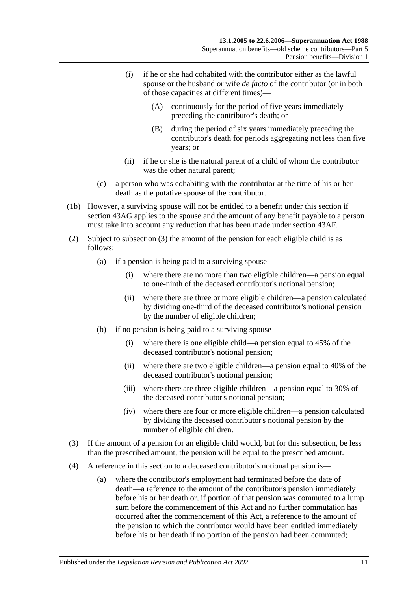- (i) if he or she had cohabited with the contributor either as the lawful spouse or the husband or wife *de facto* of the contributor (or in both of those capacities at different times)—
	- (A) continuously for the period of five years immediately preceding the contributor's death; or
	- (B) during the period of six years immediately preceding the contributor's death for periods aggregating not less than five years; or
- (ii) if he or she is the natural parent of a child of whom the contributor was the other natural parent;
- (c) a person who was cohabiting with the contributor at the time of his or her death as the putative spouse of the contributor.
- (1b) However, a surviving spouse will not be entitled to a benefit under this section if section 43AG applies to the spouse and the amount of any benefit payable to a person must take into account any reduction that has been made under [section](#page-79-0) 43AF.
- <span id="page-60-0"></span>(2) Subject to [subsection](#page-60-1) (3) the amount of the pension for each eligible child is as follows:
	- (a) if a pension is being paid to a surviving spouse—
		- (i) where there are no more than two eligible children—a pension equal to one-ninth of the deceased contributor's notional pension;
		- (ii) where there are three or more eligible children—a pension calculated by dividing one-third of the deceased contributor's notional pension by the number of eligible children;
	- (b) if no pension is being paid to a surviving spouse—
		- (i) where there is one eligible child—a pension equal to 45% of the deceased contributor's notional pension;
		- (ii) where there are two eligible children—a pension equal to 40% of the deceased contributor's notional pension;
		- (iii) where there are three eligible children—a pension equal to 30% of the deceased contributor's notional pension;
		- (iv) where there are four or more eligible children—a pension calculated by dividing the deceased contributor's notional pension by the number of eligible children.
- <span id="page-60-1"></span>(3) If the amount of a pension for an eligible child would, but for this subsection, be less than the prescribed amount, the pension will be equal to the prescribed amount.
- (4) A reference in this section to a deceased contributor's notional pension is—
	- (a) where the contributor's employment had terminated before the date of death—a reference to the amount of the contributor's pension immediately before his or her death or, if portion of that pension was commuted to a lump sum before the commencement of this Act and no further commutation has occurred after the commencement of this Act, a reference to the amount of the pension to which the contributor would have been entitled immediately before his or her death if no portion of the pension had been commuted;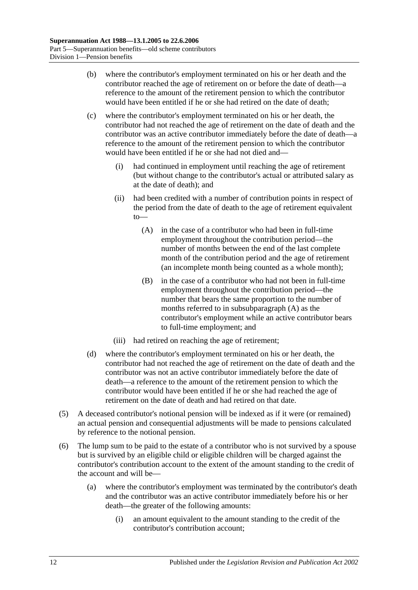- (b) where the contributor's employment terminated on his or her death and the contributor reached the age of retirement on or before the date of death—a reference to the amount of the retirement pension to which the contributor would have been entitled if he or she had retired on the date of death;
- <span id="page-61-1"></span>(c) where the contributor's employment terminated on his or her death, the contributor had not reached the age of retirement on the date of death and the contributor was an active contributor immediately before the date of death—a reference to the amount of the retirement pension to which the contributor would have been entitled if he or she had not died and—
	- (i) had continued in employment until reaching the age of retirement (but without change to the contributor's actual or attributed salary as at the date of death); and
	- (ii) had been credited with a number of contribution points in respect of the period from the date of death to the age of retirement equivalent to—
		- (A) in the case of a contributor who had been in full-time employment throughout the contribution period—the number of months between the end of the last complete month of the contribution period and the age of retirement (an incomplete month being counted as a whole month);
		- (B) in the case of a contributor who had not been in full-time employment throughout the contribution period—the number that bears the same proportion to the number of months referred to in [subsubparagraph](#page-61-1) (A) as the contributor's employment while an active contributor bears to full-time employment; and
	- (iii) had retired on reaching the age of retirement;
- (d) where the contributor's employment terminated on his or her death, the contributor had not reached the age of retirement on the date of death and the contributor was not an active contributor immediately before the date of death—a reference to the amount of the retirement pension to which the contributor would have been entitled if he or she had reached the age of retirement on the date of death and had retired on that date.
- (5) A deceased contributor's notional pension will be indexed as if it were (or remained) an actual pension and consequential adjustments will be made to pensions calculated by reference to the notional pension.
- <span id="page-61-0"></span>(6) The lump sum to be paid to the estate of a contributor who is not survived by a spouse but is survived by an eligible child or eligible children will be charged against the contributor's contribution account to the extent of the amount standing to the credit of the account and will be—
	- (a) where the contributor's employment was terminated by the contributor's death and the contributor was an active contributor immediately before his or her death—the greater of the following amounts:
		- (i) an amount equivalent to the amount standing to the credit of the contributor's contribution account;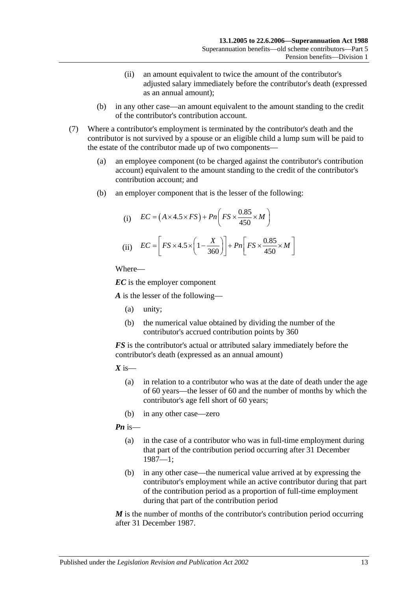- (ii) an amount equivalent to twice the amount of the contributor's adjusted salary immediately before the contributor's death (expressed as an annual amount);
- (b) in any other case—an amount equivalent to the amount standing to the credit of the contributor's contribution account.
- <span id="page-62-0"></span>(7) Where a contributor's employment is terminated by the contributor's death and the contributor is not survived by a spouse or an eligible child a lump sum will be paid to the estate of the contributor made up of two components—
	- (a) an employee component (to be charged against the contributor's contribution account) equivalent to the amount standing to the credit of the contributor's contribution account; and
	- (b) an employer component that is the lesser of the following:

(i) 
$$
EC = (A \times 4.5 \times FS) + Pn\left(FS \times \frac{0.85}{450} \times M\right)
$$
  
(ii) 
$$
EC = \left[FS \times 4.5 \times \left(1 - \frac{X}{360}\right)\right] + Pn\left[FS \times \frac{0.85}{450} \times M\right]
$$

*EC* is the employer component

*A* is the lesser of the following—

- (a) unity;
- (b) the numerical value obtained by dividing the number of the contributor's accrued contribution points by 360

*FS* is the contributor's actual or attributed salary immediately before the contributor's death (expressed as an annual amount)

 $X$  is—

- (a) in relation to a contributor who was at the date of death under the age of 60 years—the lesser of 60 and the number of months by which the contributor's age fell short of 60 years;
- (b) in any other case—zero

*Pn* is—

- (a) in the case of a contributor who was in full-time employment during that part of the contribution period occurring after 31 December 1987—1;
- (b) in any other case—the numerical value arrived at by expressing the contributor's employment while an active contributor during that part of the contribution period as a proportion of full-time employment during that part of the contribution period

*M* is the number of months of the contributor's contribution period occurring after 31 December 1987.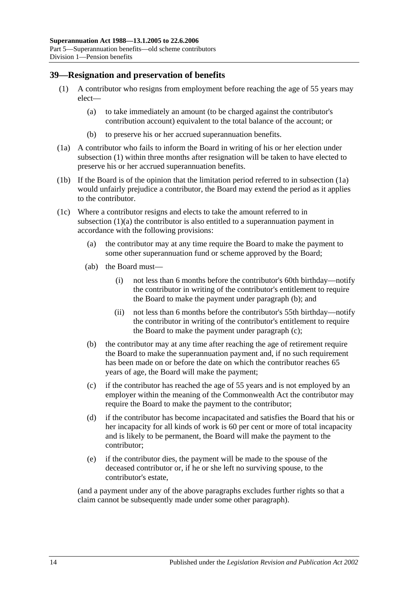#### <span id="page-63-6"></span><span id="page-63-0"></span>**39—Resignation and preservation of benefits**

- <span id="page-63-2"></span>(1) A contributor who resigns from employment before reaching the age of 55 years may elect—
	- (a) to take immediately an amount (to be charged against the contributor's contribution account) equivalent to the total balance of the account; or
	- (b) to preserve his or her accrued superannuation benefits.
- <span id="page-63-1"></span>(1a) A contributor who fails to inform the Board in writing of his or her election under [subsection](#page-63-0) (1) within three months after resignation will be taken to have elected to preserve his or her accrued superannuation benefits.
- (1b) If the Board is of the opinion that the limitation period referred to in [subsection](#page-63-1) (1a) would unfairly prejudice a contributor, the Board may extend the period as it applies to the contributor.
- <span id="page-63-5"></span><span id="page-63-3"></span>(1c) Where a contributor resigns and elects to take the amount referred to in [subsection](#page-63-2) (1)(a) the contributor is also entitled to a superannuation payment in accordance with the following provisions:
	- (a) the contributor may at any time require the Board to make the payment to some other superannuation fund or scheme approved by the Board;
	- (ab) the Board must—
		- (i) not less than 6 months before the contributor's 60th birthday—notify the contributor in writing of the contributor's entitlement to require the Board to make the payment under [paragraph](#page-63-3) (b); and
		- (ii) not less than 6 months before the contributor's 55th birthday—notify the contributor in writing of the contributor's entitlement to require the Board to make the payment under [paragraph](#page-63-4) (c);
	- (b) the contributor may at any time after reaching the age of retirement require the Board to make the superannuation payment and, if no such requirement has been made on or before the date on which the contributor reaches 65 years of age, the Board will make the payment;
	- (c) if the contributor has reached the age of 55 years and is not employed by an employer within the meaning of the Commonwealth Act the contributor may require the Board to make the payment to the contributor;
	- (d) if the contributor has become incapacitated and satisfies the Board that his or her incapacity for all kinds of work is 60 per cent or more of total incapacity and is likely to be permanent, the Board will make the payment to the contributor;
	- (e) if the contributor dies, the payment will be made to the spouse of the deceased contributor or, if he or she left no surviving spouse, to the contributor's estate,

<span id="page-63-4"></span>(and a payment under any of the above paragraphs excludes further rights so that a claim cannot be subsequently made under some other paragraph).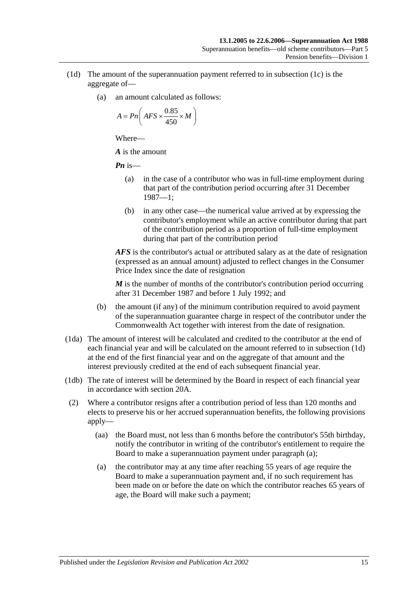- <span id="page-64-0"></span>(1d) The amount of the superannuation payment referred to in [subsection](#page-63-5) (1c) is the aggregate of—
	- (a) an amount calculated as follows:

$$
A = P n \bigg( AFS \times \frac{0.85}{450} \times M \bigg)
$$

*A* is the amount

*Pn* is—

- (a) in the case of a contributor who was in full-time employment during that part of the contribution period occurring after 31 December 1987—1;
- (b) in any other case—the numerical value arrived at by expressing the contributor's employment while an active contributor during that part of the contribution period as a proportion of full-time employment during that part of the contribution period

*AFS* is the contributor's actual or attributed salary as at the date of resignation (expressed as an annual amount) adjusted to reflect changes in the Consumer Price Index since the date of resignation

*M* is the number of months of the contributor's contribution period occurring after 31 December 1987 and before 1 July 1992; and

- (b) the amount (if any) of the minimum contribution required to avoid payment of the superannuation guarantee charge in respect of the contributor under the Commonwealth Act together with interest from the date of resignation.
- (1da) The amount of interest will be calculated and credited to the contributor at the end of each financial year and will be calculated on the amount referred to in [subsection](#page-64-0) (1d) at the end of the first financial year and on the aggregate of that amount and the interest previously credited at the end of each subsequent financial year.
- (1db) The rate of interest will be determined by the Board in respect of each financial year in accordance with [section](#page-19-0) 20A.
- <span id="page-64-2"></span><span id="page-64-1"></span>(2) Where a contributor resigns after a contribution period of less than 120 months and elects to preserve his or her accrued superannuation benefits, the following provisions apply—
	- (aa) the Board must, not less than 6 months before the contributor's 55th birthday, notify the contributor in writing of the contributor's entitlement to require the Board to make a superannuation payment under [paragraph](#page-64-1) (a);
	- (a) the contributor may at any time after reaching 55 years of age require the Board to make a superannuation payment and, if no such requirement has been made on or before the date on which the contributor reaches 65 years of age, the Board will make such a payment;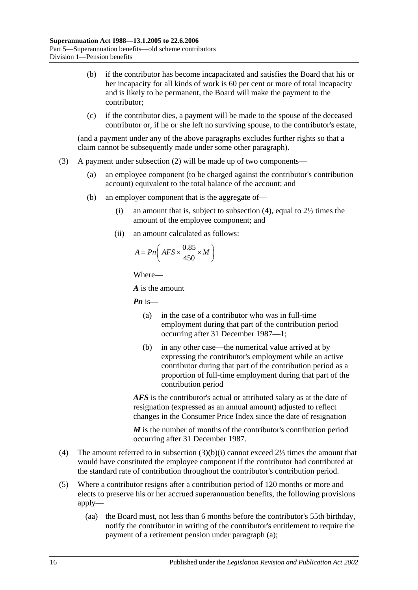- (b) if the contributor has become incapacitated and satisfies the Board that his or her incapacity for all kinds of work is 60 per cent or more of total incapacity and is likely to be permanent, the Board will make the payment to the contributor;
- (c) if the contributor dies, a payment will be made to the spouse of the deceased contributor or, if he or she left no surviving spouse, to the contributor's estate,

(and a payment under any of the above paragraphs excludes further rights so that a claim cannot be subsequently made under some other paragraph).

- <span id="page-65-1"></span>(3) A payment under [subsection](#page-64-2) (2) will be made up of two components—
	- (a) an employee component (to be charged against the contributor's contribution account) equivalent to the total balance of the account; and
	- (b) an employer component that is the aggregate of—
		- (i) an amount that is, subject to [subsection](#page-65-0) (4), equal to 2⅓ times the amount of the employee component; and
		- (ii) an amount calculated as follows:

$$
A = P n \left( AFS \times \frac{0.85}{450} \times M \right)
$$

Where—

*A* is the amount

*Pn* is—

- (a) in the case of a contributor who was in full-time employment during that part of the contribution period occurring after 31 December 1987—1;
- (b) in any other case—the numerical value arrived at by expressing the contributor's employment while an active contributor during that part of the contribution period as a proportion of full-time employment during that part of the contribution period

*AFS* is the contributor's actual or attributed salary as at the date of resignation (expressed as an annual amount) adjusted to reflect changes in the Consumer Price Index since the date of resignation

*M* is the number of months of the contributor's contribution period occurring after 31 December 1987.

- <span id="page-65-0"></span>(4) The amount referred to in [subsection](#page-65-1) (3)(b)(i) cannot exceed 2⅓ times the amount that would have constituted the employee component if the contributor had contributed at the standard rate of contribution throughout the contributor's contribution period.
- <span id="page-65-2"></span>(5) Where a contributor resigns after a contribution period of 120 months or more and elects to preserve his or her accrued superannuation benefits, the following provisions apply—
	- (aa) the Board must, not less than 6 months before the contributor's 55th birthday, notify the contributor in writing of the contributor's entitlement to require the payment of a retirement pension under [paragraph](#page-66-0) (a);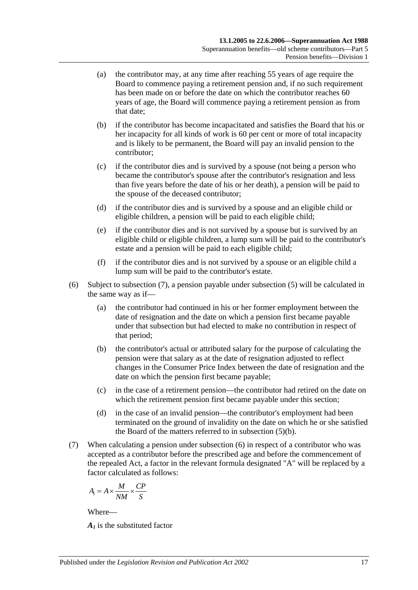- <span id="page-66-0"></span>(a) the contributor may, at any time after reaching 55 years of age require the Board to commence paying a retirement pension and, if no such requirement has been made on or before the date on which the contributor reaches 60 years of age, the Board will commence paying a retirement pension as from that date;
- <span id="page-66-2"></span>(b) if the contributor has become incapacitated and satisfies the Board that his or her incapacity for all kinds of work is 60 per cent or more of total incapacity and is likely to be permanent, the Board will pay an invalid pension to the contributor;
- (c) if the contributor dies and is survived by a spouse (not being a person who became the contributor's spouse after the contributor's resignation and less than five years before the date of his or her death), a pension will be paid to the spouse of the deceased contributor;
- (d) if the contributor dies and is survived by a spouse and an eligible child or eligible children, a pension will be paid to each eligible child;
- (e) if the contributor dies and is not survived by a spouse but is survived by an eligible child or eligible children, a lump sum will be paid to the contributor's estate and a pension will be paid to each eligible child;
- (f) if the contributor dies and is not survived by a spouse or an eligible child a lump sum will be paid to the contributor's estate.
- <span id="page-66-3"></span>(6) Subject to [subsection](#page-66-1) (7), a pension payable under [subsection](#page-65-2) (5) will be calculated in the same way as if—
	- (a) the contributor had continued in his or her former employment between the date of resignation and the date on which a pension first became payable under that subsection but had elected to make no contribution in respect of that period;
	- (b) the contributor's actual or attributed salary for the purpose of calculating the pension were that salary as at the date of resignation adjusted to reflect changes in the Consumer Price Index between the date of resignation and the date on which the pension first became payable;
	- (c) in the case of a retirement pension—the contributor had retired on the date on which the retirement pension first became payable under this section;
	- (d) in the case of an invalid pension—the contributor's employment had been terminated on the ground of invalidity on the date on which he or she satisfied the Board of the matters referred to in [subsection](#page-66-2) (5)(b).
- <span id="page-66-1"></span>(7) When calculating a pension under [subsection](#page-66-3) (6) in respect of a contributor who was accepted as a contributor before the prescribed age and before the commencement of the repealed Act, a factor in the relevant formula designated "A" will be replaced by a factor calculated as follows:

$$
A_1 = A \times \frac{M}{NM} \times \frac{CP}{S}
$$

*A1* is the substituted factor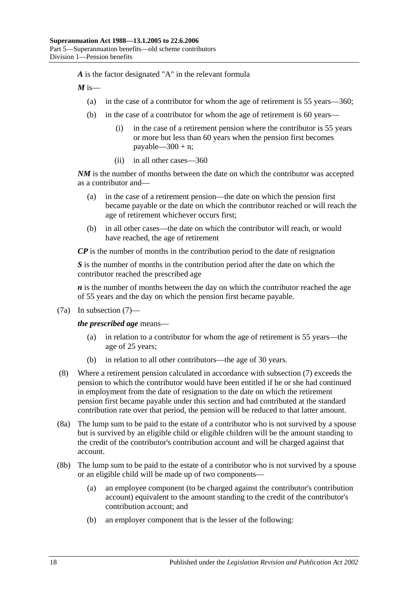*A* is the factor designated "A" in the relevant formula

 $M$  is—

- (a) in the case of a contributor for whom the age of retirement is 55 years—360;
- (b) in the case of a contributor for whom the age of retirement is 60 years—
	- (i) in the case of a retirement pension where the contributor is 55 years or more but less than 60 years when the pension first becomes payable— $300 + n$ ;
	- (ii) in all other cases—360

*NM* is the number of months between the date on which the contributor was accepted as a contributor and—

- (a) in the case of a retirement pension—the date on which the pension first became payable or the date on which the contributor reached or will reach the age of retirement whichever occurs first;
- (b) in all other cases—the date on which the contributor will reach, or would have reached, the age of retirement

*CP* is the number of months in the contribution period to the date of resignation

*S* is the number of months in the contribution period after the date on which the contributor reached the prescribed age

*n* is the number of months between the day on which the contributor reached the age of 55 years and the day on which the pension first became payable.

(7a) In [subsection](#page-66-1) (7)—

*the prescribed age* means—

- (a) in relation to a contributor for whom the age of retirement is 55 years—the age of 25 years;
- (b) in relation to all other contributors—the age of 30 years.
- (8) Where a retirement pension calculated in accordance with [subsection](#page-66-1) (7) exceeds the pension to which the contributor would have been entitled if he or she had continued in employment from the date of resignation to the date on which the retirement pension first became payable under this section and had contributed at the standard contribution rate over that period, the pension will be reduced to that latter amount.
- (8a) The lump sum to be paid to the estate of a contributor who is not survived by a spouse but is survived by an eligible child or eligible children will be the amount standing to the credit of the contributor's contribution account and will be charged against that account.
- (8b) The lump sum to be paid to the estate of a contributor who is not survived by a spouse or an eligible child will be made up of two components—
	- (a) an employee component (to be charged against the contributor's contribution account) equivalent to the amount standing to the credit of the contributor's contribution account; and
	- (b) an employer component that is the lesser of the following: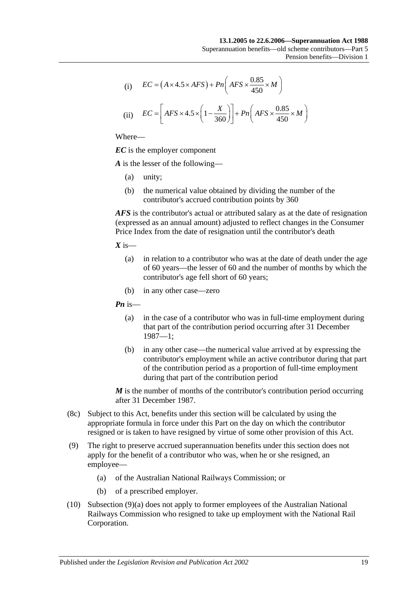(i) 
$$
EC = (A \times 4.5 \times AFS) + Pn\left(AFS \times \frac{0.85}{450} \times M\right)
$$

(ii) 
$$
EC = \left[ AFS \times 4.5 \times \left(1 - \frac{X}{360}\right) \right] + Pn\left( AFS \times \frac{0.85}{450} \times M\right)
$$

*EC* is the employer component

*A* is the lesser of the following—

- (a) unity;
- (b) the numerical value obtained by dividing the number of the contributor's accrued contribution points by 360

*AFS* is the contributor's actual or attributed salary as at the date of resignation (expressed as an annual amount) adjusted to reflect changes in the Consumer Price Index from the date of resignation until the contributor's death

 $X$  is—

- (a) in relation to a contributor who was at the date of death under the age of 60 years—the lesser of 60 and the number of months by which the contributor's age fell short of 60 years;
- (b) in any other case—zero

*Pn* is—

- (a) in the case of a contributor who was in full-time employment during that part of the contribution period occurring after 31 December 1987—1;
- (b) in any other case—the numerical value arrived at by expressing the contributor's employment while an active contributor during that part of the contribution period as a proportion of full-time employment during that part of the contribution period

*M* is the number of months of the contributor's contribution period occurring after 31 December 1987.

- (8c) Subject to this Act, benefits under this section will be calculated by using the appropriate formula in force under this Part on the day on which the contributor resigned or is taken to have resigned by virtue of some other provision of this Act.
- <span id="page-68-0"></span>(9) The right to preserve accrued superannuation benefits under this section does not apply for the benefit of a contributor who was, when he or she resigned, an employee—
	- (a) of the Australian National Railways Commission; or
	- (b) of a prescribed employer.
- (10) [Subsection](#page-68-0) (9)(a) does not apply to former employees of the Australian National Railways Commission who resigned to take up employment with the National Rail Corporation.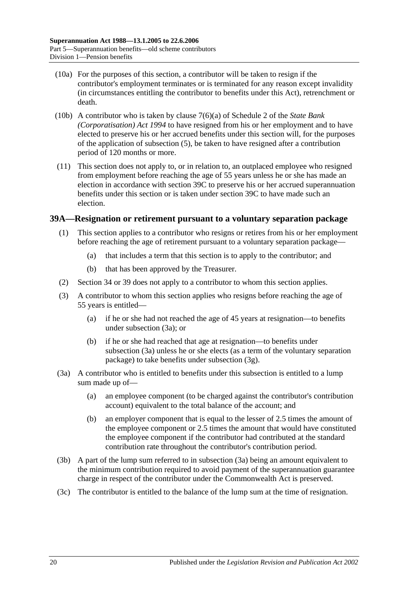- (10a) For the purposes of this section, a contributor will be taken to resign if the contributor's employment terminates or is terminated for any reason except invalidity (in circumstances entitling the contributor to benefits under this Act), retrenchment or death.
- (10b) A contributor who is taken by clause 7(6)(a) of Schedule 2 of the *[State Bank](http://www.legislation.sa.gov.au/index.aspx?action=legref&type=act&legtitle=State%20Bank%20(Corporatisation)%20Act%201994)  [\(Corporatisation\) Act](http://www.legislation.sa.gov.au/index.aspx?action=legref&type=act&legtitle=State%20Bank%20(Corporatisation)%20Act%201994) 1994* to have resigned from his or her employment and to have elected to preserve his or her accrued benefits under this section will, for the purposes of the application of [subsection](#page-65-2) (5), be taken to have resigned after a contribution period of 120 months or more.
- (11) This section does not apply to, or in relation to, an outplaced employee who resigned from employment before reaching the age of 55 years unless he or she has made an election in accordance with [section](#page-72-0) 39C to preserve his or her accrued superannuation benefits under this section or is taken under [section](#page-72-0) 39C to have made such an election.

#### <span id="page-69-3"></span><span id="page-69-2"></span>**39A—Resignation or retirement pursuant to a voluntary separation package**

- (1) This section applies to a contributor who resigns or retires from his or her employment before reaching the age of retirement pursuant to a voluntary separation package—
	- (a) that includes a term that this section is to apply to the contributor; and
	- (b) that has been approved by the Treasurer.
- (2) [Section](#page-50-0) 34 or [39](#page-63-6) does not apply to a contributor to whom this section applies.
- (3) A contributor to whom this section applies who resigns before reaching the age of 55 years is entitled—
	- (a) if he or she had not reached the age of 45 years at resignation—to benefits under [subsection](#page-69-0) (3a); or
	- (b) if he or she had reached that age at resignation—to benefits under [subsection](#page-69-0) (3a) unless he or she elects (as a term of the voluntary separation package) to take benefits under [subsection](#page-70-0) (3g).
- <span id="page-69-0"></span>(3a) A contributor who is entitled to benefits under this subsection is entitled to a lump sum made up of—
	- (a) an employee component (to be charged against the contributor's contribution account) equivalent to the total balance of the account; and
	- (b) an employer component that is equal to the lesser of 2.5 times the amount of the employee component or 2.5 times the amount that would have constituted the employee component if the contributor had contributed at the standard contribution rate throughout the contributor's contribution period.
- <span id="page-69-1"></span>(3b) A part of the lump sum referred to in [subsection](#page-69-0) (3a) being an amount equivalent to the minimum contribution required to avoid payment of the superannuation guarantee charge in respect of the contributor under the Commonwealth Act is preserved.
- (3c) The contributor is entitled to the balance of the lump sum at the time of resignation.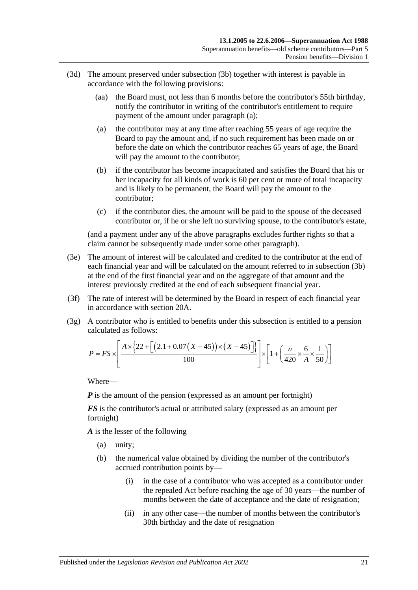- <span id="page-70-1"></span>(3d) The amount preserved under [subsection](#page-69-1) (3b) together with interest is payable in accordance with the following provisions:
	- (aa) the Board must, not less than 6 months before the contributor's 55th birthday, notify the contributor in writing of the contributor's entitlement to require payment of the amount under [paragraph](#page-70-1) (a);
	- (a) the contributor may at any time after reaching 55 years of age require the Board to pay the amount and, if no such requirement has been made on or before the date on which the contributor reaches 65 years of age, the Board will pay the amount to the contributor;
	- (b) if the contributor has become incapacitated and satisfies the Board that his or her incapacity for all kinds of work is 60 per cent or more of total incapacity and is likely to be permanent, the Board will pay the amount to the contributor;
	- (c) if the contributor dies, the amount will be paid to the spouse of the deceased contributor or, if he or she left no surviving spouse, to the contributor's estate,

(and a payment under any of the above paragraphs excludes further rights so that a claim cannot be subsequently made under some other paragraph).

- (3e) The amount of interest will be calculated and credited to the contributor at the end of each financial year and will be calculated on the amount referred to in [subsection](#page-69-1) (3b) at the end of the first financial year and on the aggregate of that amount and the interest previously credited at the end of each subsequent financial year.
- (3f) The rate of interest will be determined by the Board in respect of each financial year in accordance with [section](#page-19-0) 20A.
- <span id="page-70-0"></span>(3g) A contributor who is entitled to benefits under this subsection is entitled to a pension calculated as follows:

$$
P = FS \times \left[ \frac{A \times \{22 + \left[ (2.1 + 0.07(X - 45)) \times (X - 45) \right] \} }{100} \right] \times \left[ 1 + \left( \frac{n}{420} \times \frac{6}{A} \times \frac{1}{50} \right) \right]
$$

Where—

*P* is the amount of the pension (expressed as an amount per fortnight)

*FS* is the contributor's actual or attributed salary (expressed as an amount per fortnight)

*A* is the lesser of the following

- (a) unity;
- (b) the numerical value obtained by dividing the number of the contributor's accrued contribution points by—
	- (i) in the case of a contributor who was accepted as a contributor under the repealed Act before reaching the age of 30 years—the number of months between the date of acceptance and the date of resignation;
	- (ii) in any other case—the number of months between the contributor's 30th birthday and the date of resignation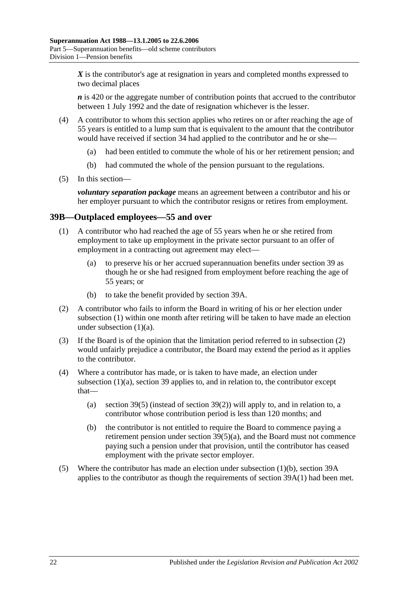X is the contributor's age at resignation in years and completed months expressed to two decimal places

*n* is 420 or the aggregate number of contribution points that accrued to the contributor between 1 July 1992 and the date of resignation whichever is the lesser.

- (4) A contributor to whom this section applies who retires on or after reaching the age of 55 years is entitled to a lump sum that is equivalent to the amount that the contributor would have received if [section](#page-50-0) 34 had applied to the contributor and he or she—
	- (a) had been entitled to commute the whole of his or her retirement pension; and
	- (b) had commuted the whole of the pension pursuant to the regulations.
- (5) In this section—

*voluntary separation package* means an agreement between a contributor and his or her employer pursuant to which the contributor resigns or retires from employment.

#### <span id="page-71-0"></span>**39B—Outplaced employees—55 and over**

- <span id="page-71-1"></span>(1) A contributor who had reached the age of 55 years when he or she retired from employment to take up employment in the private sector pursuant to an offer of employment in a contracting out agreement may elect—
	- (a) to preserve his or her accrued superannuation benefits under [section](#page-63-6) 39 as though he or she had resigned from employment before reaching the age of 55 years; or
	- (b) to take the benefit provided by [section](#page-69-2) 39A.
- <span id="page-71-3"></span><span id="page-71-2"></span>(2) A contributor who fails to inform the Board in writing of his or her election under [subsection](#page-71-0) (1) within one month after retiring will be taken to have made an election under [subsection](#page-71-1)  $(1)(a)$ .
- (3) If the Board is of the opinion that the limitation period referred to in [subsection](#page-71-2) (2) would unfairly prejudice a contributor, the Board may extend the period as it applies to the contributor.
- (4) Where a contributor has made, or is taken to have made, an election under [subsection](#page-71-1) (1)(a), [section](#page-63-6) 39 applies to, and in relation to, the contributor except that
	- (a) [section](#page-65-2) 39(5) (instead of [section](#page-64-2) 39(2)) will apply to, and in relation to, a contributor whose contribution period is less than 120 months; and
	- (b) the contributor is not entitled to require the Board to commence paying a retirement pension under section [39\(5\)\(a\),](#page-66-0) and the Board must not commence paying such a pension under that provision, until the contributor has ceased employment with the private sector employer.
- (5) Where the contributor has made an election under [subsection](#page-71-3) (1)(b), [section](#page-69-2) 39A applies to the contributor as though the requirements of [section](#page-69-3) 39A(1) had been met.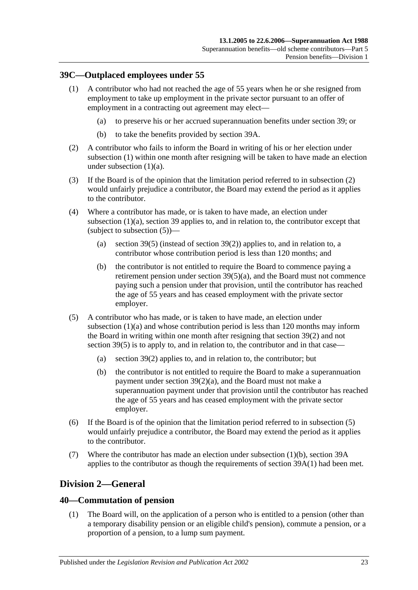## <span id="page-72-0"></span>**39C—Outplaced employees under 55**

- <span id="page-72-1"></span>(1) A contributor who had not reached the age of 55 years when he or she resigned from employment to take up employment in the private sector pursuant to an offer of employment in a contracting out agreement may elect—
	- (a) to preserve his or her accrued superannuation benefits under [section](#page-63-0) 39; or
	- (b) to take the benefits provided by [section](#page-69-0) 39A.
- <span id="page-72-4"></span><span id="page-72-2"></span>(2) A contributor who fails to inform the Board in writing of his or her election under [subsection](#page-72-0) (1) within one month after resigning will be taken to have made an election under [subsection](#page-72-1) (1)(a).
- (3) If the Board is of the opinion that the limitation period referred to in [subsection](#page-72-2) (2) would unfairly prejudice a contributor, the Board may extend the period as it applies to the contributor.
- (4) Where a contributor has made, or is taken to have made, an election under [subsection](#page-72-1) (1)(a), [section](#page-63-0) 39 applies to, and in relation to, the contributor except that (subject to [subsection](#page-72-3) (5))—
	- (a) [section](#page-65-0) 39(5) (instead of [section](#page-64-0) 39(2)) applies to, and in relation to, a contributor whose contribution period is less than 120 months; and
	- (b) the contributor is not entitled to require the Board to commence paying a retirement pension under section [39\(5\)\(a\),](#page-66-0) and the Board must not commence paying such a pension under that provision, until the contributor has reached the age of 55 years and has ceased employment with the private sector employer.
- <span id="page-72-3"></span>(5) A contributor who has made, or is taken to have made, an election under [subsection](#page-72-1) (1)(a) and whose contribution period is less than 120 months may inform the Board in writing within one month after resigning that [section](#page-64-0) 39(2) and not [section](#page-65-0) 39(5) is to apply to, and in relation to, the contributor and in that case—
	- (a) [section](#page-64-0) 39(2) applies to, and in relation to, the contributor; but
	- (b) the contributor is not entitled to require the Board to make a superannuation payment under section [39\(2\)\(a\),](#page-64-1) and the Board must not make a superannuation payment under that provision until the contributor has reached the age of 55 years and has ceased employment with the private sector employer.
- (6) If the Board is of the opinion that the limitation period referred to in [subsection](#page-72-3) (5) would unfairly prejudice a contributor, the Board may extend the period as it applies to the contributor.
- (7) Where the contributor has made an election under [subsection](#page-72-4) (1)(b), [section](#page-69-0) 39A applies to the contributor as though the requirements of [section](#page-69-1) 39A(1) had been met.

# **Division 2—General**

## <span id="page-72-5"></span>**40—Commutation of pension**

(1) The Board will, on the application of a person who is entitled to a pension (other than a temporary disability pension or an eligible child's pension), commute a pension, or a proportion of a pension, to a lump sum payment.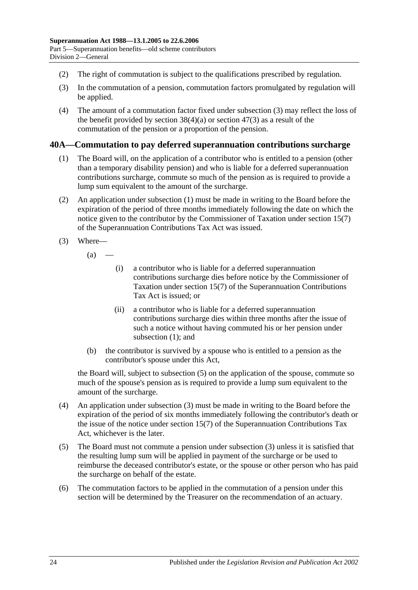- (2) The right of commutation is subject to the qualifications prescribed by regulation.
- <span id="page-73-0"></span>(3) In the commutation of a pension, commutation factors promulgated by regulation will be applied.
- (4) The amount of a commutation factor fixed under [subsection](#page-73-0) (3) may reflect the loss of the benefit provided by [section](#page-89-0)  $38(4)(a)$  or section  $47(3)$  as a result of the commutation of the pension or a proportion of the pension.

### <span id="page-73-1"></span>**40A—Commutation to pay deferred superannuation contributions surcharge**

- (1) The Board will, on the application of a contributor who is entitled to a pension (other than a temporary disability pension) and who is liable for a deferred superannuation contributions surcharge, commute so much of the pension as is required to provide a lump sum equivalent to the amount of the surcharge.
- (2) An application under [subsection](#page-73-1) (1) must be made in writing to the Board before the expiration of the period of three months immediately following the date on which the notice given to the contributor by the Commissioner of Taxation under section 15(7) of the Superannuation Contributions Tax Act was issued.
- <span id="page-73-3"></span>(3) Where—
	- $(a)$ 
		- (i) a contributor who is liable for a deferred superannuation contributions surcharge dies before notice by the Commissioner of Taxation under section 15(7) of the Superannuation Contributions Tax Act is issued; or
		- (ii) a contributor who is liable for a deferred superannuation contributions surcharge dies within three months after the issue of such a notice without having commuted his or her pension under [subsection](#page-73-1) (1); and
	- (b) the contributor is survived by a spouse who is entitled to a pension as the contributor's spouse under this Act,

the Board will, subject to [subsection](#page-73-2) (5) on the application of the spouse, commute so much of the spouse's pension as is required to provide a lump sum equivalent to the amount of the surcharge.

- (4) An application under [subsection](#page-73-3) (3) must be made in writing to the Board before the expiration of the period of six months immediately following the contributor's death or the issue of the notice under section 15(7) of the Superannuation Contributions Tax Act, whichever is the later.
- <span id="page-73-2"></span>(5) The Board must not commute a pension under [subsection](#page-73-3) (3) unless it is satisfied that the resulting lump sum will be applied in payment of the surcharge or be used to reimburse the deceased contributor's estate, or the spouse or other person who has paid the surcharge on behalf of the estate.
- (6) The commutation factors to be applied in the commutation of a pension under this section will be determined by the Treasurer on the recommendation of an actuary.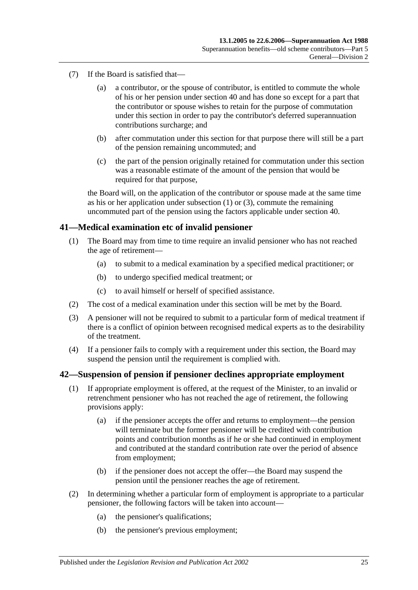- (7) If the Board is satisfied that—
	- (a) a contributor, or the spouse of contributor, is entitled to commute the whole of his or her pension under [section](#page-72-5) 40 and has done so except for a part that the contributor or spouse wishes to retain for the purpose of commutation under this section in order to pay the contributor's deferred superannuation contributions surcharge; and
	- (b) after commutation under this section for that purpose there will still be a part of the pension remaining uncommuted; and
	- (c) the part of the pension originally retained for commutation under this section was a reasonable estimate of the amount of the pension that would be required for that purpose,

the Board will, on the application of the contributor or spouse made at the same time as his or her application under [subsection](#page-73-1) (1) or [\(3\),](#page-73-3) commute the remaining uncommuted part of the pension using the factors applicable under [section](#page-72-5) 40.

### **41—Medical examination etc of invalid pensioner**

- (1) The Board may from time to time require an invalid pensioner who has not reached the age of retirement—
	- (a) to submit to a medical examination by a specified medical practitioner; or
	- (b) to undergo specified medical treatment; or
	- (c) to avail himself or herself of specified assistance.
- (2) The cost of a medical examination under this section will be met by the Board.
- (3) A pensioner will not be required to submit to a particular form of medical treatment if there is a conflict of opinion between recognised medical experts as to the desirability of the treatment.
- (4) If a pensioner fails to comply with a requirement under this section, the Board may suspend the pension until the requirement is complied with.

#### <span id="page-74-0"></span>**42—Suspension of pension if pensioner declines appropriate employment**

- (1) If appropriate employment is offered, at the request of the Minister, to an invalid or retrenchment pensioner who has not reached the age of retirement, the following provisions apply:
	- (a) if the pensioner accepts the offer and returns to employment—the pension will terminate but the former pensioner will be credited with contribution points and contribution months as if he or she had continued in employment and contributed at the standard contribution rate over the period of absence from employment;
	- (b) if the pensioner does not accept the offer—the Board may suspend the pension until the pensioner reaches the age of retirement.
- (2) In determining whether a particular form of employment is appropriate to a particular pensioner, the following factors will be taken into account—
	- (a) the pensioner's qualifications;
	- (b) the pensioner's previous employment;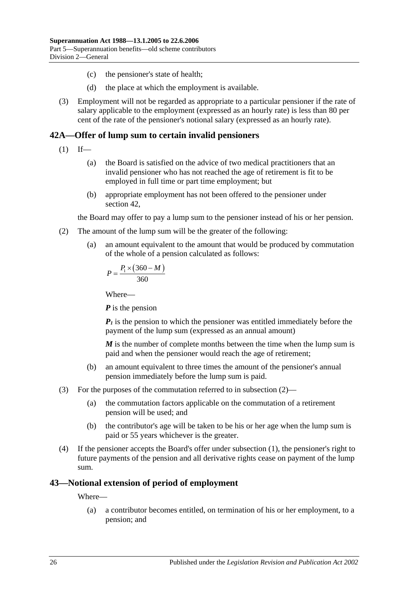- (c) the pensioner's state of health;
- (d) the place at which the employment is available.
- (3) Employment will not be regarded as appropriate to a particular pensioner if the rate of salary applicable to the employment (expressed as an hourly rate) is less than 80 per cent of the rate of the pensioner's notional salary (expressed as an hourly rate).

# <span id="page-75-1"></span>**42A—Offer of lump sum to certain invalid pensioners**

- $(1)$  If—
	- (a) the Board is satisfied on the advice of two medical practitioners that an invalid pensioner who has not reached the age of retirement is fit to be employed in full time or part time employment; but
	- (b) appropriate employment has not been offered to the pensioner under [section](#page-74-0) 42,

the Board may offer to pay a lump sum to the pensioner instead of his or her pension.

- <span id="page-75-0"></span>(2) The amount of the lump sum will be the greater of the following:
	- (a) an amount equivalent to the amount that would be produced by commutation of the whole of a pension calculated as follows:

$$
P = \frac{P_1 \times (360 - M)}{360}
$$

Where—

*P* is the pension

 $P_1$  is the pension to which the pensioner was entitled immediately before the payment of the lump sum (expressed as an annual amount)

*M* is the number of complete months between the time when the lump sum is paid and when the pensioner would reach the age of retirement;

- (b) an amount equivalent to three times the amount of the pensioner's annual pension immediately before the lump sum is paid.
- (3) For the purposes of the commutation referred to in [subsection](#page-75-0) (2)—
	- (a) the commutation factors applicable on the commutation of a retirement pension will be used; and
	- (b) the contributor's age will be taken to be his or her age when the lump sum is paid or 55 years whichever is the greater.
- (4) If the pensioner accepts the Board's offer under [subsection](#page-75-1) (1), the pensioner's right to future payments of the pension and all derivative rights cease on payment of the lump sum.

## **43—Notional extension of period of employment**

Where—

(a) a contributor becomes entitled, on termination of his or her employment, to a pension; and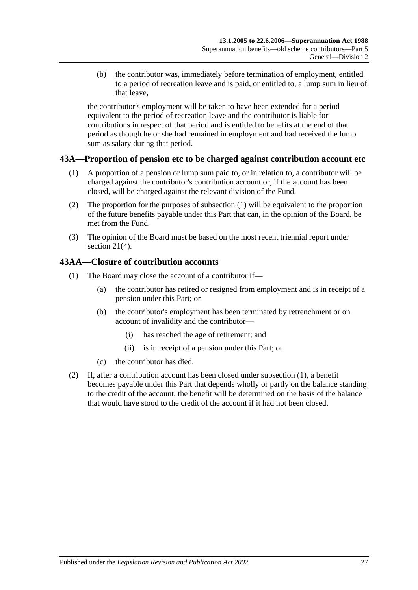(b) the contributor was, immediately before termination of employment, entitled to a period of recreation leave and is paid, or entitled to, a lump sum in lieu of that leave,

the contributor's employment will be taken to have been extended for a period equivalent to the period of recreation leave and the contributor is liable for contributions in respect of that period and is entitled to benefits at the end of that period as though he or she had remained in employment and had received the lump sum as salary during that period.

# <span id="page-76-0"></span>**43A—Proportion of pension etc to be charged against contribution account etc**

- (1) A proportion of a pension or lump sum paid to, or in relation to, a contributor will be charged against the contributor's contribution account or, if the account has been closed, will be charged against the relevant division of the Fund.
- (2) The proportion for the purposes of [subsection](#page-76-0) (1) will be equivalent to the proportion of the future benefits payable under this Part that can, in the opinion of the Board, be met from the Fund.
- (3) The opinion of the Board must be based on the most recent triennial report under [section](#page-21-0) 21(4).

## <span id="page-76-1"></span>**43AA—Closure of contribution accounts**

- (1) The Board may close the account of a contributor if—
	- (a) the contributor has retired or resigned from employment and is in receipt of a pension under this Part; or
	- (b) the contributor's employment has been terminated by retrenchment or on account of invalidity and the contributor—
		- (i) has reached the age of retirement; and
		- (ii) is in receipt of a pension under this Part; or
	- (c) the contributor has died.
- (2) If, after a contribution account has been closed under [subsection](#page-76-1) (1), a benefit becomes payable under this Part that depends wholly or partly on the balance standing to the credit of the account, the benefit will be determined on the basis of the balance that would have stood to the credit of the account if it had not been closed.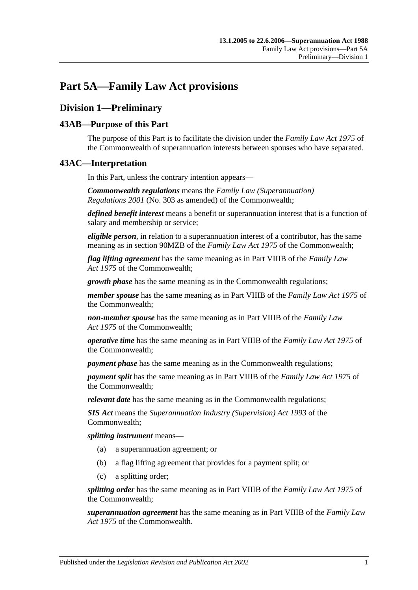# **Part 5A—Family Law Act provisions**

# **Division 1—Preliminary**

## **43AB—Purpose of this Part**

The purpose of this Part is to facilitate the division under the *Family Law Act 1975* of the Commonwealth of superannuation interests between spouses who have separated.

## **43AC—Interpretation**

In this Part, unless the contrary intention appears—

*Commonwealth regulations* means the *Family Law (Superannuation) Regulations 2001* (No. 303 as amended) of the Commonwealth;

*defined benefit interest* means a benefit or superannuation interest that is a function of salary and membership or service;

*eligible person*, in relation to a superannuation interest of a contributor, has the same meaning as in section 90MZB of the *Family Law Act 1975* of the Commonwealth;

*flag lifting agreement* has the same meaning as in Part VIIIB of the *Family Law Act 1975* of the Commonwealth;

*growth phase* has the same meaning as in the Commonwealth regulations;

*member spouse* has the same meaning as in Part VIIIB of the *Family Law Act 1975* of the Commonwealth;

*non-member spouse* has the same meaning as in Part VIIIB of the *Family Law Act 1975* of the Commonwealth;

*operative time* has the same meaning as in Part VIIIB of the *Family Law Act 1975* of the Commonwealth;

*payment phase* has the same meaning as in the Commonwealth regulations;

*payment split* has the same meaning as in Part VIIIB of the *Family Law Act 1975* of the Commonwealth;

*relevant date* has the same meaning as in the Commonwealth regulations;

*SIS Act* means the *Superannuation Industry (Supervision) Act 1993* of the Commonwealth;

*splitting instrument* means—

- (a) a superannuation agreement; or
- (b) a flag lifting agreement that provides for a payment split; or
- (c) a splitting order;

*splitting order* has the same meaning as in Part VIIIB of the *Family Law Act 1975* of the Commonwealth;

*superannuation agreement* has the same meaning as in Part VIIIB of the *Family Law Act 1975* of the Commonwealth.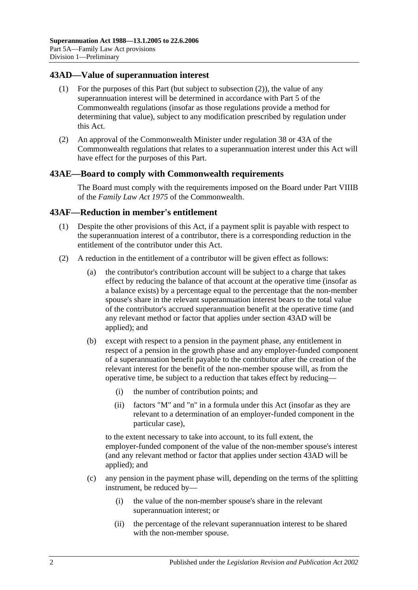### <span id="page-79-1"></span>**43AD—Value of superannuation interest**

- (1) For the purposes of this Part (but subject to [subsection](#page-79-0) (2)), the value of any superannuation interest will be determined in accordance with Part 5 of the Commonwealth regulations (insofar as those regulations provide a method for determining that value), subject to any modification prescribed by regulation under this Act.
- <span id="page-79-0"></span>(2) An approval of the Commonwealth Minister under regulation 38 or 43A of the Commonwealth regulations that relates to a superannuation interest under this Act will have effect for the purposes of this Part.

#### **43AE—Board to comply with Commonwealth requirements**

The Board must comply with the requirements imposed on the Board under Part VIIIB of the *Family Law Act 1975* of the Commonwealth.

#### **43AF—Reduction in member's entitlement**

- (1) Despite the other provisions of this Act, if a payment split is payable with respect to the superannuation interest of a contributor, there is a corresponding reduction in the entitlement of the contributor under this Act.
- <span id="page-79-2"></span>(2) A reduction in the entitlement of a contributor will be given effect as follows:
	- (a) the contributor's contribution account will be subject to a charge that takes effect by reducing the balance of that account at the operative time (insofar as a balance exists) by a percentage equal to the percentage that the non-member spouse's share in the relevant superannuation interest bears to the total value of the contributor's accrued superannuation benefit at the operative time (and any relevant method or factor that applies under [section](#page-79-1) 43AD will be applied); and
	- (b) except with respect to a pension in the payment phase, any entitlement in respect of a pension in the growth phase and any employer-funded component of a superannuation benefit payable to the contributor after the creation of the relevant interest for the benefit of the non-member spouse will, as from the operative time, be subject to a reduction that takes effect by reducing—
		- (i) the number of contribution points; and
		- (ii) factors "M" and "n" in a formula under this Act (insofar as they are relevant to a determination of an employer-funded component in the particular case),

to the extent necessary to take into account, to its full extent, the employer-funded component of the value of the non-member spouse's interest (and any relevant method or factor that applies under [section](#page-79-1) 43AD will be applied); and

- (c) any pension in the payment phase will, depending on the terms of the splitting instrument, be reduced by—
	- (i) the value of the non-member spouse's share in the relevant superannuation interest; or
	- (ii) the percentage of the relevant superannuation interest to be shared with the non-member spouse.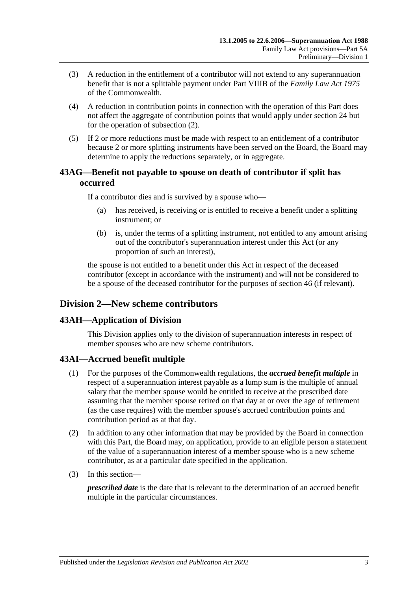- (3) A reduction in the entitlement of a contributor will not extend to any superannuation benefit that is not a splittable payment under Part VIIIB of the *Family Law Act 1975* of the Commonwealth.
- (4) A reduction in contribution points in connection with the operation of this Part does not affect the aggregate of contribution points that would apply under [section](#page-26-0) 24 but for the operation of [subsection](#page-79-2) (2).
- (5) If 2 or more reductions must be made with respect to an entitlement of a contributor because 2 or more splitting instruments have been served on the Board, the Board may determine to apply the reductions separately, or in aggregate.

## **43AG—Benefit not payable to spouse on death of contributor if split has occurred**

If a contributor dies and is survived by a spouse who—

- (a) has received, is receiving or is entitled to receive a benefit under a splitting instrument; or
- (b) is, under the terms of a splitting instrument, not entitled to any amount arising out of the contributor's superannuation interest under this Act (or any proportion of such an interest),

the spouse is not entitled to a benefit under this Act in respect of the deceased contributor (except in accordance with the instrument) and will not be considered to be a spouse of the deceased contributor for the purposes of [section](#page-88-0) 46 (if relevant).

# **Division 2—New scheme contributors**

## **43AH—Application of Division**

This Division applies only to the division of superannuation interests in respect of member spouses who are new scheme contributors.

## **43AI—Accrued benefit multiple**

- (1) For the purposes of the Commonwealth regulations, the *accrued benefit multiple* in respect of a superannuation interest payable as a lump sum is the multiple of annual salary that the member spouse would be entitled to receive at the prescribed date assuming that the member spouse retired on that day at or over the age of retirement (as the case requires) with the member spouse's accrued contribution points and contribution period as at that day.
- (2) In addition to any other information that may be provided by the Board in connection with this Part, the Board may, on application, provide to an eligible person a statement of the value of a superannuation interest of a member spouse who is a new scheme contributor, as at a particular date specified in the application.
- (3) In this section—

*prescribed date* is the date that is relevant to the determination of an accrued benefit multiple in the particular circumstances.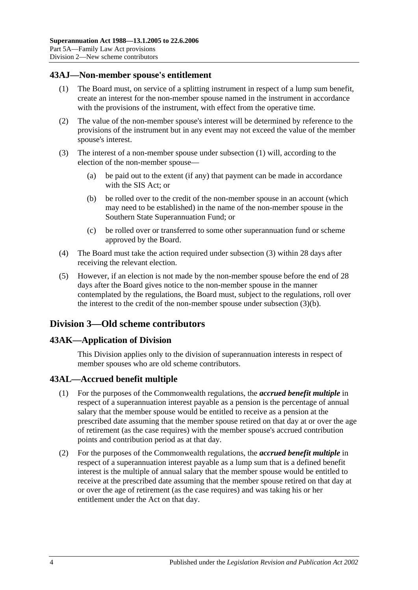## <span id="page-81-0"></span>**43AJ—Non-member spouse's entitlement**

- (1) The Board must, on service of a splitting instrument in respect of a lump sum benefit, create an interest for the non-member spouse named in the instrument in accordance with the provisions of the instrument, with effect from the operative time.
- (2) The value of the non-member spouse's interest will be determined by reference to the provisions of the instrument but in any event may not exceed the value of the member spouse's interest.
- <span id="page-81-2"></span><span id="page-81-1"></span>(3) The interest of a non-member spouse under [subsection](#page-81-0) (1) will, according to the election of the non-member spouse—
	- (a) be paid out to the extent (if any) that payment can be made in accordance with the SIS Act; or
	- (b) be rolled over to the credit of the non-member spouse in an account (which may need to be established) in the name of the non-member spouse in the Southern State Superannuation Fund; or
	- (c) be rolled over or transferred to some other superannuation fund or scheme approved by the Board.
- (4) The Board must take the action required under [subsection](#page-81-1) (3) within 28 days after receiving the relevant election.
- (5) However, if an election is not made by the non-member spouse before the end of 28 days after the Board gives notice to the non-member spouse in the manner contemplated by the regulations, the Board must, subject to the regulations, roll over the interest to the credit of the non-member spouse under [subsection](#page-81-2) (3)(b).

## **Division 3—Old scheme contributors**

## **43AK—Application of Division**

This Division applies only to the division of superannuation interests in respect of member spouses who are old scheme contributors.

#### **43AL—Accrued benefit multiple**

- (1) For the purposes of the Commonwealth regulations, the *accrued benefit multiple* in respect of a superannuation interest payable as a pension is the percentage of annual salary that the member spouse would be entitled to receive as a pension at the prescribed date assuming that the member spouse retired on that day at or over the age of retirement (as the case requires) with the member spouse's accrued contribution points and contribution period as at that day.
- (2) For the purposes of the Commonwealth regulations, the *accrued benefit multiple* in respect of a superannuation interest payable as a lump sum that is a defined benefit interest is the multiple of annual salary that the member spouse would be entitled to receive at the prescribed date assuming that the member spouse retired on that day at or over the age of retirement (as the case requires) and was taking his or her entitlement under the Act on that day.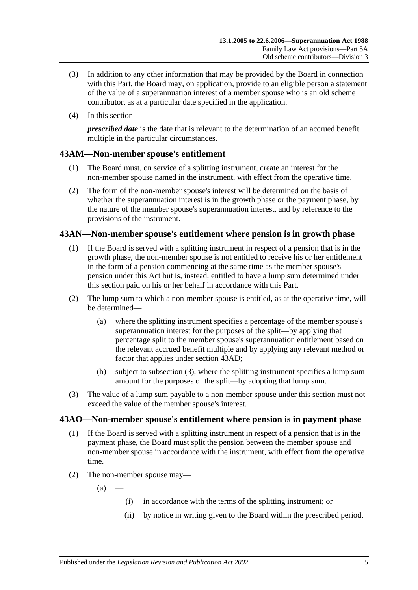- (3) In addition to any other information that may be provided by the Board in connection with this Part, the Board may, on application, provide to an eligible person a statement of the value of a superannuation interest of a member spouse who is an old scheme contributor, as at a particular date specified in the application.
- (4) In this section—

*prescribed date* is the date that is relevant to the determination of an accrued benefit multiple in the particular circumstances.

# **43AM—Non-member spouse's entitlement**

- (1) The Board must, on service of a splitting instrument, create an interest for the non-member spouse named in the instrument, with effect from the operative time.
- (2) The form of the non-member spouse's interest will be determined on the basis of whether the superannuation interest is in the growth phase or the payment phase, by the nature of the member spouse's superannuation interest, and by reference to the provisions of the instrument.

## **43AN—Non-member spouse's entitlement where pension is in growth phase**

- (1) If the Board is served with a splitting instrument in respect of a pension that is in the growth phase, the non-member spouse is not entitled to receive his or her entitlement in the form of a pension commencing at the same time as the member spouse's pension under this Act but is, instead, entitled to have a lump sum determined under this section paid on his or her behalf in accordance with this Part.
- (2) The lump sum to which a non-member spouse is entitled, as at the operative time, will be determined—
	- (a) where the splitting instrument specifies a percentage of the member spouse's superannuation interest for the purposes of the split—by applying that percentage split to the member spouse's superannuation entitlement based on the relevant accrued benefit multiple and by applying any relevant method or factor that applies under [section](#page-79-1) 43AD;
	- (b) subject to [subsection](#page-82-0) (3), where the splitting instrument specifies a lump sum amount for the purposes of the split—by adopting that lump sum.
- <span id="page-82-0"></span>(3) The value of a lump sum payable to a non-member spouse under this section must not exceed the value of the member spouse's interest.

# <span id="page-82-1"></span>**43AO—Non-member spouse's entitlement where pension is in payment phase**

- (1) If the Board is served with a splitting instrument in respect of a pension that is in the payment phase, the Board must split the pension between the member spouse and non-member spouse in accordance with the instrument, with effect from the operative time.
- (2) The non-member spouse may—

 $(a)$ 

- (i) in accordance with the terms of the splitting instrument; or
- (ii) by notice in writing given to the Board within the prescribed period,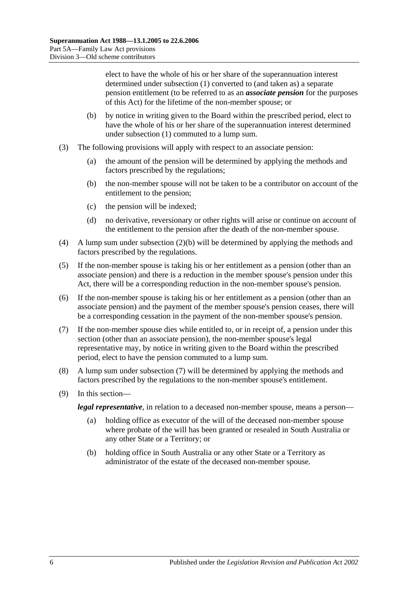elect to have the whole of his or her share of the superannuation interest determined under [subsection](#page-82-1) (1) converted to (and taken as) a separate pension entitlement (to be referred to as an *associate pension* for the purposes of this Act) for the lifetime of the non-member spouse; or

- <span id="page-83-0"></span>(b) by notice in writing given to the Board within the prescribed period, elect to have the whole of his or her share of the superannuation interest determined under [subsection](#page-82-1) (1) commuted to a lump sum.
- (3) The following provisions will apply with respect to an associate pension:
	- (a) the amount of the pension will be determined by applying the methods and factors prescribed by the regulations;
	- (b) the non-member spouse will not be taken to be a contributor on account of the entitlement to the pension;
	- (c) the pension will be indexed;
	- (d) no derivative, reversionary or other rights will arise or continue on account of the entitlement to the pension after the death of the non-member spouse.
- (4) A lump sum under [subsection](#page-83-0) (2)(b) will be determined by applying the methods and factors prescribed by the regulations.
- (5) If the non-member spouse is taking his or her entitlement as a pension (other than an associate pension) and there is a reduction in the member spouse's pension under this Act, there will be a corresponding reduction in the non-member spouse's pension.
- (6) If the non-member spouse is taking his or her entitlement as a pension (other than an associate pension) and the payment of the member spouse's pension ceases, there will be a corresponding cessation in the payment of the non-member spouse's pension.
- <span id="page-83-1"></span>(7) If the non-member spouse dies while entitled to, or in receipt of, a pension under this section (other than an associate pension), the non-member spouse's legal representative may, by notice in writing given to the Board within the prescribed period, elect to have the pension commuted to a lump sum.
- (8) A lump sum under [subsection](#page-83-1) (7) will be determined by applying the methods and factors prescribed by the regulations to the non-member spouse's entitlement.
- (9) In this section—

*legal representative*, in relation to a deceased non-member spouse, means a person—

- (a) holding office as executor of the will of the deceased non-member spouse where probate of the will has been granted or resealed in South Australia or any other State or a Territory; or
- (b) holding office in South Australia or any other State or a Territory as administrator of the estate of the deceased non-member spouse.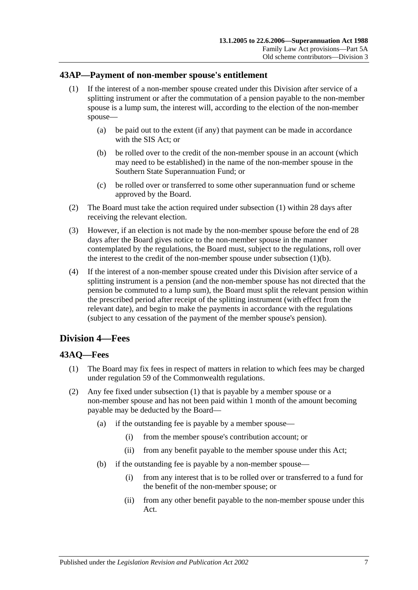## <span id="page-84-0"></span>**43AP—Payment of non-member spouse's entitlement**

- (1) If the interest of a non-member spouse created under this Division after service of a splitting instrument or after the commutation of a pension payable to the non-member spouse is a lump sum, the interest will, according to the election of the non-member spouse—
	- (a) be paid out to the extent (if any) that payment can be made in accordance with the SIS Act; or
	- (b) be rolled over to the credit of the non-member spouse in an account (which may need to be established) in the name of the non-member spouse in the Southern State Superannuation Fund; or
	- (c) be rolled over or transferred to some other superannuation fund or scheme approved by the Board.
- <span id="page-84-1"></span>(2) The Board must take the action required under [subsection](#page-84-0) (1) within 28 days after receiving the relevant election.
- (3) However, if an election is not made by the non-member spouse before the end of 28 days after the Board gives notice to the non-member spouse in the manner contemplated by the regulations, the Board must, subject to the regulations, roll over the interest to the credit of the non-member spouse under [subsection](#page-84-1)  $(1)(b)$ .
- (4) If the interest of a non-member spouse created under this Division after service of a splitting instrument is a pension (and the non-member spouse has not directed that the pension be commuted to a lump sum), the Board must split the relevant pension within the prescribed period after receipt of the splitting instrument (with effect from the relevant date), and begin to make the payments in accordance with the regulations (subject to any cessation of the payment of the member spouse's pension).

# **Division 4—Fees**

# <span id="page-84-2"></span>**43AQ—Fees**

- (1) The Board may fix fees in respect of matters in relation to which fees may be charged under regulation 59 of the Commonwealth regulations.
- (2) Any fee fixed under [subsection](#page-84-2) (1) that is payable by a member spouse or a non-member spouse and has not been paid within 1 month of the amount becoming payable may be deducted by the Board—
	- (a) if the outstanding fee is payable by a member spouse—
		- (i) from the member spouse's contribution account; or
		- (ii) from any benefit payable to the member spouse under this Act;
	- (b) if the outstanding fee is payable by a non-member spouse—
		- (i) from any interest that is to be rolled over or transferred to a fund for the benefit of the non-member spouse; or
		- (ii) from any other benefit payable to the non-member spouse under this Act.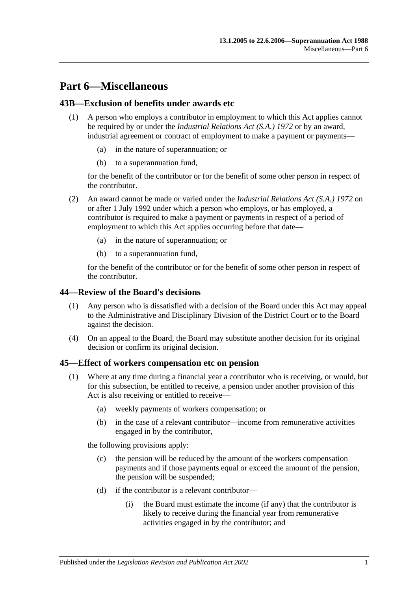# **Part 6—Miscellaneous**

## **43B—Exclusion of benefits under awards etc**

- (1) A person who employs a contributor in employment to which this Act applies cannot be required by or under the *[Industrial Relations Act \(S.A.\)](http://www.legislation.sa.gov.au/index.aspx?action=legref&type=act&legtitle=Industrial%20Relations%20Act%20(S.A.)%201972) 1972* or by an award, industrial agreement or contract of employment to make a payment or payments
	- in the nature of superannuation; or
	- (b) to a superannuation fund,

for the benefit of the contributor or for the benefit of some other person in respect of the contributor.

- (2) An award cannot be made or varied under the *[Industrial Relations Act \(S.A.\)](http://www.legislation.sa.gov.au/index.aspx?action=legref&type=act&legtitle=Industrial%20Relations%20Act%20(S.A.)%201972) 1972* on or after 1 July 1992 under which a person who employs, or has employed, a contributor is required to make a payment or payments in respect of a period of employment to which this Act applies occurring before that date—
	- (a) in the nature of superannuation; or
	- (b) to a superannuation fund,

for the benefit of the contributor or for the benefit of some other person in respect of the contributor.

#### **44—Review of the Board's decisions**

- (1) Any person who is dissatisfied with a decision of the Board under this Act may appeal to the Administrative and Disciplinary Division of the District Court or to the Board against the decision.
- (4) On an appeal to the Board, the Board may substitute another decision for its original decision or confirm its original decision.

#### <span id="page-86-1"></span>**45—Effect of workers compensation etc on pension**

- <span id="page-86-0"></span>(1) Where at any time during a financial year a contributor who is receiving, or would, but for this subsection, be entitled to receive, a pension under another provision of this Act is also receiving or entitled to receive—
	- (a) weekly payments of workers compensation; or
	- (b) in the case of a relevant contributor—income from remunerative activities engaged in by the contributor,

the following provisions apply:

- (c) the pension will be reduced by the amount of the workers compensation payments and if those payments equal or exceed the amount of the pension, the pension will be suspended;
- (d) if the contributor is a relevant contributor—
	- (i) the Board must estimate the income (if any) that the contributor is likely to receive during the financial year from remunerative activities engaged in by the contributor; and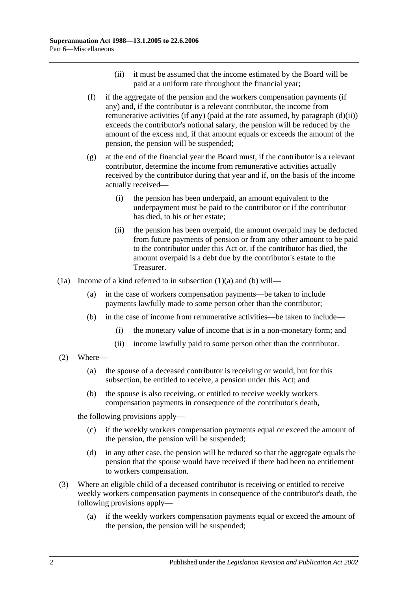- (ii) it must be assumed that the income estimated by the Board will be paid at a uniform rate throughout the financial year;
- <span id="page-87-2"></span><span id="page-87-0"></span>(f) if the aggregate of the pension and the workers compensation payments (if any) and, if the contributor is a relevant contributor, the income from remunerative activities (if any) (paid at the rate assumed, by [paragraph](#page-87-0)  $(d)(ii)$ ) exceeds the contributor's notional salary, the pension will be reduced by the amount of the excess and, if that amount equals or exceeds the amount of the pension, the pension will be suspended;
- (g) at the end of the financial year the Board must, if the contributor is a relevant contributor, determine the income from remunerative activities actually received by the contributor during that year and if, on the basis of the income actually received—
	- (i) the pension has been underpaid, an amount equivalent to the underpayment must be paid to the contributor or if the contributor has died, to his or her estate;
	- (ii) the pension has been overpaid, the amount overpaid may be deducted from future payments of pension or from any other amount to be paid to the contributor under this Act or, if the contributor has died, the amount overpaid is a debt due by the contributor's estate to the Treasurer.
- <span id="page-87-1"></span>(1a) Income of a kind referred to in [subsection](#page-86-0) (1)(a) and [\(b\)](#page-87-1) will—
	- (a) in the case of workers compensation payments—be taken to include payments lawfully made to some person other than the contributor;
	- (b) in the case of income from remunerative activities—be taken to include—
		- (i) the monetary value of income that is in a non-monetary form; and
		- (ii) income lawfully paid to some person other than the contributor.
- (2) Where—
	- (a) the spouse of a deceased contributor is receiving or would, but for this subsection, be entitled to receive, a pension under this Act; and
	- (b) the spouse is also receiving, or entitled to receive weekly workers compensation payments in consequence of the contributor's death,

the following provisions apply—

- (c) if the weekly workers compensation payments equal or exceed the amount of the pension, the pension will be suspended;
- (d) in any other case, the pension will be reduced so that the aggregate equals the pension that the spouse would have received if there had been no entitlement to workers compensation.
- (3) Where an eligible child of a deceased contributor is receiving or entitled to receive weekly workers compensation payments in consequence of the contributor's death, the following provisions apply—
	- (a) if the weekly workers compensation payments equal or exceed the amount of the pension, the pension will be suspended;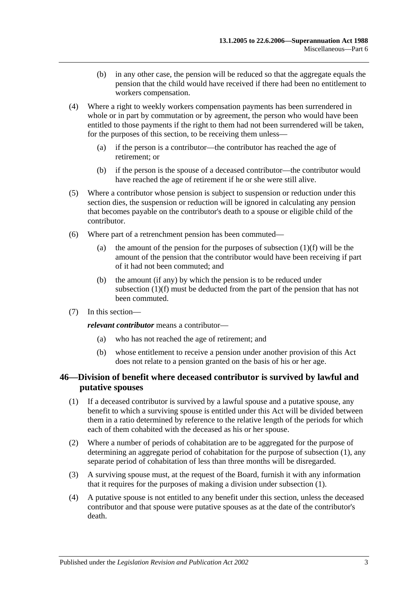- (b) in any other case, the pension will be reduced so that the aggregate equals the pension that the child would have received if there had been no entitlement to workers compensation.
- (4) Where a right to weekly workers compensation payments has been surrendered in whole or in part by commutation or by agreement, the person who would have been entitled to those payments if the right to them had not been surrendered will be taken, for the purposes of this section, to be receiving them unless—
	- (a) if the person is a contributor—the contributor has reached the age of retirement; or
	- (b) if the person is the spouse of a deceased contributor—the contributor would have reached the age of retirement if he or she were still alive.
- (5) Where a contributor whose pension is subject to suspension or reduction under this section dies, the suspension or reduction will be ignored in calculating any pension that becomes payable on the contributor's death to a spouse or eligible child of the contributor.
- (6) Where part of a retrenchment pension has been commuted
	- (a) the amount of the pension for the purposes of [subsection](#page-87-2)  $(1)(f)$  will be the amount of the pension that the contributor would have been receiving if part of it had not been commuted; and
	- (b) the amount (if any) by which the pension is to be reduced under [subsection](#page-87-2) (1)(f) must be deducted from the part of the pension that has not been commuted.
- (7) In this section—

*relevant contributor* means a contributor—

- (a) who has not reached the age of retirement; and
- (b) whose entitlement to receive a pension under another provision of this Act does not relate to a pension granted on the basis of his or her age.

## <span id="page-88-0"></span>**46—Division of benefit where deceased contributor is survived by lawful and putative spouses**

- <span id="page-88-1"></span>(1) If a deceased contributor is survived by a lawful spouse and a putative spouse, any benefit to which a surviving spouse is entitled under this Act will be divided between them in a ratio determined by reference to the relative length of the periods for which each of them cohabited with the deceased as his or her spouse.
- (2) Where a number of periods of cohabitation are to be aggregated for the purpose of determining an aggregate period of cohabitation for the purpose of [subsection](#page-88-1) (1), any separate period of cohabitation of less than three months will be disregarded.
- (3) A surviving spouse must, at the request of the Board, furnish it with any information that it requires for the purposes of making a division under [subsection](#page-88-1) (1).
- (4) A putative spouse is not entitled to any benefit under this section, unless the deceased contributor and that spouse were putative spouses as at the date of the contributor's death.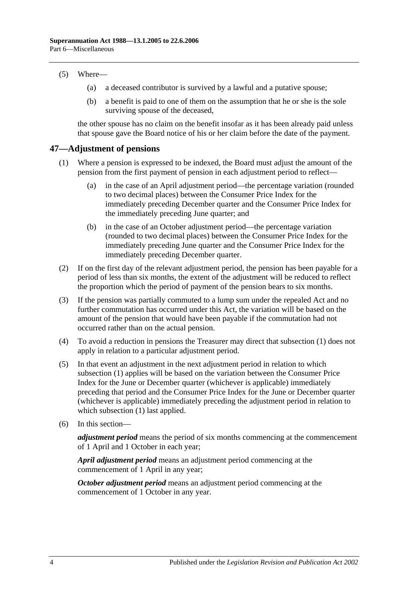#### (5) Where—

- (a) a deceased contributor is survived by a lawful and a putative spouse;
- (b) a benefit is paid to one of them on the assumption that he or she is the sole surviving spouse of the deceased,

the other spouse has no claim on the benefit insofar as it has been already paid unless that spouse gave the Board notice of his or her claim before the date of the payment.

#### <span id="page-89-1"></span>**47—Adjustment of pensions**

- (1) Where a pension is expressed to be indexed, the Board must adjust the amount of the pension from the first payment of pension in each adjustment period to reflect—
	- (a) in the case of an April adjustment period—the percentage variation (rounded to two decimal places) between the Consumer Price Index for the immediately preceding December quarter and the Consumer Price Index for the immediately preceding June quarter; and
	- (b) in the case of an October adjustment period—the percentage variation (rounded to two decimal places) between the Consumer Price Index for the immediately preceding June quarter and the Consumer Price Index for the immediately preceding December quarter.
- (2) If on the first day of the relevant adjustment period, the pension has been payable for a period of less than six months, the extent of the adjustment will be reduced to reflect the proportion which the period of payment of the pension bears to six months.
- <span id="page-89-0"></span>(3) If the pension was partially commuted to a lump sum under the repealed Act and no further commutation has occurred under this Act, the variation will be based on the amount of the pension that would have been payable if the commutation had not occurred rather than on the actual pension.
- (4) To avoid a reduction in pensions the Treasurer may direct that [subsection](#page-89-1) (1) does not apply in relation to a particular adjustment period.
- (5) In that event an adjustment in the next adjustment period in relation to which [subsection](#page-89-1) (1) applies will be based on the variation between the Consumer Price Index for the June or December quarter (whichever is applicable) immediately preceding that period and the Consumer Price Index for the June or December quarter (whichever is applicable) immediately preceding the adjustment period in relation to which [subsection](#page-89-1) (1) last applied.
- (6) In this section—

*adjustment period* means the period of six months commencing at the commencement of 1 April and 1 October in each year;

*April adjustment period* means an adjustment period commencing at the commencement of 1 April in any year;

*October adjustment period* means an adjustment period commencing at the commencement of 1 October in any year.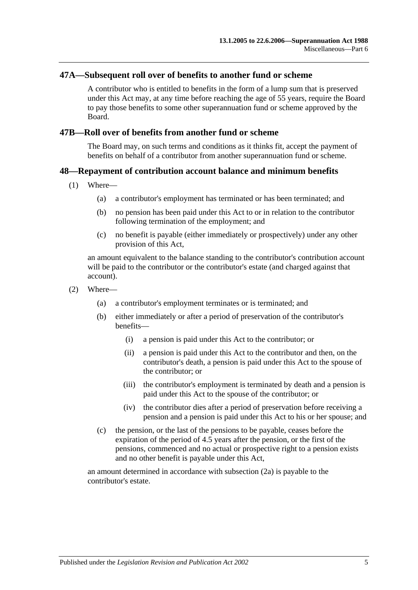#### **47A—Subsequent roll over of benefits to another fund or scheme**

A contributor who is entitled to benefits in the form of a lump sum that is preserved under this Act may, at any time before reaching the age of 55 years, require the Board to pay those benefits to some other superannuation fund or scheme approved by the Board.

#### **47B—Roll over of benefits from another fund or scheme**

The Board may, on such terms and conditions as it thinks fit, accept the payment of benefits on behalf of a contributor from another superannuation fund or scheme.

### **48—Repayment of contribution account balance and minimum benefits**

- (1) Where—
	- (a) a contributor's employment has terminated or has been terminated; and
	- (b) no pension has been paid under this Act to or in relation to the contributor following termination of the employment; and
	- (c) no benefit is payable (either immediately or prospectively) under any other provision of this Act,

an amount equivalent to the balance standing to the contributor's contribution account will be paid to the contributor or the contributor's estate (and charged against that account).

- <span id="page-90-0"></span>(2) Where—
	- (a) a contributor's employment terminates or is terminated; and
	- (b) either immediately or after a period of preservation of the contributor's benefits—
		- (i) a pension is paid under this Act to the contributor; or
		- (ii) a pension is paid under this Act to the contributor and then, on the contributor's death, a pension is paid under this Act to the spouse of the contributor; or
		- (iii) the contributor's employment is terminated by death and a pension is paid under this Act to the spouse of the contributor; or
		- (iv) the contributor dies after a period of preservation before receiving a pension and a pension is paid under this Act to his or her spouse; and
	- (c) the pension, or the last of the pensions to be payable, ceases before the expiration of the period of 4.5 years after the pension, or the first of the pensions, commenced and no actual or prospective right to a pension exists and no other benefit is payable under this Act,

<span id="page-90-1"></span>an amount determined in accordance with [subsection](#page-91-0) (2a) is payable to the contributor's estate.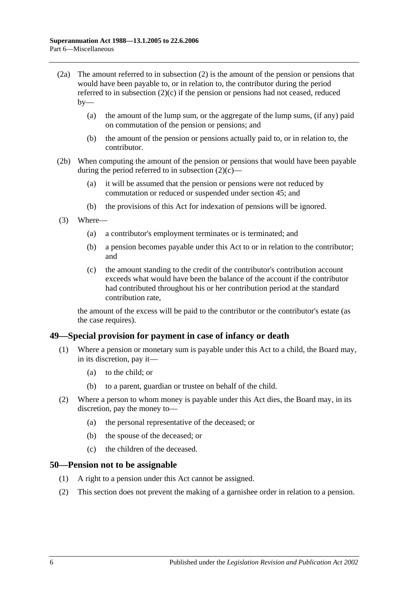- <span id="page-91-0"></span>(2a) The amount referred to in [subsection](#page-90-0) (2) is the amount of the pension or pensions that would have been payable to, or in relation to, the contributor during the period referred to in [subsection](#page-90-1) (2)(c) if the pension or pensions had not ceased, reduced  $bv$ —
	- (a) the amount of the lump sum, or the aggregate of the lump sums, (if any) paid on commutation of the pension or pensions; and
	- (b) the amount of the pension or pensions actually paid to, or in relation to, the contributor.
- (2b) When computing the amount of the pension or pensions that would have been payable during the period referred to in [subsection](#page-90-1)  $(2)(c)$ —
	- (a) it will be assumed that the pension or pensions were not reduced by commutation or reduced or suspended under [section](#page-86-1) 45; and
	- (b) the provisions of this Act for indexation of pensions will be ignored.
- (3) Where—
	- (a) a contributor's employment terminates or is terminated; and
	- (b) a pension becomes payable under this Act to or in relation to the contributor; and
	- (c) the amount standing to the credit of the contributor's contribution account exceeds what would have been the balance of the account if the contributor had contributed throughout his or her contribution period at the standard contribution rate,

the amount of the excess will be paid to the contributor or the contributor's estate (as the case requires).

#### **49—Special provision for payment in case of infancy or death**

- (1) Where a pension or monetary sum is payable under this Act to a child, the Board may, in its discretion, pay it—
	- (a) to the child; or
	- (b) to a parent, guardian or trustee on behalf of the child.
- (2) Where a person to whom money is payable under this Act dies, the Board may, in its discretion, pay the money to—
	- (a) the personal representative of the deceased; or
	- (b) the spouse of the deceased; or
	- (c) the children of the deceased.

#### **50—Pension not to be assignable**

- (1) A right to a pension under this Act cannot be assigned.
- (2) This section does not prevent the making of a garnishee order in relation to a pension.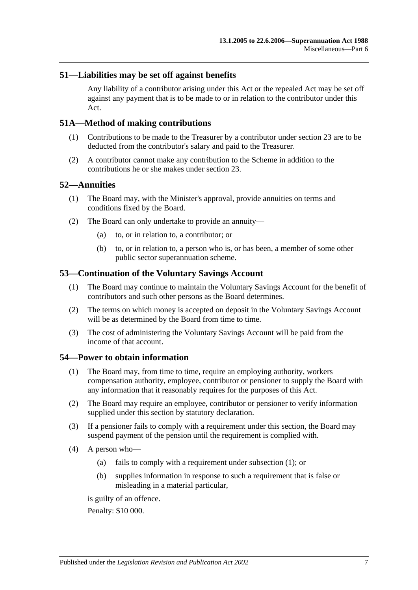### **51—Liabilities may be set off against benefits**

Any liability of a contributor arising under this Act or the repealed Act may be set off against any payment that is to be made to or in relation to the contributor under this Act.

### **51A—Method of making contributions**

- (1) Contributions to be made to the Treasurer by a contributor under [section](#page-24-0) 23 are to be deducted from the contributor's salary and paid to the Treasurer.
- (2) A contributor cannot make any contribution to the Scheme in addition to the contributions he or she makes under [section](#page-24-0) 23.

#### **52—Annuities**

- (1) The Board may, with the Minister's approval, provide annuities on terms and conditions fixed by the Board.
- (2) The Board can only undertake to provide an annuity—
	- (a) to, or in relation to, a contributor; or
	- (b) to, or in relation to, a person who is, or has been, a member of some other public sector superannuation scheme.

### **53—Continuation of the Voluntary Savings Account**

- (1) The Board may continue to maintain the Voluntary Savings Account for the benefit of contributors and such other persons as the Board determines.
- (2) The terms on which money is accepted on deposit in the Voluntary Savings Account will be as determined by the Board from time to time.
- (3) The cost of administering the Voluntary Savings Account will be paid from the income of that account.

#### <span id="page-92-0"></span>**54—Power to obtain information**

- (1) The Board may, from time to time, require an employing authority, workers compensation authority, employee, contributor or pensioner to supply the Board with any information that it reasonably requires for the purposes of this Act.
- (2) The Board may require an employee, contributor or pensioner to verify information supplied under this section by statutory declaration.
- (3) If a pensioner fails to comply with a requirement under this section, the Board may suspend payment of the pension until the requirement is complied with.
- <span id="page-92-1"></span>(4) A person who—
	- (a) fails to comply with a requirement under [subsection](#page-92-0) (1); or
	- (b) supplies information in response to such a requirement that is false or misleading in a material particular,

is guilty of an offence.

Penalty: \$10 000.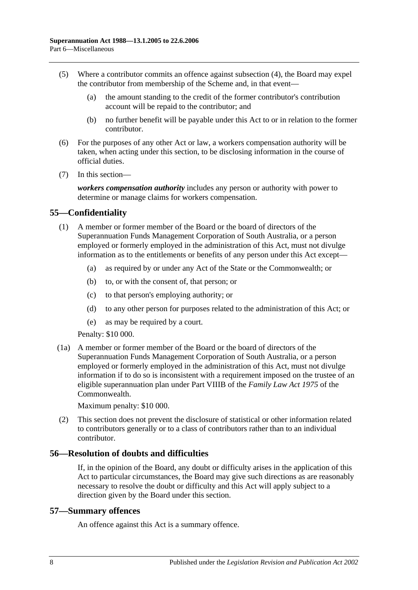- (5) Where a contributor commits an offence against [subsection](#page-92-1) (4), the Board may expel the contributor from membership of the Scheme and, in that event—
	- (a) the amount standing to the credit of the former contributor's contribution account will be repaid to the contributor; and
	- (b) no further benefit will be payable under this Act to or in relation to the former contributor.
- (6) For the purposes of any other Act or law, a workers compensation authority will be taken, when acting under this section, to be disclosing information in the course of official duties.
- (7) In this section—

*workers compensation authority* includes any person or authority with power to determine or manage claims for workers compensation.

## **55—Confidentiality**

- (1) A member or former member of the Board or the board of directors of the Superannuation Funds Management Corporation of South Australia, or a person employed or formerly employed in the administration of this Act, must not divulge information as to the entitlements or benefits of any person under this Act except—
	- (a) as required by or under any Act of the State or the Commonwealth; or
	- (b) to, or with the consent of, that person; or
	- (c) to that person's employing authority; or
	- (d) to any other person for purposes related to the administration of this Act; or
	- (e) as may be required by a court.

Penalty: \$10 000.

(1a) A member or former member of the Board or the board of directors of the Superannuation Funds Management Corporation of South Australia, or a person employed or formerly employed in the administration of this Act, must not divulge information if to do so is inconsistent with a requirement imposed on the trustee of an eligible superannuation plan under Part VIIIB of the *Family Law Act 1975* of the Commonwealth.

Maximum penalty: \$10 000.

(2) This section does not prevent the disclosure of statistical or other information related to contributors generally or to a class of contributors rather than to an individual contributor.

#### **56—Resolution of doubts and difficulties**

If, in the opinion of the Board, any doubt or difficulty arises in the application of this Act to particular circumstances, the Board may give such directions as are reasonably necessary to resolve the doubt or difficulty and this Act will apply subject to a direction given by the Board under this section.

#### **57—Summary offences**

An offence against this Act is a summary offence.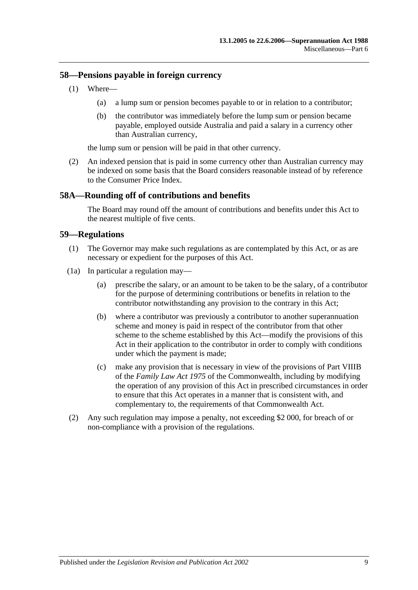### **58—Pensions payable in foreign currency**

- (1) Where—
	- (a) a lump sum or pension becomes payable to or in relation to a contributor;
	- (b) the contributor was immediately before the lump sum or pension became payable, employed outside Australia and paid a salary in a currency other than Australian currency,

the lump sum or pension will be paid in that other currency.

(2) An indexed pension that is paid in some currency other than Australian currency may be indexed on some basis that the Board considers reasonable instead of by reference to the Consumer Price Index.

### **58A—Rounding off of contributions and benefits**

The Board may round off the amount of contributions and benefits under this Act to the nearest multiple of five cents.

### **59—Regulations**

- (1) The Governor may make such regulations as are contemplated by this Act, or as are necessary or expedient for the purposes of this Act.
- (1a) In particular a regulation may—
	- (a) prescribe the salary, or an amount to be taken to be the salary, of a contributor for the purpose of determining contributions or benefits in relation to the contributor notwithstanding any provision to the contrary in this Act;
	- (b) where a contributor was previously a contributor to another superannuation scheme and money is paid in respect of the contributor from that other scheme to the scheme established by this Act—modify the provisions of this Act in their application to the contributor in order to comply with conditions under which the payment is made;
	- (c) make any provision that is necessary in view of the provisions of Part VIIIB of the *Family Law Act 1975* of the Commonwealth, including by modifying the operation of any provision of this Act in prescribed circumstances in order to ensure that this Act operates in a manner that is consistent with, and complementary to, the requirements of that Commonwealth Act.
- (2) Any such regulation may impose a penalty, not exceeding \$2 000, for breach of or non-compliance with a provision of the regulations.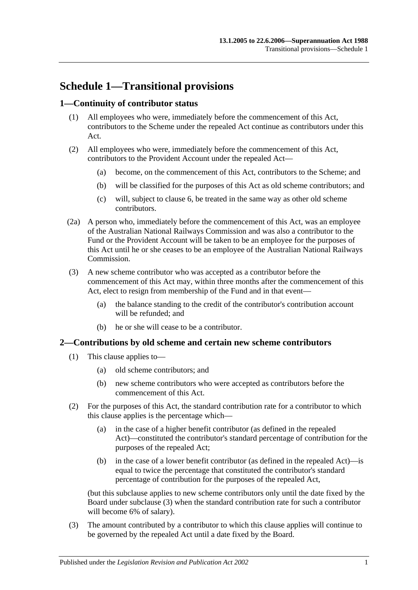# **Schedule 1—Transitional provisions**

## **1—Continuity of contributor status**

- (1) All employees who were, immediately before the commencement of this Act, contributors to the Scheme under the repealed Act continue as contributors under this Act.
- (2) All employees who were, immediately before the commencement of this Act, contributors to the Provident Account under the repealed Act—
	- (a) become, on the commencement of this Act, contributors to the Scheme; and
	- (b) will be classified for the purposes of this Act as old scheme contributors; and
	- (c) will, subject to [clause](#page-99-0) 6, be treated in the same way as other old scheme contributors.
- (2a) A person who, immediately before the commencement of this Act, was an employee of the Australian National Railways Commission and was also a contributor to the Fund or the Provident Account will be taken to be an employee for the purposes of this Act until he or she ceases to be an employee of the Australian National Railways Commission.
- (3) A new scheme contributor who was accepted as a contributor before the commencement of this Act may, within three months after the commencement of this Act, elect to resign from membership of the Fund and in that event—
	- (a) the balance standing to the credit of the contributor's contribution account will be refunded; and
	- (b) he or she will cease to be a contributor.

#### **2—Contributions by old scheme and certain new scheme contributors**

- (1) This clause applies to—
	- (a) old scheme contributors; and
	- (b) new scheme contributors who were accepted as contributors before the commencement of this Act.
- (2) For the purposes of this Act, the standard contribution rate for a contributor to which this clause applies is the percentage which—
	- (a) in the case of a higher benefit contributor (as defined in the repealed Act)—constituted the contributor's standard percentage of contribution for the purposes of the repealed Act;
	- (b) in the case of a lower benefit contributor (as defined in the repealed Act)—is equal to twice the percentage that constituted the contributor's standard percentage of contribution for the purposes of the repealed Act,

(but this subclause applies to new scheme contributors only until the date fixed by the Board under [subclause](#page-96-0) (3) when the standard contribution rate for such a contributor will become 6% of salary).

<span id="page-96-0"></span>(3) The amount contributed by a contributor to which this clause applies will continue to be governed by the repealed Act until a date fixed by the Board.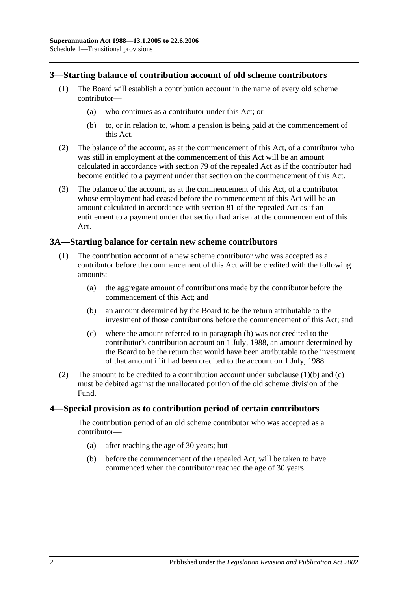## **3—Starting balance of contribution account of old scheme contributors**

- (1) The Board will establish a contribution account in the name of every old scheme contributor—
	- (a) who continues as a contributor under this Act; or
	- (b) to, or in relation to, whom a pension is being paid at the commencement of this Act.
- (2) The balance of the account, as at the commencement of this Act, of a contributor who was still in employment at the commencement of this Act will be an amount calculated in accordance with section 79 of the repealed Act as if the contributor had become entitled to a payment under that section on the commencement of this Act.
- (3) The balance of the account, as at the commencement of this Act, of a contributor whose employment had ceased before the commencement of this Act will be an amount calculated in accordance with section 81 of the repealed Act as if an entitlement to a payment under that section had arisen at the commencement of this Act.

### **3A—Starting balance for certain new scheme contributors**

- <span id="page-97-0"></span>(1) The contribution account of a new scheme contributor who was accepted as a contributor before the commencement of this Act will be credited with the following amounts:
	- (a) the aggregate amount of contributions made by the contributor before the commencement of this Act; and
	- (b) an amount determined by the Board to be the return attributable to the investment of those contributions before the commencement of this Act; and
	- (c) where the amount referred to in [paragraph](#page-97-0) (b) was not credited to the contributor's contribution account on 1 July, 1988, an amount determined by the Board to be the return that would have been attributable to the investment of that amount if it had been credited to the account on 1 July, 1988.
- <span id="page-97-1"></span>(2) The amount to be credited to a contribution account under [subclause](#page-97-0)  $(1)(b)$  and  $(c)$ must be debited against the unallocated portion of the old scheme division of the Fund.

#### **4—Special provision as to contribution period of certain contributors**

The contribution period of an old scheme contributor who was accepted as a contributor—

- (a) after reaching the age of 30 years; but
- (b) before the commencement of the repealed Act, will be taken to have commenced when the contributor reached the age of 30 years.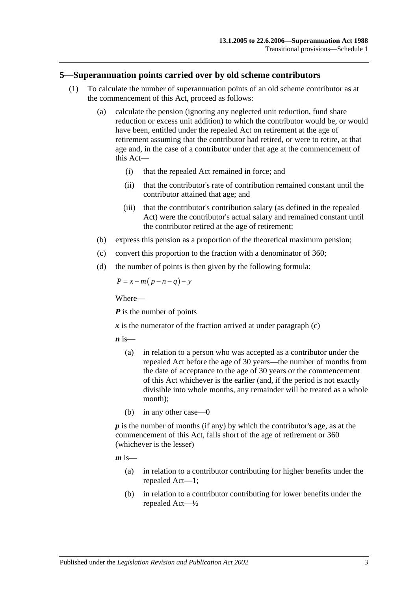#### **5—Superannuation points carried over by old scheme contributors**

- (1) To calculate the number of superannuation points of an old scheme contributor as at the commencement of this Act, proceed as follows:
	- (a) calculate the pension (ignoring any neglected unit reduction, fund share reduction or excess unit addition) to which the contributor would be, or would have been, entitled under the repealed Act on retirement at the age of retirement assuming that the contributor had retired, or were to retire, at that age and, in the case of a contributor under that age at the commencement of this Act—
		- (i) that the repealed Act remained in force; and
		- (ii) that the contributor's rate of contribution remained constant until the contributor attained that age; and
		- (iii) that the contributor's contribution salary (as defined in the repealed Act) were the contributor's actual salary and remained constant until the contributor retired at the age of retirement;
	- (b) express this pension as a proportion of the theoretical maximum pension;
	- (c) convert this proportion to the fraction with a denominator of 360;
	- (d) the number of points is then given by the following formula:

<span id="page-98-0"></span>
$$
P = x - m(p - n - q) - y
$$

Where—

*P* is the number of points

 $\boldsymbol{x}$  is the numerator of the fraction arrived at under [paragraph](#page-98-0) (c)

 $\boldsymbol{n}$  is—

- (a) in relation to a person who was accepted as a contributor under the repealed Act before the age of 30 years—the number of months from the date of acceptance to the age of 30 years or the commencement of this Act whichever is the earlier (and, if the period is not exactly divisible into whole months, any remainder will be treated as a whole month);
- (b) in any other case—0

*p* is the number of months (if any) by which the contributor's age, as at the commencement of this Act, falls short of the age of retirement or 360 (whichever is the lesser)

 $m$  is—

- (a) in relation to a contributor contributing for higher benefits under the repealed Act—1;
- (b) in relation to a contributor contributing for lower benefits under the repealed Act—½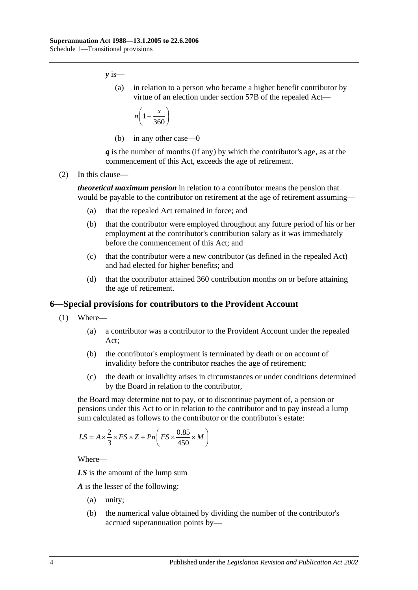*y* is—

(a) in relation to a person who became a higher benefit contributor by virtue of an election under section 57B of the repealed Act—

$$
n\left(1-\frac{x}{360}\right)
$$

(b) in any other case—0

*q* is the number of months (if any) by which the contributor's age, as at the commencement of this Act, exceeds the age of retirement.

(2) In this clause—

*theoretical maximum pension* in relation to a contributor means the pension that would be payable to the contributor on retirement at the age of retirement assuming—

- (a) that the repealed Act remained in force; and
- (b) that the contributor were employed throughout any future period of his or her employment at the contributor's contribution salary as it was immediately before the commencement of this Act; and
- (c) that the contributor were a new contributor (as defined in the repealed Act) and had elected for higher benefits; and
- (d) that the contributor attained 360 contribution months on or before attaining the age of retirement.

#### <span id="page-99-0"></span>**6—Special provisions for contributors to the Provident Account**

- (1) Where—
	- (a) a contributor was a contributor to the Provident Account under the repealed Act;
	- (b) the contributor's employment is terminated by death or on account of invalidity before the contributor reaches the age of retirement;
	- (c) the death or invalidity arises in circumstances or under conditions determined by the Board in relation to the contributor,

<span id="page-99-1"></span>the Board may determine not to pay, or to discontinue payment of, a pension or pensions under this Act to or in relation to the contributor and to pay instead a lump sum calculated as follows to the contributor or the contributor's estate:

$$
LS = A \times \frac{2}{3} \times FS \times Z + Pn \left( FS \times \frac{0.85}{450} \times M \right)
$$

Where—

*LS* is the amount of the lump sum

*A* is the lesser of the following:

- (a) unity;
- (b) the numerical value obtained by dividing the number of the contributor's accrued superannuation points by—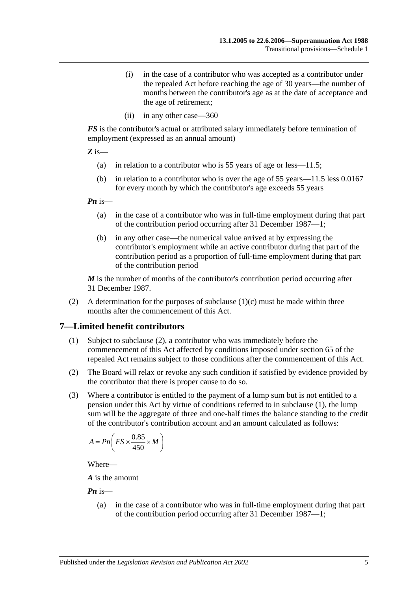- (i) in the case of a contributor who was accepted as a contributor under the repealed Act before reaching the age of 30 years—the number of months between the contributor's age as at the date of acceptance and the age of retirement;
- (ii) in any other case—360

*FS* is the contributor's actual or attributed salary immediately before termination of employment (expressed as an annual amount)

*Z* is—

- (a) in relation to a contributor who is 55 years of age or less—11.5;
- (b) in relation to a contributor who is over the age of 55 years—11.5 less 0.0167 for every month by which the contributor's age exceeds 55 years

*Pn* is—

- (a) in the case of a contributor who was in full-time employment during that part of the contribution period occurring after 31 December 1987—1;
- (b) in any other case—the numerical value arrived at by expressing the contributor's employment while an active contributor during that part of the contribution period as a proportion of full-time employment during that part of the contribution period

*M* is the number of months of the contributor's contribution period occurring after 31 December 1987.

(2) A determination for the purposes of [subclause](#page-99-1)  $(1)(c)$  must be made within three months after the commencement of this Act.

## <span id="page-100-1"></span>**7—Limited benefit contributors**

- (1) Subject to [subclause](#page-100-0) (2), a contributor who was immediately before the commencement of this Act affected by conditions imposed under section 65 of the repealed Act remains subject to those conditions after the commencement of this Act.
- <span id="page-100-0"></span>(2) The Board will relax or revoke any such condition if satisfied by evidence provided by the contributor that there is proper cause to do so.
- (3) Where a contributor is entitled to the payment of a lump sum but is not entitled to a pension under this Act by virtue of conditions referred to in [subclause](#page-100-1) (1), the lump sum will be the aggregate of three and one-half times the balance standing to the credit of the contributor's contribution account and an amount calculated as follows:

$$
A = P_n \bigg( FS \times \frac{0.85}{450} \times M \bigg)
$$

Where—

*A* is the amount

*Pn* is—

(a) in the case of a contributor who was in full-time employment during that part of the contribution period occurring after 31 December 1987—1;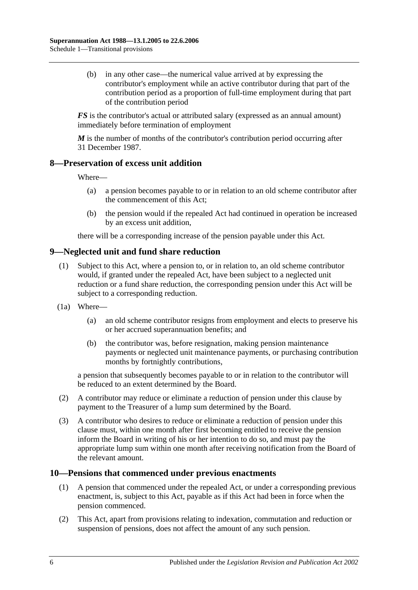(b) in any other case—the numerical value arrived at by expressing the contributor's employment while an active contributor during that part of the contribution period as a proportion of full-time employment during that part of the contribution period

*FS* is the contributor's actual or attributed salary (expressed as an annual amount) immediately before termination of employment

*M* is the number of months of the contributor's contribution period occurring after 31 December 1987.

### **8—Preservation of excess unit addition**

Where—

- (a) a pension becomes payable to or in relation to an old scheme contributor after the commencement of this Act;
- (b) the pension would if the repealed Act had continued in operation be increased by an excess unit addition,

there will be a corresponding increase of the pension payable under this Act.

## **9—Neglected unit and fund share reduction**

- (1) Subject to this Act, where a pension to, or in relation to, an old scheme contributor would, if granted under the repealed Act, have been subject to a neglected unit reduction or a fund share reduction, the corresponding pension under this Act will be subject to a corresponding reduction.
- (1a) Where—
	- (a) an old scheme contributor resigns from employment and elects to preserve his or her accrued superannuation benefits; and
	- (b) the contributor was, before resignation, making pension maintenance payments or neglected unit maintenance payments, or purchasing contribution months by fortnightly contributions,

a pension that subsequently becomes payable to or in relation to the contributor will be reduced to an extent determined by the Board.

- (2) A contributor may reduce or eliminate a reduction of pension under this clause by payment to the Treasurer of a lump sum determined by the Board.
- (3) A contributor who desires to reduce or eliminate a reduction of pension under this clause must, within one month after first becoming entitled to receive the pension inform the Board in writing of his or her intention to do so, and must pay the appropriate lump sum within one month after receiving notification from the Board of the relevant amount.

#### **10—Pensions that commenced under previous enactments**

- (1) A pension that commenced under the repealed Act, or under a corresponding previous enactment, is, subject to this Act, payable as if this Act had been in force when the pension commenced.
- (2) This Act, apart from provisions relating to indexation, commutation and reduction or suspension of pensions, does not affect the amount of any such pension.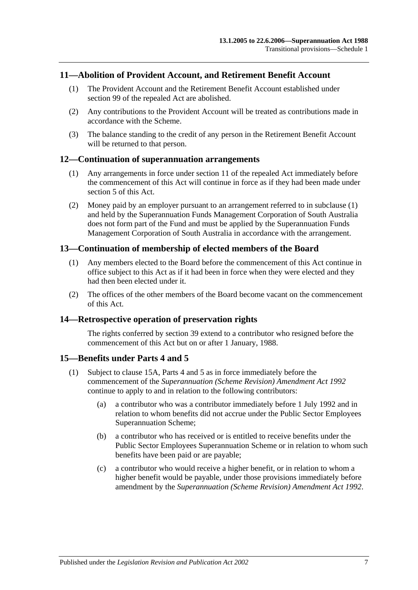### **11—Abolition of Provident Account, and Retirement Benefit Account**

- (1) The Provident Account and the Retirement Benefit Account established under section 99 of the repealed Act are abolished.
- (2) Any contributions to the Provident Account will be treated as contributions made in accordance with the Scheme.
- (3) The balance standing to the credit of any person in the Retirement Benefit Account will be returned to that person.

#### <span id="page-102-0"></span>**12—Continuation of superannuation arrangements**

- (1) Any arrangements in force under section 11 of the repealed Act immediately before the commencement of this Act will continue in force as if they had been made under [section](#page-12-0) 5 of this Act.
- (2) Money paid by an employer pursuant to an arrangement referred to in [subclause](#page-102-0) (1) and held by the Superannuation Funds Management Corporation of South Australia does not form part of the Fund and must be applied by the Superannuation Funds Management Corporation of South Australia in accordance with the arrangement.

### **13—Continuation of membership of elected members of the Board**

- (1) Any members elected to the Board before the commencement of this Act continue in office subject to this Act as if it had been in force when they were elected and they had then been elected under it.
- (2) The offices of the other members of the Board become vacant on the commencement of this Act.

#### **14—Retrospective operation of preservation rights**

The rights conferred by [section](#page-63-0) 39 extend to a contributor who resigned before the commencement of this Act but on or after 1 January, 1988.

#### <span id="page-102-2"></span>**15—Benefits under [Parts 4](#page-28-0) and [5](#page-50-0)**

- <span id="page-102-1"></span>(1) Subject to [clause](#page-103-0) 15A, [Parts 4](#page-28-0) and [5](#page-50-0) as in force immediately before the commencement of the *[Superannuation \(Scheme Revision\) Amendment Act](http://www.legislation.sa.gov.au/index.aspx?action=legref&type=act&legtitle=Superannuation%20(Scheme%20Revision)%20Amendment%20Act%201992) 1992* continue to apply to and in relation to the following contributors:
	- (a) a contributor who was a contributor immediately before 1 July 1992 and in relation to whom benefits did not accrue under the Public Sector Employees Superannuation Scheme;
	- (b) a contributor who has received or is entitled to receive benefits under the Public Sector Employees Superannuation Scheme or in relation to whom such benefits have been paid or are payable;
	- (c) a contributor who would receive a higher benefit, or in relation to whom a higher benefit would be payable, under those provisions immediately before amendment by the *[Superannuation \(Scheme Revision\) Amendment Act](http://www.legislation.sa.gov.au/index.aspx?action=legref&type=act&legtitle=Superannuation%20(Scheme%20Revision)%20Amendment%20Act%201992) 1992*.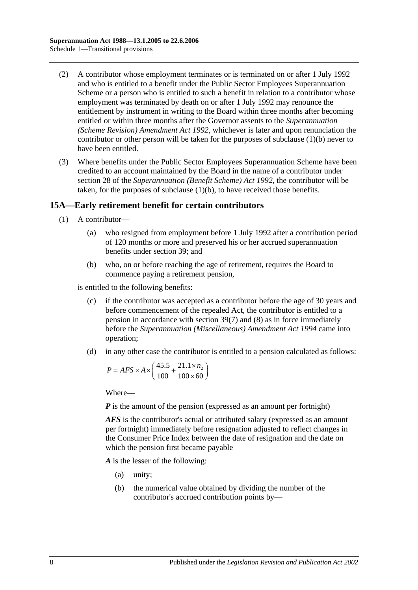- (2) A contributor whose employment terminates or is terminated on or after 1 July 1992 and who is entitled to a benefit under the Public Sector Employees Superannuation Scheme or a person who is entitled to such a benefit in relation to a contributor whose employment was terminated by death on or after 1 July 1992 may renounce the entitlement by instrument in writing to the Board within three months after becoming entitled or within three months after the Governor assents to the *[Superannuation](http://www.legislation.sa.gov.au/index.aspx?action=legref&type=act&legtitle=Superannuation%20(Scheme%20Revision)%20Amendment%20Act%201992)  [\(Scheme Revision\) Amendment Act](http://www.legislation.sa.gov.au/index.aspx?action=legref&type=act&legtitle=Superannuation%20(Scheme%20Revision)%20Amendment%20Act%201992) 1992*, whichever is later and upon renunciation the contributor or other person will be taken for the purposes of [subclause](#page-102-1) (1)(b) never to have been entitled.
- (3) Where benefits under the Public Sector Employees Superannuation Scheme have been credited to an account maintained by the Board in the name of a contributor under section 28 of the *[Superannuation \(Benefit Scheme\) Act](http://www.legislation.sa.gov.au/index.aspx?action=legref&type=act&legtitle=Superannuation%20(Benefit%20Scheme)%20Act%201992) 1992*, the contributor will be taken, for the purposes of [subclause](#page-102-1) (1)(b), to have received those benefits.

## <span id="page-103-0"></span>**15A—Early retirement benefit for certain contributors**

- (1) A contributor—
	- (a) who resigned from employment before 1 July 1992 after a contribution period of 120 months or more and preserved his or her accrued superannuation benefits under [section](#page-63-0) 39; and
	- (b) who, on or before reaching the age of retirement, requires the Board to commence paying a retirement pension,

<span id="page-103-1"></span>is entitled to the following benefits:

- (c) if the contributor was accepted as a contributor before the age of 30 years and before commencement of the repealed Act, the contributor is entitled to a pension in accordance with [section](#page-66-1) 39(7) and [\(8\)](#page-67-0) as in force immediately before the *[Superannuation \(Miscellaneous\) Amendment Act](http://www.legislation.sa.gov.au/index.aspx?action=legref&type=act&legtitle=Superannuation%20(Miscellaneous)%20Amendment%20Act%201994) 1994* came into operation;
- <span id="page-103-2"></span>(d) in any other case the contributor is entitled to a pension calculated as follows:

$$
P = AFS \times A \times \left(\frac{45.5}{100} + \frac{21.1 \times n_2}{100 \times 60}\right)
$$

Where—

*P* is the amount of the pension (expressed as an amount per fortnight)

*AFS* is the contributor's actual or attributed salary (expressed as an amount per fortnight) immediately before resignation adjusted to reflect changes in the Consumer Price Index between the date of resignation and the date on which the pension first became payable

*A* is the lesser of the following:

- (a) unity;
- (b) the numerical value obtained by dividing the number of the contributor's accrued contribution points by—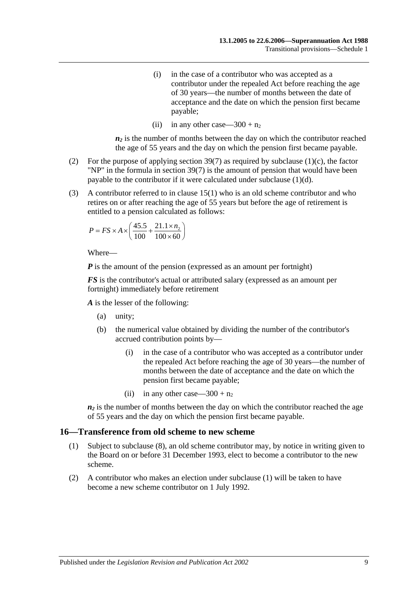- (i) in the case of a contributor who was accepted as a contributor under the repealed Act before reaching the age of 30 years—the number of months between the date of acceptance and the date on which the pension first became payable;
- (ii) in any other case—300 +  $n_2$

 $n_2$  is the number of months between the day on which the contributor reached the age of 55 years and the day on which the pension first became payable.

- (2) For the purpose of applying [section](#page-66-1)  $39(7)$  as required by [subclause](#page-103-1) (1)(c), the factor "NP" in the formula in [section](#page-66-1) 39(7) is the amount of pension that would have been payable to the contributor if it were calculated under [subclause](#page-103-2) (1)(d).
- (3) A contributor referred to in [clause](#page-102-2) 15(1) who is an old scheme contributor and who retires on or after reaching the age of 55 years but before the age of retirement is entitled to a pension calculated as follows:

$$
P = FS \times A \times \left(\frac{45.5}{100} + \frac{21.1 \times n_2}{100 \times 60}\right)
$$

Where—

*P* is the amount of the pension (expressed as an amount per fortnight)

*FS* is the contributor's actual or attributed salary (expressed as an amount per fortnight) immediately before retirement

*A* is the lesser of the following:

- (a) unity;
- (b) the numerical value obtained by dividing the number of the contributor's accrued contribution points by—
	- (i) in the case of a contributor who was accepted as a contributor under the repealed Act before reaching the age of 30 years—the number of months between the date of acceptance and the date on which the pension first became payable;
	- (ii) in any other case—300 +  $n_2$

 $n_2$  is the number of months between the day on which the contributor reached the age of 55 years and the day on which the pension first became payable.

#### <span id="page-104-0"></span>**16—Transference from old scheme to new scheme**

- (1) Subject to [subclause](#page-105-0) (8), an old scheme contributor may, by notice in writing given to the Board on or before 31 December 1993, elect to become a contributor to the new scheme.
- (2) A contributor who makes an election under [subclause](#page-104-0) (1) will be taken to have become a new scheme contributor on 1 July 1992.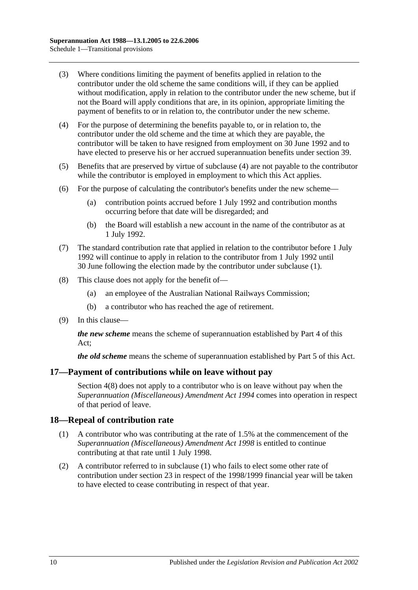- (3) Where conditions limiting the payment of benefits applied in relation to the contributor under the old scheme the same conditions will, if they can be applied without modification, apply in relation to the contributor under the new scheme, but if not the Board will apply conditions that are, in its opinion, appropriate limiting the payment of benefits to or in relation to, the contributor under the new scheme.
- <span id="page-105-1"></span>(4) For the purpose of determining the benefits payable to, or in relation to, the contributor under the old scheme and the time at which they are payable, the contributor will be taken to have resigned from employment on 30 June 1992 and to have elected to preserve his or her accrued superannuation benefits under [section](#page-63-0) 39.
- (5) Benefits that are preserved by virtue of [subclause](#page-105-1) (4) are not payable to the contributor while the contributor is employed in employment to which this Act applies.
- (6) For the purpose of calculating the contributor's benefits under the new scheme—
	- (a) contribution points accrued before 1 July 1992 and contribution months occurring before that date will be disregarded; and
	- (b) the Board will establish a new account in the name of the contributor as at 1 July 1992.
- (7) The standard contribution rate that applied in relation to the contributor before 1 July 1992 will continue to apply in relation to the contributor from 1 July 1992 until 30 June following the election made by the contributor under [subclause](#page-104-0) (1).
- <span id="page-105-0"></span>(8) This clause does not apply for the benefit of—
	- (a) an employee of the Australian National Railways Commission;
	- (b) a contributor who has reached the age of retirement.
- (9) In this clause—

*the new scheme* means the scheme of superannuation established by [Part 4](#page-28-0) of this Act;

*the old scheme* means the scheme of superannuation established by [Part 5](#page-50-0) of this Act.

#### **17—Payment of contributions while on leave without pay**

[Section](#page-11-0) 4(8) does not apply to a contributor who is on leave without pay when the *[Superannuation \(Miscellaneous\) Amendment Act](http://www.legislation.sa.gov.au/index.aspx?action=legref&type=act&legtitle=Superannuation%20(Miscellaneous)%20Amendment%20Act%201994) 1994* comes into operation in respect of that period of leave.

#### <span id="page-105-2"></span>**18—Repeal of contribution rate**

- (1) A contributor who was contributing at the rate of 1.5% at the commencement of the *Superannuation [\(Miscellaneous\) Amendment Act](http://www.legislation.sa.gov.au/index.aspx?action=legref&type=act&legtitle=Superannuation%20(Miscellaneous)%20Amendment%20Act%201998) 1998* is entitled to continue contributing at that rate until 1 July 1998.
- (2) A contributor referred to in [subclause](#page-105-2) (1) who fails to elect some other rate of contribution under [section](#page-24-0) 23 in respect of the 1998/1999 financial year will be taken to have elected to cease contributing in respect of that year.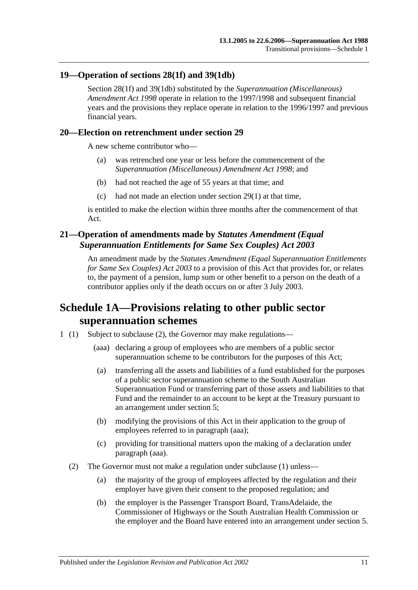### **19—Operation of [sections](#page-30-0) 28(1f) and [39\(1db\)](#page-64-2)**

[Section](#page-30-0) 28(1f) and [39\(1db\)](#page-64-2) substituted by the *[Superannuation \(Miscellaneous\)](http://www.legislation.sa.gov.au/index.aspx?action=legref&type=act&legtitle=Superannuation%20(Miscellaneous)%20Amendment%20Act%201998)  [Amendment Act](http://www.legislation.sa.gov.au/index.aspx?action=legref&type=act&legtitle=Superannuation%20(Miscellaneous)%20Amendment%20Act%201998) 1998* operate in relation to the 1997/1998 and subsequent financial years and the provisions they replace operate in relation to the 1996/1997 and previous financial years.

#### **20—Election on retrenchment under [section](#page-34-0) 29**

A new scheme contributor who—

- (a) was retrenched one year or less before the commencement of the *[Superannuation \(Miscellaneous\) Amendment Act](http://www.legislation.sa.gov.au/index.aspx?action=legref&type=act&legtitle=Superannuation%20(Miscellaneous)%20Amendment%20Act%201998) 1998*; and
- (b) had not reached the age of 55 years at that time; and
- (c) had not made an election under [section](#page-34-1) 29(1) at that time,

is entitled to make the election within three months after the commencement of that Act.

## **21—Operation of amendments made by** *Statutes Amendment (Equal Superannuation Entitlements for Same Sex Couples) Act 2003*

An amendment made by the *[Statutes Amendment \(Equal Superannuation Entitlements](http://www.legislation.sa.gov.au/index.aspx?action=legref&type=act&legtitle=Statutes%20Amendment%20(Equal%20Superannuation%20Entitlements%20for%20Same%20Sex%20Couples)%20Act%202003)  [for Same Sex Couples\) Act 2003](http://www.legislation.sa.gov.au/index.aspx?action=legref&type=act&legtitle=Statutes%20Amendment%20(Equal%20Superannuation%20Entitlements%20for%20Same%20Sex%20Couples)%20Act%202003)* to a provision of this Act that provides for, or relates to, the payment of a pension, lump sum or other benefit to a person on the death of a contributor applies only if the death occurs on or after 3 July 2003.

# **Schedule 1A—Provisions relating to other public sector superannuation schemes**

- <span id="page-106-1"></span><span id="page-106-0"></span>1 (1) Subject to [subclause](#page-106-0) (2), the Governor may make regulations—
	- (aaa) declaring a group of employees who are members of a public sector superannuation scheme to be contributors for the purposes of this Act;
	- (a) transferring all the assets and liabilities of a fund established for the purposes of a public sector superannuation scheme to the South Australian Superannuation Fund or transferring part of those assets and liabilities to that Fund and the remainder to an account to be kept at the Treasury pursuant to an arrangement under [section](#page-12-0) 5;
	- (b) modifying the provisions of this Act in their application to the group of employees referred to in [paragraph](#page-106-1) (aaa);
	- (c) providing for transitional matters upon the making of a declaration under [paragraph](#page-106-1) (aaa).
	- (2) The Governor must not make a regulation under subclause (1) unless—
		- (a) the majority of the group of employees affected by the regulation and their employer have given their consent to the proposed regulation; and
		- (b) the employer is the Passenger Transport Board, TransAdelaide, the Commissioner of Highways or the South Australian Health Commission or the employer and the Board have entered into an arrangement under [section](#page-12-0) 5.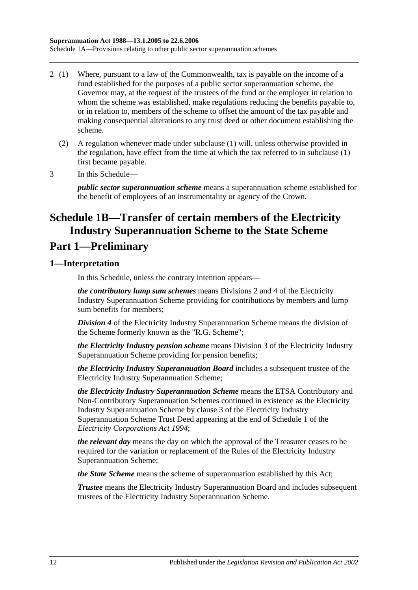- 2 (1) Where, pursuant to a law of the Commonwealth, tax is payable on the income of a fund established for the purposes of a public sector superannuation scheme, the Governor may, at the request of the trustees of the fund or the employer in relation to whom the scheme was established, make regulations reducing the benefits payable to, or in relation to, members of the scheme to offset the amount of the tax payable and making consequential alterations to any trust deed or other document establishing the scheme.
	- (2) A regulation whenever made under subclause (1) will, unless otherwise provided in the regulation, have effect from the time at which the tax referred to in subclause (1) first became payable.
- 3 In this Schedule—

*public sector superannuation scheme* means a superannuation scheme established for the benefit of employees of an instrumentality or agency of the Crown.

# **Schedule 1B—Transfer of certain members of the Electricity Industry Superannuation Scheme to the State Scheme**

# **Part 1—Preliminary**

## **1—Interpretation**

In this Schedule, unless the contrary intention appears—

*the contributory lump sum schemes* means Divisions 2 and 4 of the Electricity Industry Superannuation Scheme providing for contributions by members and lump sum benefits for members;

*Division 4* of the Electricity Industry Superannuation Scheme means the division of the Scheme formerly known as the "R.G. Scheme";

*the Electricity Industry pension scheme* means Division 3 of the Electricity Industry Superannuation Scheme providing for pension benefits;

*the Electricity Industry Superannuation Board* includes a subsequent trustee of the Electricity Industry Superannuation Scheme;

*the Electricity Industry Superannuation Scheme* means the ETSA Contributory and Non-Contributory Superannuation Schemes continued in existence as the Electricity Industry Superannuation Scheme by clause 3 of the Electricity Industry Superannuation Scheme Trust Deed appearing at the end of Schedule 1 of the *[Electricity Corporations Act](http://www.legislation.sa.gov.au/index.aspx?action=legref&type=act&legtitle=Electricity%20Corporations%20Act%201994) 1994*;

*the relevant day* means the day on which the approval of the Treasurer ceases to be required for the variation or replacement of the Rules of the Electricity Industry Superannuation Scheme;

*the State Scheme* means the scheme of superannuation established by this Act;

*Trustee* means the Electricity Industry Superannuation Board and includes subsequent trustees of the Electricity Industry Superannuation Scheme.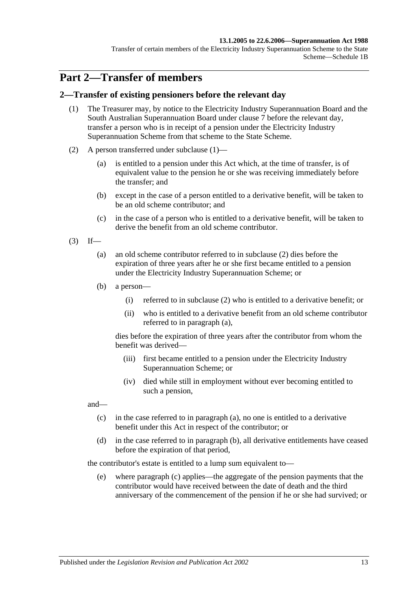Transfer of certain members of the Electricity Industry Superannuation Scheme to the State Scheme—Schedule 1B

# **Part 2—Transfer of members**

### <span id="page-108-0"></span>**2—Transfer of existing pensioners before the relevant day**

- (1) The Treasurer may, by notice to the Electricity Industry Superannuation Board and the South Australian Superannuation Board under [clause](#page-115-0) 7 before the relevant day, transfer a person who is in receipt of a pension under the Electricity Industry Superannuation Scheme from that scheme to the State Scheme.
- <span id="page-108-1"></span>(2) A person transferred under [subclause](#page-108-0) (1)—
	- (a) is entitled to a pension under this Act which, at the time of transfer, is of equivalent value to the pension he or she was receiving immediately before the transfer; and
	- (b) except in the case of a person entitled to a derivative benefit, will be taken to be an old scheme contributor; and
	- (c) in the case of a person who is entitled to a derivative benefit, will be taken to derive the benefit from an old scheme contributor.
- <span id="page-108-3"></span><span id="page-108-2"></span> $(3)$  If—
	- (a) an old scheme contributor referred to in [subclause](#page-108-1) (2) dies before the expiration of three years after he or she first became entitled to a pension under the Electricity Industry Superannuation Scheme; or
	- (b) a person—
		- (i) referred to in [subclause](#page-108-1) (2) who is entitled to a derivative benefit; or
		- (ii) who is entitled to a derivative benefit from an old scheme contributor referred to in [paragraph](#page-108-2) (a),

dies before the expiration of three years after the contributor from whom the benefit was derived—

- (iii) first became entitled to a pension under the Electricity Industry Superannuation Scheme; or
- (iv) died while still in employment without ever becoming entitled to such a pension,

<span id="page-108-4"></span>and—

- (c) in the case referred to in [paragraph](#page-108-2) (a), no one is entitled to a derivative benefit under this Act in respect of the contributor; or
- <span id="page-108-5"></span>(d) in the case referred to in [paragraph](#page-108-3) (b), all derivative entitlements have ceased before the expiration of that period,

the contributor's estate is entitled to a lump sum equivalent to—

(e) where [paragraph](#page-108-4) (c) applies—the aggregate of the pension payments that the contributor would have received between the date of death and the third anniversary of the commencement of the pension if he or she had survived; or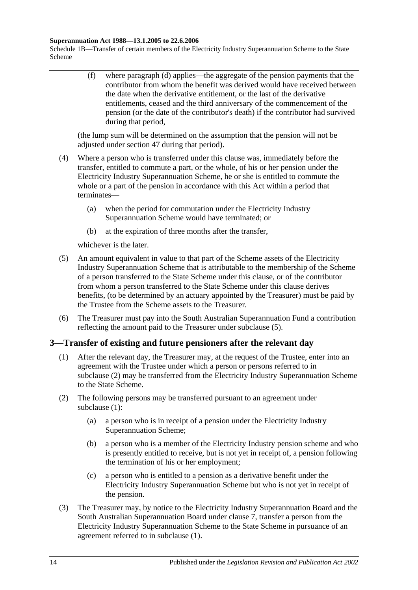Schedule 1B—Transfer of certain members of the Electricity Industry Superannuation Scheme to the State Scheme

> (f) where [paragraph](#page-108-5) (d) applies—the aggregate of the pension payments that the contributor from whom the benefit was derived would have received between the date when the derivative entitlement, or the last of the derivative entitlements, ceased and the third anniversary of the commencement of the pension (or the date of the contributor's death) if the contributor had survived during that period,

(the lump sum will be determined on the assumption that the pension will not be adjusted under [section](#page-89-0) 47 during that period).

- (4) Where a person who is transferred under this clause was, immediately before the transfer, entitled to commute a part, or the whole, of his or her pension under the Electricity Industry Superannuation Scheme, he or she is entitled to commute the whole or a part of the pension in accordance with this Act within a period that terminates—
	- (a) when the period for commutation under the Electricity Industry Superannuation Scheme would have terminated; or
	- (b) at the expiration of three months after the transfer,

whichever is the later.

- <span id="page-109-0"></span>(5) An amount equivalent in value to that part of the Scheme assets of the Electricity Industry Superannuation Scheme that is attributable to the membership of the Scheme of a person transferred to the State Scheme under this clause, or of the contributor from whom a person transferred to the State Scheme under this clause derives benefits, (to be determined by an actuary appointed by the Treasurer) must be paid by the Trustee from the Scheme assets to the Treasurer.
- (6) The Treasurer must pay into the South Australian Superannuation Fund a contribution reflecting the amount paid to the Treasurer under [subclause](#page-109-0) (5).

### <span id="page-109-2"></span>**3—Transfer of existing and future pensioners after the relevant day**

- (1) After the relevant day, the Treasurer may, at the request of the Trustee, enter into an agreement with the Trustee under which a person or persons referred to in [subclause](#page-109-1) (2) may be transferred from the Electricity Industry Superannuation Scheme to the State Scheme.
- <span id="page-109-4"></span><span id="page-109-1"></span>(2) The following persons may be transferred pursuant to an agreement under [subclause](#page-109-2) (1):
	- (a) a person who is in receipt of a pension under the Electricity Industry Superannuation Scheme;
	- (b) a person who is a member of the Electricity Industry pension scheme and who is presently entitled to receive, but is not yet in receipt of, a pension following the termination of his or her employment;
	- (c) a person who is entitled to a pension as a derivative benefit under the Electricity Industry Superannuation Scheme but who is not yet in receipt of the pension.
- <span id="page-109-5"></span><span id="page-109-3"></span>(3) The Treasurer may, by notice to the Electricity Industry Superannuation Board and the South Australian Superannuation Board under [clause](#page-115-0) 7, transfer a person from the Electricity Industry Superannuation Scheme to the State Scheme in pursuance of an agreement referred to in [subclause](#page-109-2) (1).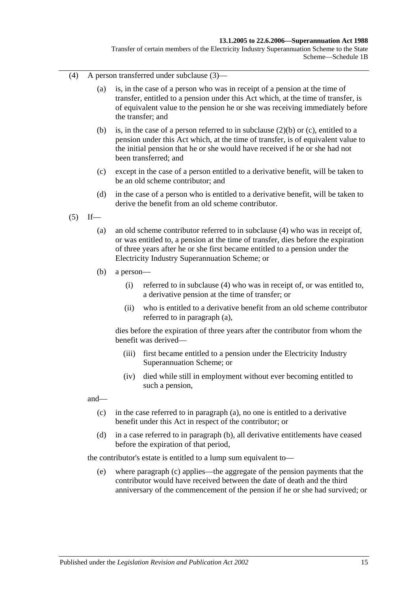Transfer of certain members of the Electricity Industry Superannuation Scheme to the State Scheme—Schedule 1B

- <span id="page-110-0"></span>(4) A person transferred under [subclause](#page-109-3) (3)—
	- (a) is, in the case of a person who was in receipt of a pension at the time of transfer, entitled to a pension under this Act which, at the time of transfer, is of equivalent value to the pension he or she was receiving immediately before the transfer; and
	- (b) is, in the case of a person referred to in [subclause](#page-109-4) (2)(b) or [\(c\),](#page-109-5) entitled to a pension under this Act which, at the time of transfer, is of equivalent value to the initial pension that he or she would have received if he or she had not been transferred; and
	- (c) except in the case of a person entitled to a derivative benefit, will be taken to be an old scheme contributor; and
	- (d) in the case of a person who is entitled to a derivative benefit, will be taken to derive the benefit from an old scheme contributor.
- <span id="page-110-2"></span><span id="page-110-1"></span> $(5)$  If—
	- (a) an old scheme contributor referred to in [subclause](#page-110-0) (4) who was in receipt of, or was entitled to, a pension at the time of transfer, dies before the expiration of three years after he or she first became entitled to a pension under the Electricity Industry Superannuation Scheme; or
	- (b) a person—
		- (i) referred to in [subclause](#page-110-0) (4) who was in receipt of, or was entitled to, a derivative pension at the time of transfer; or
		- (ii) who is entitled to a derivative benefit from an old scheme contributor referred to in [paragraph](#page-110-1) (a),

dies before the expiration of three years after the contributor from whom the benefit was derived—

- (iii) first became entitled to a pension under the Electricity Industry Superannuation Scheme; or
- (iv) died while still in employment without ever becoming entitled to such a pension,

<span id="page-110-3"></span>and—

- (c) in the case referred to in [paragraph](#page-110-1) (a), no one is entitled to a derivative benefit under this Act in respect of the contributor; or
- <span id="page-110-4"></span>(d) in a case referred to in [paragraph](#page-110-2) (b), all derivative entitlements have ceased before the expiration of that period,

the contributor's estate is entitled to a lump sum equivalent to—

(e) where [paragraph](#page-110-3) (c) applies—the aggregate of the pension payments that the contributor would have received between the date of death and the third anniversary of the commencement of the pension if he or she had survived; or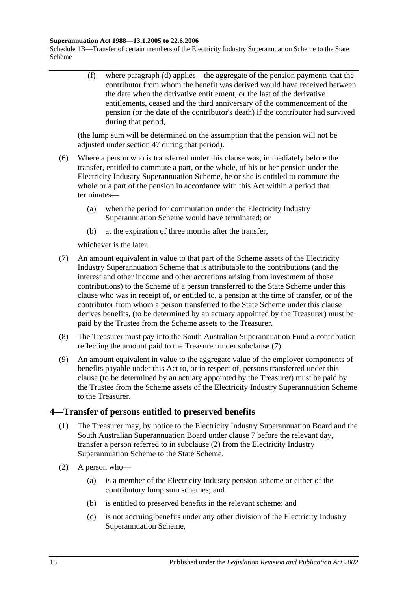Schedule 1B—Transfer of certain members of the Electricity Industry Superannuation Scheme to the State Scheme

> (f) where [paragraph](#page-110-4) (d) applies—the aggregate of the pension payments that the contributor from whom the benefit was derived would have received between the date when the derivative entitlement, or the last of the derivative entitlements, ceased and the third anniversary of the commencement of the pension (or the date of the contributor's death) if the contributor had survived during that period,

(the lump sum will be determined on the assumption that the pension will not be adjusted under [section](#page-89-0) 47 during that period).

- (6) Where a person who is transferred under this clause was, immediately before the transfer, entitled to commute a part, or the whole, of his or her pension under the Electricity Industry Superannuation Scheme, he or she is entitled to commute the whole or a part of the pension in accordance with this Act within a period that terminates—
	- (a) when the period for commutation under the Electricity Industry Superannuation Scheme would have terminated; or
	- (b) at the expiration of three months after the transfer,

whichever is the later.

- <span id="page-111-0"></span>(7) An amount equivalent in value to that part of the Scheme assets of the Electricity Industry Superannuation Scheme that is attributable to the contributions (and the interest and other income and other accretions arising from investment of those contributions) to the Scheme of a person transferred to the State Scheme under this clause who was in receipt of, or entitled to, a pension at the time of transfer, or of the contributor from whom a person transferred to the State Scheme under this clause derives benefits, (to be determined by an actuary appointed by the Treasurer) must be paid by the Trustee from the Scheme assets to the Treasurer.
- (8) The Treasurer must pay into the South Australian Superannuation Fund a contribution reflecting the amount paid to the Treasurer under [subclause](#page-111-0) (7).
- (9) An amount equivalent in value to the aggregate value of the employer components of benefits payable under this Act to, or in respect of, persons transferred under this clause (to be determined by an actuary appointed by the Treasurer) must be paid by the Trustee from the Scheme assets of the Electricity Industry Superannuation Scheme to the Treasurer.

## <span id="page-111-2"></span>**4—Transfer of persons entitled to preserved benefits**

- (1) The Treasurer may, by notice to the Electricity Industry Superannuation Board and the South Australian Superannuation Board under [clause](#page-115-0) 7 before the relevant day, transfer a person referred to in [subclause](#page-111-1) (2) from the Electricity Industry Superannuation Scheme to the State Scheme.
- <span id="page-111-1"></span>(2) A person who—
	- (a) is a member of the Electricity Industry pension scheme or either of the contributory lump sum schemes; and
	- (b) is entitled to preserved benefits in the relevant scheme; and
	- (c) is not accruing benefits under any other division of the Electricity Industry Superannuation Scheme,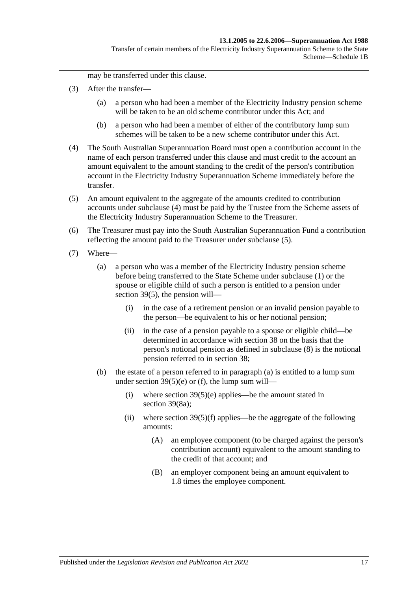may be transferred under this clause.

- (3) After the transfer—
	- (a) a person who had been a member of the Electricity Industry pension scheme will be taken to be an old scheme contributor under this Act; and
	- (b) a person who had been a member of either of the contributory lump sum schemes will be taken to be a new scheme contributor under this Act.
- <span id="page-112-0"></span>(4) The South Australian Superannuation Board must open a contribution account in the name of each person transferred under this clause and must credit to the account an amount equivalent to the amount standing to the credit of the person's contribution account in the Electricity Industry Superannuation Scheme immediately before the transfer.
- <span id="page-112-1"></span>(5) An amount equivalent to the aggregate of the amounts credited to contribution accounts under [subclause](#page-112-0) (4) must be paid by the Trustee from the Scheme assets of the Electricity Industry Superannuation Scheme to the Treasurer.
- (6) The Treasurer must pay into the South Australian Superannuation Fund a contribution reflecting the amount paid to the Treasurer under [subclause](#page-112-1) (5).
- <span id="page-112-3"></span><span id="page-112-2"></span>(7) Where—
	- (a) a person who was a member of the Electricity Industry pension scheme before being transferred to the State Scheme under [subclause](#page-111-2) (1) or the spouse or eligible child of such a person is entitled to a pension under [section](#page-65-0) 39(5), the pension will—
		- (i) in the case of a retirement pension or an invalid pension payable to the person—be equivalent to his or her notional pension;
		- (ii) in the case of a pension payable to a spouse or eligible child—be determined in accordance with [section](#page-59-0) 38 on the basis that the person's notional pension as defined in [subclause](#page-113-0) (8) is the notional pension referred to in [section](#page-59-0) 38;
	- (b) the estate of a person referred to in [paragraph](#page-112-2) (a) is entitled to a lump sum under section  $39(5)(e)$  or [\(f\),](#page-66-1) the lump sum will—
		- (i) where section  $39(5)(e)$  applies—be the amount stated in [section](#page-67-0) 39(8a);
		- (ii) where section  $39(5)(f)$  applies—be the aggregate of the following amounts:
			- (A) an employee component (to be charged against the person's contribution account) equivalent to the amount standing to the credit of that account; and
			- (B) an employer component being an amount equivalent to 1.8 times the employee component.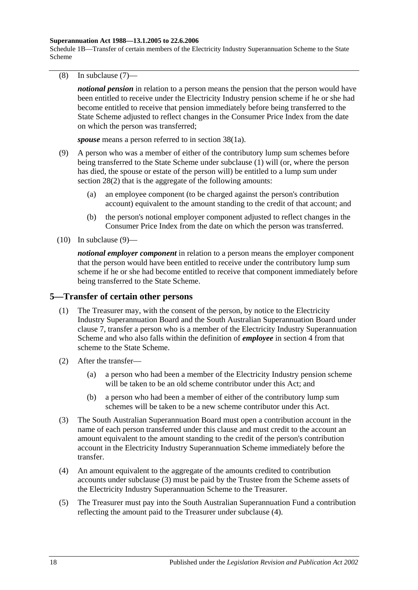Schedule 1B—Transfer of certain members of the Electricity Industry Superannuation Scheme to the State Scheme

<span id="page-113-0"></span>(8) In [subclause](#page-112-3) (7)—

*notional pension* in relation to a person means the pension that the person would have been entitled to receive under the Electricity Industry pension scheme if he or she had become entitled to receive that pension immediately before being transferred to the State Scheme adjusted to reflect changes in the Consumer Price Index from the date on which the person was transferred;

*spouse* means a person referred to in [section](#page-59-1) 38(1a).

- <span id="page-113-1"></span>(9) A person who was a member of either of the contributory lump sum schemes before being transferred to the State Scheme under [subclause](#page-111-2) (1) will (or, where the person has died, the spouse or estate of the person will) be entitled to a lump sum under [section](#page-30-0) 28(2) that is the aggregate of the following amounts:
	- (a) an employee component (to be charged against the person's contribution account) equivalent to the amount standing to the credit of that account; and
	- (b) the person's notional employer component adjusted to reflect changes in the Consumer Price Index from the date on which the person was transferred.
- $(10)$  In [subclause](#page-113-1)  $(9)$ —

*notional employer component* in relation to a person means the employer component that the person would have been entitled to receive under the contributory lump sum scheme if he or she had become entitled to receive that component immediately before being transferred to the State Scheme.

### <span id="page-113-4"></span>**5—Transfer of certain other persons**

- (1) The Treasurer may, with the consent of the person, by notice to the Electricity Industry Superannuation Board and the South Australian Superannuation Board under [clause](#page-115-0) 7, transfer a person who is a member of the Electricity Industry Superannuation Scheme and who also falls within the definition of *employee* in [section](#page-4-0) 4 from that scheme to the State Scheme.
- (2) After the transfer—
	- (a) a person who had been a member of the Electricity Industry pension scheme will be taken to be an old scheme contributor under this Act; and
	- (b) a person who had been a member of either of the contributory lump sum schemes will be taken to be a new scheme contributor under this Act.
- <span id="page-113-2"></span>(3) The South Australian Superannuation Board must open a contribution account in the name of each person transferred under this clause and must credit to the account an amount equivalent to the amount standing to the credit of the person's contribution account in the Electricity Industry Superannuation Scheme immediately before the transfer.
- <span id="page-113-3"></span>(4) An amount equivalent to the aggregate of the amounts credited to contribution accounts under [subclause](#page-113-2) (3) must be paid by the Trustee from the Scheme assets of the Electricity Industry Superannuation Scheme to the Treasurer.
- (5) The Treasurer must pay into the South Australian Superannuation Fund a contribution reflecting the amount paid to the Treasurer under [subclause](#page-113-3) (4).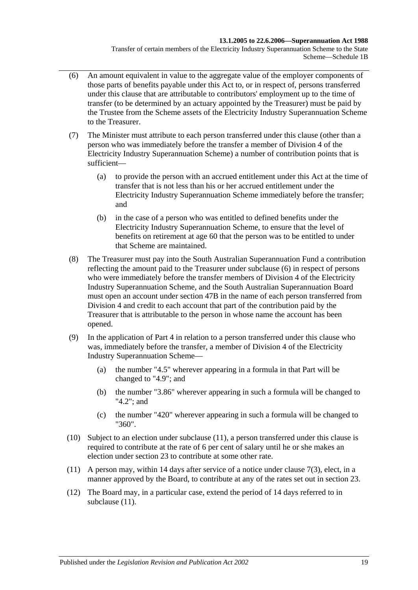Transfer of certain members of the Electricity Industry Superannuation Scheme to the State Scheme—Schedule 1B

- <span id="page-114-0"></span>(6) An amount equivalent in value to the aggregate value of the employer components of those parts of benefits payable under this Act to, or in respect of, persons transferred under this clause that are attributable to contributors' employment up to the time of transfer (to be determined by an actuary appointed by the Treasurer) must be paid by the Trustee from the Scheme assets of the Electricity Industry Superannuation Scheme to the Treasurer.
- (7) The Minister must attribute to each person transferred under this clause (other than a person who was immediately before the transfer a member of Division 4 of the Electricity Industry Superannuation Scheme) a number of contribution points that is sufficient—
	- (a) to provide the person with an accrued entitlement under this Act at the time of transfer that is not less than his or her accrued entitlement under the Electricity Industry Superannuation Scheme immediately before the transfer; and
	- (b) in the case of a person who was entitled to defined benefits under the Electricity Industry Superannuation Scheme, to ensure that the level of benefits on retirement at age 60 that the person was to be entitled to under that Scheme are maintained.
- (8) The Treasurer must pay into the South Australian Superannuation Fund a contribution reflecting the amount paid to the Treasurer under [subclause](#page-114-0) (6) in respect of persons who were immediately before the transfer members of Division 4 of the Electricity Industry Superannuation Scheme, and the South Australian Superannuation Board must open an account under [section](#page-90-0) 47B in the name of each person transferred from Division 4 and credit to each account that part of the contribution paid by the Treasurer that is attributable to the person in whose name the account has been opened.
- (9) In the application of [Part 4](#page-28-0) in relation to a person transferred under this clause who was, immediately before the transfer, a member of Division 4 of the Electricity Industry Superannuation Scheme—
	- (a) the number "4.5" wherever appearing in a formula in that Part will be changed to "4.9"; and
	- (b) the number "3.86" wherever appearing in such a formula will be changed to "4.2"; and
	- (c) the number "420" wherever appearing in such a formula will be changed to "360".
- (10) Subject to an election under [subclause](#page-114-1) (11), a person transferred under this clause is required to contribute at the rate of 6 per cent of salary until he or she makes an election under [section](#page-24-0) 23 to contribute at some other rate.
- <span id="page-114-1"></span>(11) A person may, within 14 days after service of a notice under [clause](#page-115-1) 7(3), elect, in a manner approved by the Board, to contribute at any of the rates set out in [section](#page-24-0) 23.
- (12) The Board may, in a particular case, extend the period of 14 days referred to in [subclause](#page-114-1)  $(11)$ .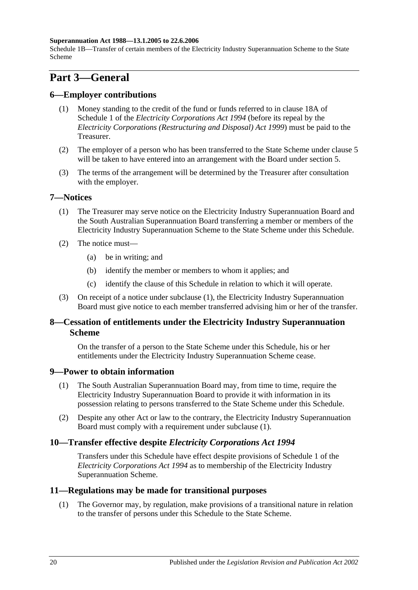Schedule 1B—Transfer of certain members of the Electricity Industry Superannuation Scheme to the State Scheme

# **Part 3—General**

## **6—Employer contributions**

- (1) Money standing to the credit of the fund or funds referred to in clause 18A of Schedule 1 of the *[Electricity Corporations Act](http://www.legislation.sa.gov.au/index.aspx?action=legref&type=act&legtitle=Electricity%20Corporations%20Act%201994) 1994* (before its repeal by the *[Electricity Corporations \(Restructuring and Disposal\) Act](http://www.legislation.sa.gov.au/index.aspx?action=legref&type=act&legtitle=Electricity%20Corporations%20(Restructuring%20and%20Disposal)%20Act%201999) 1999*) must be paid to the Treasurer.
- (2) The employer of a person who has been transferred to the State Scheme under [clause](#page-113-4) 5 will be taken to have entered into an arrangement with the Board under [section](#page-12-0) 5.
- (3) The terms of the arrangement will be determined by the Treasurer after consultation with the employer.

## <span id="page-115-2"></span><span id="page-115-0"></span>**7—Notices**

- (1) The Treasurer may serve notice on the Electricity Industry Superannuation Board and the South Australian Superannuation Board transferring a member or members of the Electricity Industry Superannuation Scheme to the State Scheme under this Schedule.
- (2) The notice must—
	- (a) be in writing; and
	- (b) identify the member or members to whom it applies; and
	- (c) identify the clause of this Schedule in relation to which it will operate.
- <span id="page-115-1"></span>(3) On receipt of a notice under [subclause](#page-115-2) (1), the Electricity Industry Superannuation Board must give notice to each member transferred advising him or her of the transfer.

## **8—Cessation of entitlements under the Electricity Industry Superannuation Scheme**

On the transfer of a person to the State Scheme under this Schedule, his or her entitlements under the Electricity Industry Superannuation Scheme cease.

### <span id="page-115-3"></span>**9—Power to obtain information**

- (1) The South Australian Superannuation Board may, from time to time, require the Electricity Industry Superannuation Board to provide it with information in its possession relating to persons transferred to the State Scheme under this Schedule.
- (2) Despite any other Act or law to the contrary, the Electricity Industry Superannuation Board must comply with a requirement under [subclause](#page-115-3) (1).

## **10—Transfer effective despite** *Electricity Corporations Act 1994*

Transfers under this Schedule have effect despite provisions of Schedule 1 of the *[Electricity Corporations Act](http://www.legislation.sa.gov.au/index.aspx?action=legref&type=act&legtitle=Electricity%20Corporations%20Act%201994) 1994* as to membership of the Electricity Industry Superannuation Scheme.

### **11—Regulations may be made for transitional purposes**

(1) The Governor may, by regulation, make provisions of a transitional nature in relation to the transfer of persons under this Schedule to the State Scheme.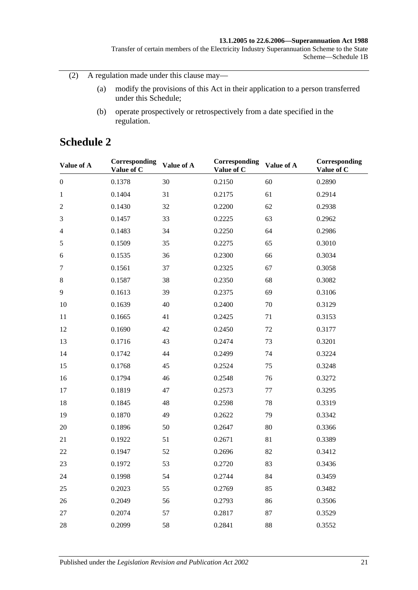Transfer of certain members of the Electricity Industry Superannuation Scheme to the State Scheme—Schedule 1B

(2) A regulation made under this clause may—

- (a) modify the provisions of this Act in their application to a person transferred under this Schedule;
- (b) operate prospectively or retrospectively from a date specified in the regulation.

# **Schedule 2**

| Value of A       | Corresponding<br>Value of C | Value of A | Corresponding<br>Value of C | Value of A | Corresponding<br>Value of C |
|------------------|-----------------------------|------------|-----------------------------|------------|-----------------------------|
| $\boldsymbol{0}$ | 0.1378                      | 30         | 0.2150                      | 60         | 0.2890                      |
| $\mathbf{1}$     | 0.1404                      | 31         | 0.2175                      | 61         | 0.2914                      |
| $\mathfrak{2}$   | 0.1430                      | 32         | 0.2200                      | 62         | 0.2938                      |
| 3                | 0.1457                      | 33         | 0.2225                      | 63         | 0.2962                      |
| $\overline{4}$   | 0.1483                      | 34         | 0.2250                      | 64         | 0.2986                      |
| $\sqrt{5}$       | 0.1509                      | 35         | 0.2275                      | 65         | 0.3010                      |
| 6                | 0.1535                      | 36         | 0.2300                      | 66         | 0.3034                      |
| $\tau$           | 0.1561                      | 37         | 0.2325                      | 67         | 0.3058                      |
| $8\,$            | 0.1587                      | 38         | 0.2350                      | 68         | 0.3082                      |
| 9                | 0.1613                      | 39         | 0.2375                      | 69         | 0.3106                      |
| 10               | 0.1639                      | 40         | 0.2400                      | 70         | 0.3129                      |
| 11               | 0.1665                      | 41         | 0.2425                      | 71         | 0.3153                      |
| 12               | 0.1690                      | 42         | 0.2450                      | 72         | 0.3177                      |
| 13               | 0.1716                      | 43         | 0.2474                      | 73         | 0.3201                      |
| 14               | 0.1742                      | 44         | 0.2499                      | 74         | 0.3224                      |
| 15               | 0.1768                      | 45         | 0.2524                      | 75         | 0.3248                      |
| 16               | 0.1794                      | 46         | 0.2548                      | 76         | 0.3272                      |
| 17               | 0.1819                      | 47         | 0.2573                      | 77         | 0.3295                      |
| 18               | 0.1845                      | 48         | 0.2598                      | 78         | 0.3319                      |
| 19               | 0.1870                      | 49         | 0.2622                      | 79         | 0.3342                      |
| 20               | 0.1896                      | 50         | 0.2647                      | 80         | 0.3366                      |
| 21               | 0.1922                      | 51         | 0.2671                      | 81         | 0.3389                      |
| 22               | 0.1947                      | 52         | 0.2696                      | 82         | 0.3412                      |
| 23               | 0.1972                      | 53         | 0.2720                      | 83         | 0.3436                      |
| 24               | 0.1998                      | 54         | 0.2744                      | 84         | 0.3459                      |
| 25               | 0.2023                      | 55         | 0.2769                      | 85         | 0.3482                      |
| 26               | 0.2049                      | 56         | 0.2793                      | 86         | 0.3506                      |
| 27               | 0.2074                      | 57         | 0.2817                      | 87         | 0.3529                      |
| 28               | 0.2099                      | 58         | 0.2841                      | 88         | 0.3552                      |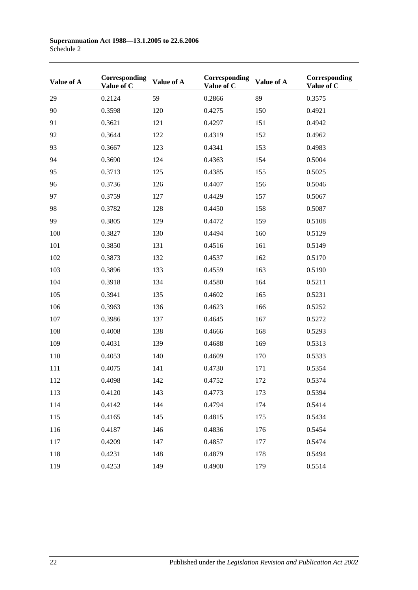| Value of A | Corresponding<br>Value of C | Value of A | Corresponding<br>Value of C | Value of A | Corresponding<br>Value of C |
|------------|-----------------------------|------------|-----------------------------|------------|-----------------------------|
| 29         | 0.2124                      | 59         | 0.2866                      | 89         | 0.3575                      |
| 90         | 0.3598                      | 120        | 0.4275                      | 150        | 0.4921                      |
| 91         | 0.3621                      | 121        | 0.4297                      | 151        | 0.4942                      |
| 92         | 0.3644                      | 122        | 0.4319                      | 152        | 0.4962                      |
| 93         | 0.3667                      | 123        | 0.4341                      | 153        | 0.4983                      |
| 94         | 0.3690                      | 124        | 0.4363                      | 154        | 0.5004                      |
| 95         | 0.3713                      | 125        | 0.4385                      | 155        | 0.5025                      |
| 96         | 0.3736                      | 126        | 0.4407                      | 156        | 0.5046                      |
| 97         | 0.3759                      | 127        | 0.4429                      | 157        | 0.5067                      |
| 98         | 0.3782                      | 128        | 0.4450                      | 158        | 0.5087                      |
| 99         | 0.3805                      | 129        | 0.4472                      | 159        | 0.5108                      |
| 100        | 0.3827                      | 130        | 0.4494                      | 160        | 0.5129                      |
| 101        | 0.3850                      | 131        | 0.4516                      | 161        | 0.5149                      |
| 102        | 0.3873                      | 132        | 0.4537                      | 162        | 0.5170                      |
| 103        | 0.3896                      | 133        | 0.4559                      | 163        | 0.5190                      |
| 104        | 0.3918                      | 134        | 0.4580                      | 164        | 0.5211                      |
| 105        | 0.3941                      | 135        | 0.4602                      | 165        | 0.5231                      |
| 106        | 0.3963                      | 136        | 0.4623                      | 166        | 0.5252                      |
| 107        | 0.3986                      | 137        | 0.4645                      | 167        | 0.5272                      |
| 108        | 0.4008                      | 138        | 0.4666                      | 168        | 0.5293                      |
| 109        | 0.4031                      | 139        | 0.4688                      | 169        | 0.5313                      |
| 110        | 0.4053                      | 140        | 0.4609                      | 170        | 0.5333                      |
| 111        | 0.4075                      | 141        | 0.4730                      | 171        | 0.5354                      |
| 112        | 0.4098                      | 142        | 0.4752                      | 172        | 0.5374                      |
| 113        | 0.4120                      | 143        | 0.4773                      | 173        | 0.5394                      |
| 114        | 0.4142                      | 144        | 0.4794                      | 174        | 0.5414                      |
| 115        | 0.4165                      | 145        | 0.4815                      | 175        | 0.5434                      |
| 116        | 0.4187                      | 146        | 0.4836                      | 176        | 0.5454                      |
| 117        | 0.4209                      | 147        | 0.4857                      | 177        | 0.5474                      |
| 118        | 0.4231                      | 148        | 0.4879                      | 178        | 0.5494                      |
| 119        | 0.4253                      | 149        | 0.4900                      | 179        | 0.5514                      |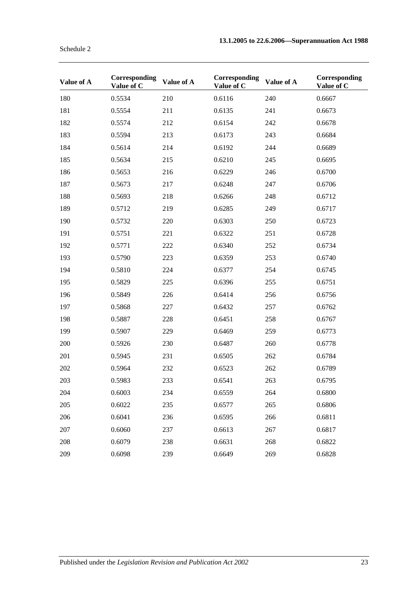| Value of A | Corresponding<br>Value of C | Value of A | Corresponding<br>Value of C | Value of A | Corresponding<br>Value of C |
|------------|-----------------------------|------------|-----------------------------|------------|-----------------------------|
| 180        | 0.5534                      | 210        | 0.6116                      | 240        | 0.6667                      |
| 181        | 0.5554                      | 211        | 0.6135                      | 241        | 0.6673                      |
| 182        | 0.5574                      | 212        | 0.6154                      | 242        | 0.6678                      |
| 183        | 0.5594                      | 213        | 0.6173                      | 243        | 0.6684                      |
| 184        | 0.5614                      | 214        | 0.6192                      | 244        | 0.6689                      |
| 185        | 0.5634                      | 215        | 0.6210                      | 245        | 0.6695                      |
| 186        | 0.5653                      | 216        | 0.6229                      | 246        | 0.6700                      |
| 187        | 0.5673                      | 217        | 0.6248                      | 247        | 0.6706                      |
| 188        | 0.5693                      | 218        | 0.6266                      | 248        | 0.6712                      |
| 189        | 0.5712                      | 219        | 0.6285                      | 249        | 0.6717                      |
| 190        | 0.5732                      | 220        | 0.6303                      | 250        | 0.6723                      |
| 191        | 0.5751                      | 221        | 0.6322                      | 251        | 0.6728                      |
| 192        | 0.5771                      | 222        | 0.6340                      | 252        | 0.6734                      |
| 193        | 0.5790                      | 223        | 0.6359                      | 253        | 0.6740                      |
| 194        | 0.5810                      | 224        | 0.6377                      | 254        | 0.6745                      |
| 195        | 0.5829                      | 225        | 0.6396                      | 255        | 0.6751                      |
| 196        | 0.5849                      | 226        | 0.6414                      | 256        | 0.6756                      |
| 197        | 0.5868                      | 227        | 0.6432                      | 257        | 0.6762                      |
| 198        | 0.5887                      | 228        | 0.6451                      | 258        | 0.6767                      |
| 199        | 0.5907                      | 229        | 0.6469                      | 259        | 0.6773                      |
| 200        | 0.5926                      | 230        | 0.6487                      | 260        | 0.6778                      |
| 201        | 0.5945                      | 231        | 0.6505                      | 262        | 0.6784                      |
| 202        | 0.5964                      | 232        | 0.6523                      | 262        | 0.6789                      |
| 203        | 0.5983                      | 233        | 0.6541                      | 263        | 0.6795                      |
| 204        | 0.6003                      | 234        | 0.6559                      | 264        | 0.6800                      |
| 205        | 0.6022                      | 235        | 0.6577                      | 265        | 0.6806                      |
| 206        | 0.6041                      | 236        | 0.6595                      | 266        | 0.6811                      |
| 207        | 0.6060                      | 237        | 0.6613                      | 267        | 0.6817                      |
| 208        | 0.6079                      | 238        | 0.6631                      | 268        | 0.6822                      |
| 209        | 0.6098                      | 239        | 0.6649                      | 269        | 0.6828                      |

Schedule 2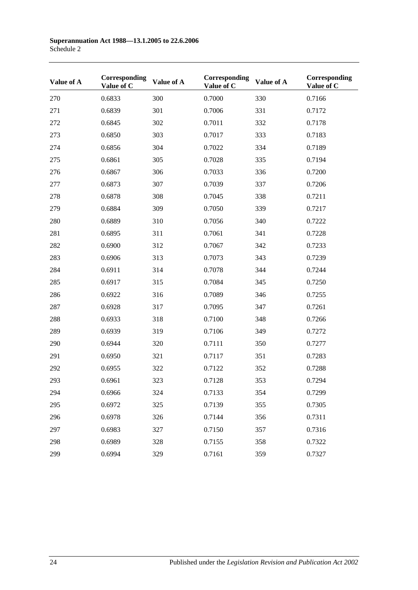| Value of A | Corresponding<br>Value of C | Value of A | Corresponding<br>Value of C | Value of A | Corresponding<br>Value of C |
|------------|-----------------------------|------------|-----------------------------|------------|-----------------------------|
| 270        | 0.6833                      | 300        | 0.7000                      | 330        | 0.7166                      |
| 271        | 0.6839                      | 301        | 0.7006                      | 331        | 0.7172                      |
| 272        | 0.6845                      | 302        | 0.7011                      | 332        | 0.7178                      |
| 273        | 0.6850                      | 303        | 0.7017                      | 333        | 0.7183                      |
| 274        | 0.6856                      | 304        | 0.7022                      | 334        | 0.7189                      |
| 275        | 0.6861                      | 305        | 0.7028                      | 335        | 0.7194                      |
| 276        | 0.6867                      | 306        | 0.7033                      | 336        | 0.7200                      |
| 277        | 0.6873                      | 307        | 0.7039                      | 337        | 0.7206                      |
| 278        | 0.6878                      | 308        | 0.7045                      | 338        | 0.7211                      |
| 279        | 0.6884                      | 309        | 0.7050                      | 339        | 0.7217                      |
| 280        | 0.6889                      | 310        | 0.7056                      | 340        | 0.7222                      |
| 281        | 0.6895                      | 311        | 0.7061                      | 341        | 0.7228                      |
| 282        | 0.6900                      | 312        | 0.7067                      | 342        | 0.7233                      |
| 283        | 0.6906                      | 313        | 0.7073                      | 343        | 0.7239                      |
| 284        | 0.6911                      | 314        | 0.7078                      | 344        | 0.7244                      |
| 285        | 0.6917                      | 315        | 0.7084                      | 345        | 0.7250                      |
| 286        | 0.6922                      | 316        | 0.7089                      | 346        | 0.7255                      |
| 287        | 0.6928                      | 317        | 0.7095                      | 347        | 0.7261                      |
| 288        | 0.6933                      | 318        | 0.7100                      | 348        | 0.7266                      |
| 289        | 0.6939                      | 319        | 0.7106                      | 349        | 0.7272                      |
| 290        | 0.6944                      | 320        | 0.7111                      | 350        | 0.7277                      |
| 291        | 0.6950                      | 321        | 0.7117                      | 351        | 0.7283                      |
| 292        | 0.6955                      | 322        | 0.7122                      | 352        | 0.7288                      |
| 293        | 0.6961                      | 323        | 0.7128                      | 353        | 0.7294                      |
| 294        | 0.6966                      | 324        | 0.7133                      | 354        | 0.7299                      |
| 295        | 0.6972                      | 325        | 0.7139                      | 355        | 0.7305                      |
| 296        | 0.6978                      | 326        | 0.7144                      | 356        | 0.7311                      |
| 297        | 0.6983                      | 327        | 0.7150                      | 357        | 0.7316                      |
| 298        | 0.6989                      | 328        | 0.7155                      | 358        | 0.7322                      |
| 299        | 0.6994                      | 329        | 0.7161                      | 359        | 0.7327                      |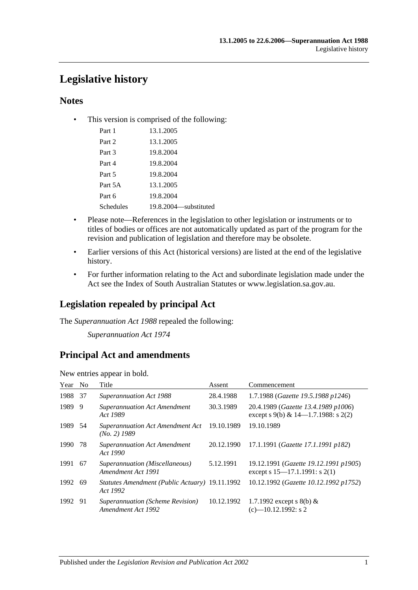# **Legislative history**

## **Notes**

• This version is comprised of the following:

| Part 1    | 13.1.2005               |
|-----------|-------------------------|
| Part 2    | 13.1.2005               |
| Part 3    | 19.8.2004               |
| Part 4    | 19.8.2004               |
| Part 5    | 19.8.2004               |
| Part 5A   | 13.1.2005               |
| Part 6    | 19.8.2004               |
| Schedules | 19.8.2004 — substituted |

- Please note—References in the legislation to other legislation or instruments or to titles of bodies or offices are not automatically updated as part of the program for the revision and publication of legislation and therefore may be obsolete.
- Earlier versions of this Act (historical versions) are listed at the end of the legislative history.
- For further information relating to the Act and subordinate legislation made under the Act see the Index of South Australian Statutes or www.legislation.sa.gov.au.

# **Legislation repealed by principal Act**

The *Superannuation Act 1988* repealed the following:

*Superannuation Act 1974*

# **Principal Act and amendments**

| Year No |     | Title                                                      | Assent     | Commencement                                                                |
|---------|-----|------------------------------------------------------------|------------|-----------------------------------------------------------------------------|
| 1988    | -37 | <b>Superannuation Act 1988</b>                             | 28.4.1988  | 1.7.1988 (Gazette 19.5.1988 p1246)                                          |
| 1989    | 9   | <b>Superannuation Act Amendment</b><br>Act 1989            | 30.3.1989  | 20.4.1989 (Gazette 13.4.1989 p1006)<br>except s 9(b) & 14-1.7.1988: s 2(2)  |
| 1989 54 |     | <b>Superannuation Act Amendment Act</b><br>$(No. 2)$ 1989  | 19.10.1989 | 19.10.1989                                                                  |
| 1990    | 78  | <b>Superannuation Act Amendment</b><br>Act 1990            | 20.12.1990 | 17.1.1991 (Gazette 17.1.1991 p182)                                          |
| 1991    | 67  | Superannuation (Miscellaneous)<br>Amendment Act 1991       | 5.12.1991  | 19.12.1991 (Gazette 19.12.1991 p1905)<br>except s $15-17.1.1991$ : s $2(1)$ |
| 1992 69 |     | Statutes Amendment (Public Actuary) 19.11.1992<br>Act 1992 |            | 10.12.1992 (Gazette 10.12.1992 p1752)                                       |
| 1992    | -91 | Superannuation (Scheme Revision)<br>Amendment Act 1992     | 10.12.1992 | 1.7.1992 except s 8(b) $&$<br>$(c)$ —10.12.1992: s 2                        |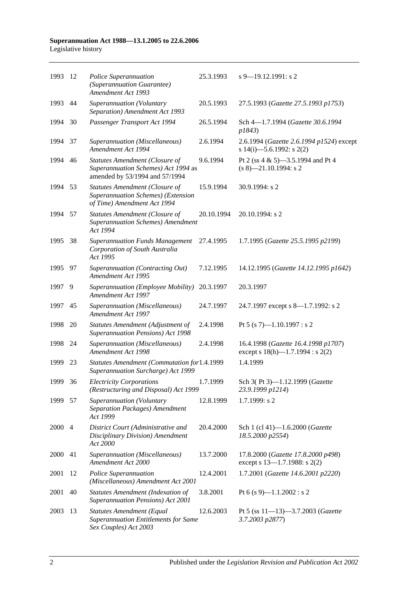#### **Superannuation Act 1988—13.1.2005 to 22.6.2006** Legislative history

| 1993    | 12   | Police Superannuation<br>(Superannuation Guarantee)<br>Amendment Act 1993                                      | 25.3.1993  | $s$ 9–19.12.1991: s 2                                                        |
|---------|------|----------------------------------------------------------------------------------------------------------------|------------|------------------------------------------------------------------------------|
| 1993    | 44   | Superannuation (Voluntary<br>Separation) Amendment Act 1993                                                    | 20.5.1993  | 27.5.1993 (Gazette 27.5.1993 p1753)                                          |
| 1994    | 30   | Passenger Transport Act 1994                                                                                   | 26.5.1994  | Sch 4-1.7.1994 (Gazette 30.6.1994<br>p1843)                                  |
| 1994    | 37   | Superannuation (Miscellaneous)<br>Amendment Act 1994                                                           | 2.6.1994   | 2.6.1994 (Gazette 2.6.1994 p1524) except<br>s 14(i)-5.6.1992: s 2(2)         |
| 1994 46 |      | <b>Statutes Amendment (Closure of</b><br>Superannuation Schemes) Act 1994 as<br>amended by 53/1994 and 57/1994 | 9.6.1994   | Pt 2 (ss 4 & 5)-3.5.1994 and Pt 4<br>$(s 8)$ —21.10.1994: s 2                |
| 1994    | 53   | Statutes Amendment (Closure of<br>Superannuation Schemes) (Extension<br>of Time) Amendment Act 1994            | 15.9.1994  | 30.9.1994: s 2                                                               |
| 1994    | 57   | <b>Statutes Amendment (Closure of</b><br><b>Superannuation Schemes)</b> Amendment<br>Act 1994                  | 20.10.1994 | 20.10.1994: s 2                                                              |
| 1995    | 38   | <b>Superannuation Funds Management</b><br>Corporation of South Australia<br>Act 1995                           | 27.4.1995  | 1.7.1995 (Gazette 25.5.1995 p2199)                                           |
| 1995    | - 97 | Superannuation (Contracting Out)<br>Amendment Act 1995                                                         | 7.12.1995  | 14.12.1995 (Gazette 14.12.1995 p1642)                                        |
| 1997    | 9    | Superannuation (Employee Mobility)<br>Amendment Act 1997                                                       | 20.3.1997  | 20.3.1997                                                                    |
| 1997    | 45   | Superannuation (Miscellaneous)<br>Amendment Act 1997                                                           | 24.7.1997  | 24.7.1997 except s 8—1.7.1992: s 2                                           |
| 1998    | 20   | Statutes Amendment (Adjustment of<br>Superannuation Pensions) Act 1998                                         | 2.4.1998   | Pt 5 (s 7)-1.10.1997 : s 2                                                   |
| 1998    | 24   | Superannuation (Miscellaneous)<br>Amendment Act 1998                                                           | 2.4.1998   | 16.4.1998 (Gazette 16.4.1998 p1707)<br>except s $18(h)$ —1.7.1994 : s $2(2)$ |
| 1999    | 23   | Statutes Amendment (Commutation for1.4.1999<br>Superannuation Surcharge) Act 1999                              |            | 1.4.1999                                                                     |
| 1999 36 |      | <b>Electricity Corporations</b><br>(Restructuring and Disposal) Act 1999                                       | 1.7.1999   | Sch 3(Pt 3)-1.12.1999 (Gazette<br>23.9.1999 p1214)                           |
| 1999    | -57  | Superannuation (Voluntary<br>Separation Packages) Amendment<br>Act 1999                                        | 12.8.1999  | 1.7.1999: s 2                                                                |
| 2000 4  |      | District Court (Administrative and<br>Disciplinary Division) Amendment<br>Act 2000                             | 20.4.2000  | Sch 1 (cl 41)-1.6.2000 (Gazette<br>18.5.2000 p2554)                          |
| 2000    | 41   | Superannuation (Miscellaneous)<br>Amendment Act 2000                                                           | 13.7.2000  | 17.8.2000 (Gazette 17.8.2000 p498)<br>except s 13-1.7.1988: s 2(2)           |
| 2001    | 12   | Police Superannuation<br>(Miscellaneous) Amendment Act 2001                                                    | 12.4.2001  | 1.7.2001 (Gazette 14.6.2001 p2220)                                           |
| 2001    | 40   | <b>Statutes Amendment (Indexation of</b><br>Superannuation Pensions) Act 2001                                  | 3.8.2001   | Pt 6 (s 9)-1.1.2002 : s 2                                                    |
| 2003    | 13   | <b>Statutes Amendment (Equal</b><br><b>Superannuation Entitlements for Same</b><br>Sex Couples) Act 2003       | 12.6.2003  | Pt 5 (ss 11-13)-3.7.2003 (Gazette<br>3.7.2003 p2877)                         |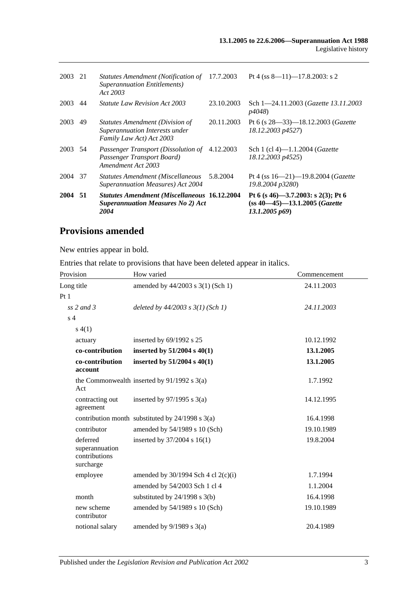| 2003    | 21 | Statutes Amendment (Notification of<br><b>Superannuation Entitlements</b> )<br>Act 2003                 | 17.7.2003  | Pt 4 (ss $8-11$ )-17.8.2003: s 2                                                                |
|---------|----|---------------------------------------------------------------------------------------------------------|------------|-------------------------------------------------------------------------------------------------|
| 2003    | 44 | <i>Statute Law Revision Act 2003</i>                                                                    | 23.10.2003 | Sch 1-24.11.2003 (Gazette 13.11.2003)<br><i>p4048</i> )                                         |
| 2003    | 49 | <b>Statutes Amendment (Division of</b><br>Superannuation Interests under<br>Family Law Act) Act 2003    | 20.11.2003 | Pt 6 (s $28 - 33$ ) - 18.12.2003 ( <i>Gazette</i><br>18.12.2003 p4527)                          |
| 2003 54 |    | Passenger Transport (Dissolution of<br>Passenger Transport Board)<br>Amendment Act 2003                 | 4.12.2003  | Sch 1 (cl 4)-1.1.2004 ( <i>Gazette</i><br>18.12.2003 p4525)                                     |
| 2004    | 37 | <b>Statutes Amendment (Miscellaneous</b><br>Superannuation Measures) Act 2004                           | 5.8.2004   | Pt 4 (ss $16 - 21$ ) -19.8.2004 ( <i>Gazette</i><br>19.8.2004 p3280)                            |
| 2004 51 |    | <b>Statutes Amendment (Miscellaneous 16.12.2004</b><br><b>Superannuation Measures No 2) Act</b><br>2004 |            | Pt 6 (s 46)-3.7.2003: s 2(3); Pt 6<br>$(ss 40—45)$ —13.1.2005 ( <i>Gazette</i><br>13.1.2005 p69 |

# **Provisions amended**

New entries appear in bold.

Entries that relate to provisions that have been deleted appear in italics.

| Provision                                                | How varied                                           | Commencement |
|----------------------------------------------------------|------------------------------------------------------|--------------|
| Long title                                               | amended by 44/2003 s 3(1) (Sch 1)                    | 24.11.2003   |
| Pt1                                                      |                                                      |              |
| ss $2$ and $3$                                           | deleted by $44/2003$ s $3(1)$ (Sch 1)                | 24.11.2003   |
| s <sub>4</sub>                                           |                                                      |              |
| s(4(1))                                                  |                                                      |              |
| actuary                                                  | inserted by 69/1992 s 25                             | 10.12.1992   |
| co-contribution                                          | inserted by $51/2004$ s $40(1)$                      | 13.1.2005    |
| co-contribution<br>account                               | inserted by $51/2004$ s $40(1)$                      | 13.1.2005    |
| Act                                                      | the Commonwealth inserted by $91/1992$ s 3(a)        | 1.7.1992     |
| contracting out<br>agreement                             | inserted by $97/1995$ s 3(a)                         | 14.12.1995   |
|                                                          | contribution month substituted by $24/1998$ s $3(a)$ | 16.4.1998    |
| contributor                                              | amended by 54/1989 s 10 (Sch)                        | 19.10.1989   |
| deferred<br>superannuation<br>contributions<br>surcharge | inserted by 37/2004 s 16(1)                          | 19.8.2004    |
| employee                                                 | amended by $30/1994$ Sch 4 cl $2(c)(i)$              | 1.7.1994     |
|                                                          | amended by 54/2003 Sch 1 cl 4                        | 1.1.2004     |
| month                                                    | substituted by $24/1998$ s $3(b)$                    | 16.4.1998    |
| new scheme<br>contributor                                | amended by 54/1989 s 10 (Sch)                        | 19.10.1989   |
| notional salary                                          | amended by $9/1989$ s $3(a)$                         | 20.4.1989    |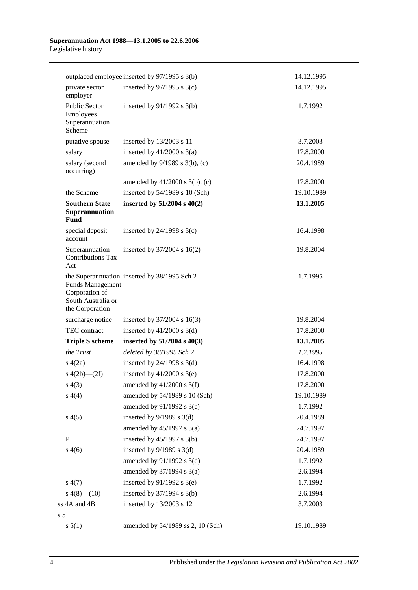#### **Superannuation Act 1988—13.1.2005 to 22.6.2006** Legislative history

|                                                                                    | outplaced employee inserted by 97/1995 s 3(b) | 14.12.1995 |
|------------------------------------------------------------------------------------|-----------------------------------------------|------------|
| private sector<br>employer                                                         | inserted by $97/1995$ s 3(c)                  | 14.12.1995 |
| Public Sector<br>Employees<br>Superannuation<br>Scheme                             | inserted by $91/1992$ s $3(b)$                | 1.7.1992   |
| putative spouse                                                                    | inserted by 13/2003 s 11                      | 3.7.2003   |
| salary                                                                             | inserted by $41/2000$ s $3(a)$                | 17.8.2000  |
| salary (second<br>occurring)                                                       | amended by 9/1989 s 3(b), (c)                 | 20.4.1989  |
|                                                                                    | amended by $41/2000$ s $3(b)$ , (c)           | 17.8.2000  |
| the Scheme                                                                         | inserted by 54/1989 s 10 (Sch)                | 19.10.1989 |
| <b>Southern State</b><br>Superannuation<br>Fund                                    | inserted by $51/2004$ s $40(2)$               | 13.1.2005  |
| special deposit<br>account                                                         | inserted by $24/1998$ s $3(c)$                | 16.4.1998  |
| Superannuation<br><b>Contributions Tax</b><br>Act                                  | inserted by $37/2004$ s $16(2)$               | 19.8.2004  |
| <b>Funds Management</b><br>Corporation of<br>South Australia or<br>the Corporation | the Superannuation inserted by 38/1995 Sch 2  | 1.7.1995   |
| surcharge notice                                                                   | inserted by $37/2004$ s 16(3)                 | 19.8.2004  |
| TEC contract                                                                       | inserted by $41/2000$ s 3(d)                  | 17.8.2000  |
| <b>Triple S scheme</b>                                                             | inserted by $51/2004$ s $40(3)$               | 13.1.2005  |
| the Trust                                                                          | deleted by 38/1995 Sch 2                      | 1.7.1995   |
| s(4(2a))                                                                           | inserted by $24/1998$ s $3(d)$                | 16.4.1998  |
| s $4(2b)$ - $(2f)$                                                                 | inserted by $41/2000$ s 3(e)                  | 17.8.2000  |
| s(4(3))                                                                            | amended by $41/2000$ s 3(f)                   | 17.8.2000  |
| s(4(4)                                                                             | amended by 54/1989 s 10 (Sch)                 | 19.10.1989 |
|                                                                                    | amended by 91/1992 s 3(c)                     | 1.7.1992   |
| s(4(5)                                                                             | inserted by $9/1989$ s 3(d)                   | 20.4.1989  |
|                                                                                    | amended by $45/1997$ s $3(a)$                 | 24.7.1997  |
| $\mathbf{P}$                                                                       | inserted by $45/1997$ s 3(b)                  | 24.7.1997  |
| s(4(6)                                                                             | inserted by $9/1989$ s $3(d)$                 | 20.4.1989  |
|                                                                                    | amended by 91/1992 s 3(d)                     | 1.7.1992   |
|                                                                                    | amended by 37/1994 s 3(a)                     | 2.6.1994   |
| s(4(7))                                                                            | inserted by $91/1992$ s 3(e)                  | 1.7.1992   |
| $s\ 4(8)$ (10)                                                                     | inserted by $37/1994$ s 3(b)                  | 2.6.1994   |
| ss 4A and 4B                                                                       | inserted by 13/2003 s 12                      | 3.7.2003   |
| s <sub>5</sub>                                                                     |                                               |            |
| s 5(1)                                                                             | amended by 54/1989 ss 2, 10 (Sch)             | 19.10.1989 |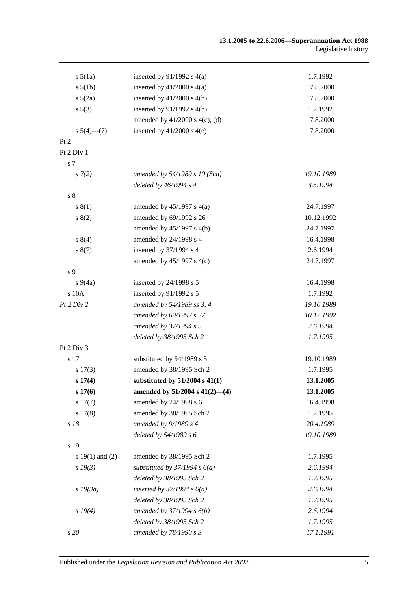| $s\,5(1a)$          | inserted by $91/1992$ s $4(a)$      | 1.7.1992   |
|---------------------|-------------------------------------|------------|
| $s\,5(1b)$          | inserted by $41/2000$ s $4(a)$      | 17.8.2000  |
| $s\ 5(2a)$          | inserted by $41/2000$ s $4(b)$      | 17.8.2000  |
| s 5(3)              | inserted by $91/1992$ s $4(b)$      | 1.7.1992   |
|                     | amended by $41/2000$ s $4(c)$ , (d) | 17.8.2000  |
| $s\ 5(4)$ (7)       | inserted by $41/2000$ s $4(e)$      | 17.8.2000  |
| Pt 2                |                                     |            |
| Pt 2 Div 1          |                                     |            |
| s 7                 |                                     |            |
| $s \, 7(2)$         | amended by 54/1989 s 10 (Sch)       | 19.10.1989 |
|                     | deleted by $46/1994 s 4$            | 3.5.1994   |
| s <sub>8</sub>      |                                     |            |
| s(1)                | amended by $45/1997$ s $4(a)$       | 24.7.1997  |
| s(2)                | amended by 69/1992 s 26             | 10.12.1992 |
|                     | amended by 45/1997 s 4(b)           | 24.7.1997  |
| s(4)                | amended by 24/1998 s 4              | 16.4.1998  |
| s(7)                | inserted by 37/1994 s 4             | 2.6.1994   |
|                     | amended by $45/1997$ s $4(c)$       | 24.7.1997  |
| s 9                 |                                     |            |
| $s\,9(4a)$          | inserted by $24/1998$ s 5           | 16.4.1998  |
| s 10A               | inserted by 91/1992 s 5             | 1.7.1992   |
| Pt 2 Div 2          | amended by 54/1989 ss 3, 4          | 19.10.1989 |
|                     | amended by 69/1992 s 27             | 10.12.1992 |
|                     | amended by 37/1994 s 5              | 2.6.1994   |
|                     | deleted by 38/1995 Sch 2            | 1.7.1995   |
| Pt 2 Div 3          |                                     |            |
| s 17                | substituted by 54/1989 s 5          | 19.10.1989 |
| s 17(3)             | amended by 38/1995 Sch 2            | 1.7.1995   |
| s 17(4)             | substituted by $51/2004$ s $41(1)$  | 13.1.2005  |
| s 17(6)             | amended by $51/2004$ s $41(2)$ —(4) | 13.1.2005  |
| s 17(7)             | amended by 24/1998 s 6              | 16.4.1998  |
| s 17(8)             | amended by 38/1995 Sch 2            | 1.7.1995   |
| s 18                | amended by 9/1989 s 4               | 20.4.1989  |
|                     | deleted by 54/1989 s 6              | 19.10.1989 |
| s 19                |                                     |            |
| s $19(1)$ and $(2)$ | amended by 38/1995 Sch 2            | 1.7.1995   |
| $s\,19(3)$          | substituted by $37/1994 s 6(a)$     | 2.6.1994   |
|                     | deleted by 38/1995 Sch 2            | 1.7.1995   |
| $s$ 19 $(3a)$       | inserted by $37/1994 s 6(a)$        | 2.6.1994   |
|                     | deleted by 38/1995 Sch 2            | 1.7.1995   |
| $s\,19(4)$          | amended by $37/1994 s 6(b)$         | 2.6.1994   |
|                     | deleted by 38/1995 Sch 2            | 1.7.1995   |
| s 20                | amended by 78/1990 s 3              | 17.1.1991  |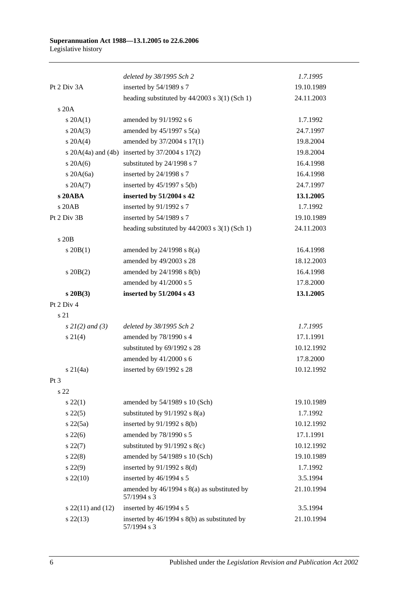|                       | deleted by 38/1995 Sch 2                                    | 1.7.1995   |
|-----------------------|-------------------------------------------------------------|------------|
| Pt 2 Div 3A           | inserted by 54/1989 s 7                                     | 19.10.1989 |
|                       | heading substituted by $44/2003$ s $3(1)$ (Sch 1)           | 24.11.2003 |
| s 20A                 |                                                             |            |
| $s \, 20A(1)$         | amended by 91/1992 s 6                                      | 1.7.1992   |
| $s$ 20A $(3)$         | amended by $45/1997$ s $5(a)$                               | 24.7.1997  |
| $s \ 20A(4)$          | amended by 37/2004 s 17(1)                                  | 19.8.2004  |
|                       | s $20A(4a)$ and $(4b)$ inserted by $37/2004$ s $17(2)$      | 19.8.2004  |
| $s$ 20A(6)            | substituted by 24/1998 s 7                                  | 16.4.1998  |
| s $20A(6a)$           | inserted by 24/1998 s 7                                     | 16.4.1998  |
| $s \, 20A(7)$         | inserted by $45/1997$ s $5(b)$                              | 24.7.1997  |
| s 20ABA               | inserted by 51/2004 s 42                                    | 13.1.2005  |
| s 20AB                | inserted by 91/1992 s 7                                     | 1.7.1992   |
| Pt 2 Div 3B           | inserted by 54/1989 s 7                                     | 19.10.1989 |
|                       | heading substituted by $44/2003$ s 3(1) (Sch 1)             | 24.11.2003 |
| s 20B                 |                                                             |            |
| $s \ 20B(1)$          | amended by $24/1998$ s $8(a)$                               | 16.4.1998  |
|                       | amended by 49/2003 s 28                                     | 18.12.2003 |
| $s \ 20B(2)$          | amended by 24/1998 s 8(b)                                   | 16.4.1998  |
|                       | amended by 41/2000 s 5                                      | 17.8.2000  |
| $s$ 20 $B(3)$         | inserted by 51/2004 s 43                                    | 13.1.2005  |
| Pt 2 Div 4            |                                                             |            |
| s 21                  |                                                             |            |
| $s \, 2l(2)$ and (3)  | deleted by 38/1995 Sch 2                                    | 1.7.1995   |
| $s \, 21(4)$          | amended by 78/1990 s 4                                      | 17.1.1991  |
|                       | substituted by 69/1992 s 28                                 | 10.12.1992 |
|                       | amended by 41/2000 s 6                                      | 17.8.2000  |
| $s \ 21(4a)$          | inserted by 69/1992 s 28                                    | 10.12.1992 |
| Pt 3                  |                                                             |            |
| s 22                  |                                                             |            |
| $s\,22(1)$            | amended by 54/1989 s 10 (Sch)                               | 19.10.1989 |
| $s\,22(5)$            | substituted by $91/1992$ s $8(a)$                           | 1.7.1992   |
| s22(5a)               | inserted by $91/1992$ s $8(b)$                              | 10.12.1992 |
| $s\,22(6)$            | amended by 78/1990 s 5                                      | 17.1.1991  |
| $s\,22(7)$            | substituted by $91/1992$ s $8(c)$                           | 10.12.1992 |
| $s\,22(8)$            | amended by 54/1989 s 10 (Sch)                               | 19.10.1989 |
| $s\,22(9)$            | inserted by $91/1992$ s $8(d)$                              | 1.7.1992   |
| $s\,22(10)$           | inserted by 46/1994 s 5                                     | 3.5.1994   |
|                       | amended by 46/1994 s 8(a) as substituted by                 | 21.10.1994 |
|                       | 57/1994 s 3                                                 |            |
| s $22(11)$ and $(12)$ | inserted by 46/1994 s 5                                     | 3.5.1994   |
| $s\,22(13)$           | inserted by 46/1994 s 8(b) as substituted by<br>57/1994 s 3 | 21.10.1994 |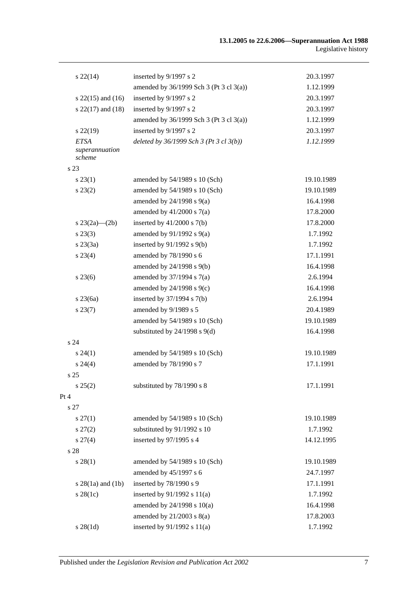| $s\,22(14)$                             | inserted by 9/1997 s 2                  | 20.3.1997  |
|-----------------------------------------|-----------------------------------------|------------|
|                                         | amended by 36/1999 Sch 3 (Pt 3 cl 3(a)) | 1.12.1999  |
| s $22(15)$ and $(16)$                   | inserted by 9/1997 s 2                  | 20.3.1997  |
| s $22(17)$ and $(18)$                   | inserted by 9/1997 s 2                  | 20.3.1997  |
|                                         | amended by 36/1999 Sch 3 (Pt 3 cl 3(a)) | 1.12.1999  |
| $s\,22(19)$                             | inserted by 9/1997 s 2                  | 20.3.1997  |
| <b>ETSA</b><br>superannuation<br>scheme | deleted by 36/1999 Sch 3 (Pt 3 cl 3(b)) | 1.12.1999  |
| s 23                                    |                                         |            |
| $s\,23(1)$                              | amended by 54/1989 s 10 (Sch)           | 19.10.1989 |
| $s\,23(2)$                              | amended by 54/1989 s 10 (Sch)           | 19.10.1989 |
|                                         | amended by $24/1998$ s $9(a)$           | 16.4.1998  |
|                                         | amended by $41/2000$ s $7(a)$           | 17.8.2000  |
| s $23(2a)$ — $(2b)$                     | inserted by $41/2000$ s $7(b)$          | 17.8.2000  |
| $s\,23(3)$                              | amended by $91/1992$ s $9(a)$           | 1.7.1992   |
| $s\,23(3a)$                             | inserted by $91/1992$ s $9(b)$          | 1.7.1992   |
| $s\,23(4)$                              | amended by 78/1990 s 6                  | 17.1.1991  |
|                                         | amended by 24/1998 s 9(b)               | 16.4.1998  |
| $s\,23(6)$                              | amended by $37/1994$ s $7(a)$           | 2.6.1994   |
|                                         | amended by $24/1998$ s $9(c)$           | 16.4.1998  |
| $s$ 23 $(6a)$                           | inserted by $37/1994$ s $7(b)$          | 2.6.1994   |
| $s\,23(7)$                              | amended by 9/1989 s 5                   | 20.4.1989  |
|                                         | amended by 54/1989 s 10 (Sch)           | 19.10.1989 |
|                                         | substituted by $24/1998$ s $9(d)$       | 16.4.1998  |
| s <sub>24</sub>                         |                                         |            |
| $s\,24(1)$                              | amended by 54/1989 s 10 (Sch)           | 19.10.1989 |
| $s\,24(4)$                              | amended by 78/1990 s 7                  | 17.1.1991  |
| s <sub>25</sub>                         |                                         |            |
| s 25(2)                                 | substituted by 78/1990 s 8              | 17.1.1991  |
| Pt 4                                    |                                         |            |
| s 27                                    |                                         |            |
| $s\,27(1)$                              | amended by 54/1989 s 10 (Sch)           | 19.10.1989 |
| $s\,27(2)$                              | substituted by 91/1992 s 10             | 1.7.1992   |
| $s\,27(4)$                              | inserted by 97/1995 s 4                 | 14.12.1995 |
| s 28                                    |                                         |            |
| $s\,28(1)$                              | amended by 54/1989 s 10 (Sch)           | 19.10.1989 |
|                                         | amended by 45/1997 s 6                  | 24.7.1997  |
| $s 28(1a)$ and $(1b)$                   | inserted by 78/1990 s 9                 | 17.1.1991  |
| $s$ 28(1c)                              | inserted by $91/1992$ s $11(a)$         | 1.7.1992   |
|                                         | amended by $24/1998$ s $10(a)$          | 16.4.1998  |
|                                         | amended by $21/2003$ s $8(a)$           | 17.8.2003  |
| $s \, 28(1d)$                           | inserted by 91/1992 s 11(a)             | 1.7.1992   |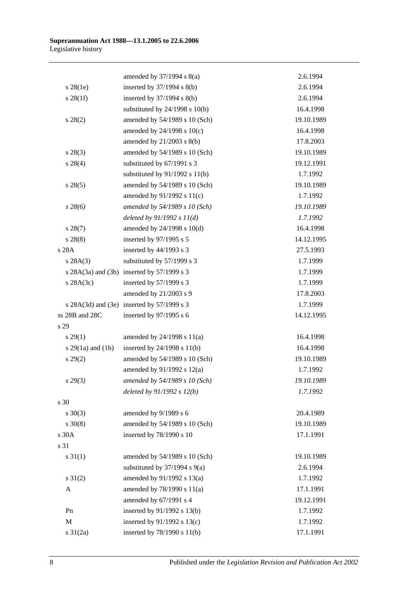|                       | amended by $37/1994$ s $8(a)$              | 2.6.1994   |
|-----------------------|--------------------------------------------|------------|
| $s$ 28(1e)            | inserted by 37/1994 s 8(b)                 | 2.6.1994   |
| $s \, 28(1f)$         | inserted by $37/1994$ s $8(b)$             | 2.6.1994   |
|                       | substituted by $24/1998$ s $10(b)$         | 16.4.1998  |
| $s\,28(2)$            | amended by 54/1989 s 10 (Sch)              | 19.10.1989 |
|                       | amended by 24/1998 s 10(c)                 | 16.4.1998  |
|                       | amended by 21/2003 s 8(b)                  | 17.8.2003  |
| $s\,28(3)$            | amended by 54/1989 s 10 (Sch)              | 19.10.1989 |
| $s\ 28(4)$            | substituted by 67/1991 s 3                 | 19.12.1991 |
|                       | substituted by $91/1992$ s $11(b)$         | 1.7.1992   |
| $s\,28(5)$            | amended by 54/1989 s 10 (Sch)              | 19.10.1989 |
|                       | amended by $91/1992$ s $11(c)$             | 1.7.1992   |
| $s\,28(6)$            | amended by 54/1989 s 10 (Sch)              | 19.10.1989 |
|                       | deleted by $91/1992 s 11(d)$               | 1.7.1992   |
| $s\,28(7)$            | amended by 24/1998 s 10(d)                 | 16.4.1998  |
| $s\,28(8)$            | inserted by 97/1995 s 5                    | 14.12.1995 |
| s 28A                 | inserted by 44/1993 s 3                    | 27.5.1993  |
| s 28A(3)              | substituted by 57/1999 s 3                 | 1.7.1999   |
|                       | s 28A(3a) and (3b) inserted by 57/1999 s 3 | 1.7.1999   |
| $s$ 28A(3c)           | inserted by $57/1999$ s 3                  | 1.7.1999   |
|                       | amended by 21/2003 s 9                     | 17.8.2003  |
|                       | s 28A(3d) and (3e) inserted by 57/1999 s 3 | 1.7.1999   |
| ss 28B and 28C        | inserted by 97/1995 s 6                    | 14.12.1995 |
| s 29                  |                                            |            |
| $s\,29(1)$            | amended by $24/1998$ s $11(a)$             | 16.4.1998  |
| s $29(1a)$ and $(1b)$ | inserted by $24/1998$ s $11(b)$            | 16.4.1998  |
| $s\,29(2)$            | amended by 54/1989 s 10 (Sch)              | 19.10.1989 |
|                       | amended by 91/1992 s 12(a)                 | 1.7.1992   |
| s29(3)                | amended by 54/1989 s 10 (Sch)              | 19.10.1989 |
|                       | deleted by $91/1992 s 12(b)$               | 1.7.1992   |
| s 30                  |                                            |            |
| $s \ 30(3)$           | amended by 9/1989 s 6                      | 20.4.1989  |
| $s \ 30(8)$           | amended by 54/1989 s 10 (Sch)              | 19.10.1989 |
| s 30A                 | inserted by 78/1990 s 10                   | 17.1.1991  |
| s 31                  |                                            |            |
| $s \, 31(1)$          | amended by 54/1989 s 10 (Sch)              | 19.10.1989 |
|                       | substituted by $37/1994$ s $9(a)$          | 2.6.1994   |
| $s \, 31(2)$          | amended by 91/1992 s 13(a)                 | 1.7.1992   |
| A                     | amended by 78/1990 s 11(a)                 | 17.1.1991  |
|                       | amended by 67/1991 s 4                     | 19.12.1991 |
| Pn                    | inserted by 91/1992 s 13(b)                | 1.7.1992   |
| M                     | inserted by 91/1992 s 13(c)                | 1.7.1992   |
| $s \ 31(2a)$          | inserted by 78/1990 s 11(b)                | 17.1.1991  |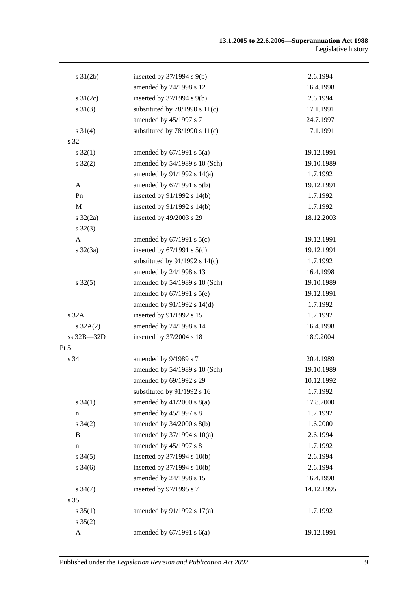| $s \, 31(2b)$       | inserted by $37/1994$ s $9(b)$     | 2.6.1994   |
|---------------------|------------------------------------|------------|
|                     | amended by 24/1998 s 12            | 16.4.1998  |
| s $31(2c)$          | inserted by 37/1994 s 9(b)         | 2.6.1994   |
| $s \ 31(3)$         | substituted by $78/1990$ s $11(c)$ | 17.1.1991  |
|                     | amended by 45/1997 s 7             | 24.7.1997  |
| $s \, 31(4)$        | substituted by $78/1990$ s $11(c)$ | 17.1.1991  |
| s 32                |                                    |            |
| $s \, 32(1)$        | amended by $67/1991$ s $5(a)$      | 19.12.1991 |
| $s \, 32(2)$        | amended by 54/1989 s 10 (Sch)      | 19.10.1989 |
|                     | amended by 91/1992 s 14(a)         | 1.7.1992   |
| $\mathbf{A}$        | amended by $67/1991$ s $5(b)$      | 19.12.1991 |
| Pn                  | inserted by $91/1992$ s $14(b)$    | 1.7.1992   |
| M                   | inserted by $91/1992$ s $14(b)$    | 1.7.1992   |
| s 32(2a)            | inserted by 49/2003 s 29           | 18.12.2003 |
| $s \, 32(3)$        |                                    |            |
| $\mathbf{A}$        | amended by $67/1991$ s $5(c)$      | 19.12.1991 |
| $s \, 32(3a)$       | inserted by $67/1991$ s $5(d)$     | 19.12.1991 |
|                     | substituted by $91/1992$ s $14(c)$ | 1.7.1992   |
|                     | amended by 24/1998 s 13            | 16.4.1998  |
| $s \, 32(5)$        | amended by 54/1989 s 10 (Sch)      | 19.10.1989 |
|                     | amended by $67/1991$ s $5(e)$      | 19.12.1991 |
|                     | amended by 91/1992 s 14(d)         | 1.7.1992   |
| s 32A               | inserted by 91/1992 s 15           | 1.7.1992   |
| $s \, 32A(2)$       | amended by 24/1998 s 14            | 16.4.1998  |
| ss 32B-32D          | inserted by 37/2004 s 18           | 18.9.2004  |
| Pt 5                |                                    |            |
| s 34                | amended by 9/1989 s 7              | 20.4.1989  |
|                     | amended by 54/1989 s 10 (Sch)      | 19.10.1989 |
|                     | amended by 69/1992 s 29            | 10.12.1992 |
|                     | substituted by 91/1992 s 16        | 1.7.1992   |
| $s \, 34(1)$        | amended by $41/2000$ s $8(a)$      | 17.8.2000  |
| n                   | amended by 45/1997 s 8             | 1.7.1992   |
| $s \, 34(2)$        | amended by $34/2000$ s $8(b)$      | 1.6.2000   |
| B                   | amended by 37/1994 s 10(a)         | 2.6.1994   |
| n                   | amended by 45/1997 s 8             | 1.7.1992   |
| $s \, 34(5)$        | inserted by 37/1994 s 10(b)        | 2.6.1994   |
| $s \frac{34(6)}{2}$ | inserted by $37/1994$ s $10(b)$    | 2.6.1994   |
|                     | amended by 24/1998 s 15            | 16.4.1998  |
| $s \frac{34(7)}{2}$ | inserted by 97/1995 s 7            | 14.12.1995 |
| s 35                |                                    |            |
| $s \, 35(1)$        | amended by 91/1992 s 17(a)         | 1.7.1992   |
| $s \, 35(2)$        |                                    |            |
| A                   | amended by $67/1991$ s $6(a)$      | 19.12.1991 |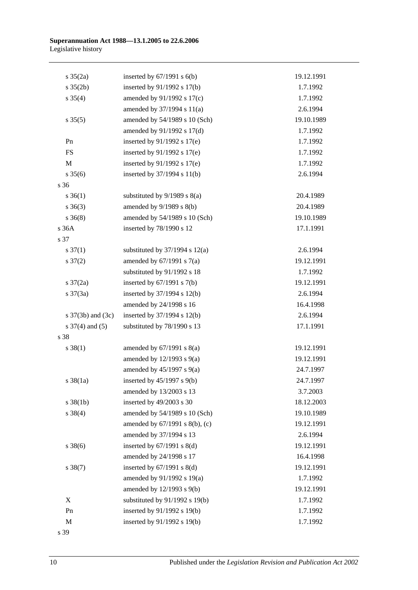| $s \; 35(2a)$         | inserted by $67/1991$ s $6(b)$     | 19.12.1991 |
|-----------------------|------------------------------------|------------|
| $s \; 35(2b)$         | inserted by 91/1992 s 17(b)        | 1.7.1992   |
| $s \; 35(4)$          | amended by 91/1992 s 17(c)         | 1.7.1992   |
|                       | amended by 37/1994 s 11(a)         | 2.6.1994   |
| $s \, 35(5)$          | amended by 54/1989 s 10 (Sch)      | 19.10.1989 |
|                       | amended by 91/1992 s 17(d)         | 1.7.1992   |
| Pn                    | inserted by $91/1992$ s $17(e)$    | 1.7.1992   |
| ${\rm FS}$            | inserted by $91/1992$ s $17(e)$    | 1.7.1992   |
| $\mathbf M$           | inserted by $91/1992$ s $17(e)$    | 1.7.1992   |
| $s \, 35(6)$          | inserted by 37/1994 s 11(b)        | 2.6.1994   |
| s 36                  |                                    |            |
| $s \; 36(1)$          | substituted by $9/1989$ s $8(a)$   | 20.4.1989  |
| $s \; 36(3)$          | amended by $9/1989$ s $8(b)$       | 20.4.1989  |
| $s \; 36(8)$          | amended by 54/1989 s 10 (Sch)      | 19.10.1989 |
| s 36A                 | inserted by 78/1990 s 12           | 17.1.1991  |
| s 37                  |                                    |            |
| $s \frac{37(1)}{2}$   | substituted by $37/1994$ s $12(a)$ | 2.6.1994   |
| $s \frac{37(2)}{2}$   | amended by $67/1991$ s $7(a)$      | 19.12.1991 |
|                       | substituted by 91/1992 s 18        | 1.7.1992   |
| $s \frac{37}{2a}$     | inserted by $67/1991$ s $7(b)$     | 19.12.1991 |
| $s \frac{37(3a)}{2}$  | inserted by $37/1994$ s $12(b)$    | 2.6.1994   |
|                       | amended by 24/1998 s 16            | 16.4.1998  |
| s $37(3b)$ and $(3c)$ | inserted by $37/1994$ s $12(b)$    | 2.6.1994   |
| s $37(4)$ and $(5)$   | substituted by 78/1990 s 13        | 17.1.1991  |
| s 38                  |                                    |            |
| $s \, 38(1)$          | amended by $67/1991$ s $8(a)$      | 19.12.1991 |
|                       | amended by $12/1993$ s $9(a)$      | 19.12.1991 |
|                       | amended by $45/1997$ s $9(a)$      | 24.7.1997  |
| $s \frac{38}{1a}$     | inserted by $45/1997$ s $9(b)$     | 24.7.1997  |
|                       | amended by 13/2003 s 13            | 3.7.2003   |
| $s \ 38(1b)$          | inserted by 49/2003 s 30           | 18.12.2003 |
| $s \ 38(4)$           | amended by 54/1989 s 10 (Sch)      | 19.10.1989 |
|                       | amended by 67/1991 s 8(b), (c)     | 19.12.1991 |
|                       | amended by 37/1994 s 13            | 2.6.1994   |
| $s \, 38(6)$          | inserted by $67/1991$ s $8(d)$     | 19.12.1991 |
|                       | amended by 24/1998 s 17            | 16.4.1998  |
| $s \, 38(7)$          | inserted by $67/1991$ s $8(d)$     | 19.12.1991 |
|                       | amended by 91/1992 s 19(a)         | 1.7.1992   |
|                       | amended by 12/1993 s 9(b)          | 19.12.1991 |
| X                     | substituted by 91/1992 s 19(b)     | 1.7.1992   |
| Pn                    | inserted by 91/1992 s 19(b)        | 1.7.1992   |
| $\mathbf M$           | inserted by 91/1992 s 19(b)        | 1.7.1992   |
|                       |                                    |            |

s 39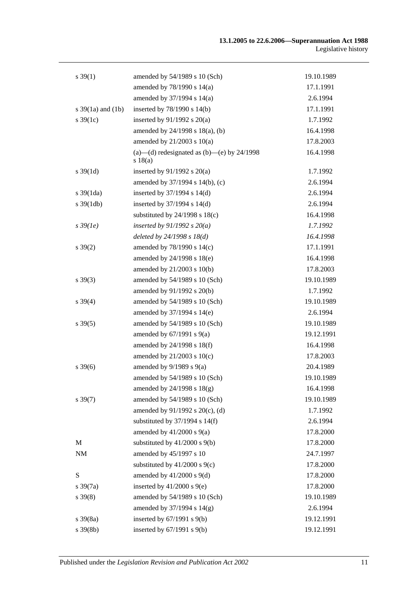| $s \, 39(1)$          | amended by 54/1989 s 10 (Sch)                            | 19.10.1989 |
|-----------------------|----------------------------------------------------------|------------|
|                       | amended by 78/1990 s 14(a)                               | 17.1.1991  |
|                       | amended by 37/1994 s 14(a)                               | 2.6.1994   |
| s $39(1a)$ and $(1b)$ | inserted by $78/1990$ s $14(b)$                          | 17.1.1991  |
| $s \, 39(1c)$         | inserted by $91/1992$ s $20(a)$                          | 1.7.1992   |
|                       | amended by 24/1998 s 18(a), (b)                          | 16.4.1998  |
|                       | amended by $21/2003$ s $10(a)$                           | 17.8.2003  |
|                       | (a)—(d) redesignated as $(b)$ —(e) by 24/1998<br>s 18(a) | 16.4.1998  |
| $s \, 39(1d)$         | inserted by $91/1992$ s $20(a)$                          | 1.7.1992   |
|                       | amended by 37/1994 s 14(b), (c)                          | 2.6.1994   |
| $s \frac{39(1da)}{2}$ | inserted by $37/1994$ s $14(d)$                          | 2.6.1994   |
| $s \frac{39(1db)}{2}$ | inserted by 37/1994 s 14(d)                              | 2.6.1994   |
|                       | substituted by $24/1998$ s $18(c)$                       | 16.4.1998  |
| $s\,39(1e)$           | inserted by $91/1992$ s $20(a)$                          | 1.7.1992   |
|                       | deleted by $24/1998 s 18(d)$                             | 16.4.1998  |
| $s \, 39(2)$          | amended by 78/1990 s 14(c)                               | 17.1.1991  |
|                       | amended by 24/1998 s 18(e)                               | 16.4.1998  |
|                       | amended by 21/2003 s 10(b)                               | 17.8.2003  |
| $s \, 39(3)$          | amended by 54/1989 s 10 (Sch)                            | 19.10.1989 |
|                       | amended by 91/1992 s 20(b)                               | 1.7.1992   |
| $s \, 39(4)$          | amended by 54/1989 s 10 (Sch)                            | 19.10.1989 |
|                       | amended by 37/1994 s 14(e)                               | 2.6.1994   |
| $s \, 39(5)$          | amended by 54/1989 s 10 (Sch)                            | 19.10.1989 |
|                       | amended by $67/1991$ s $9(a)$                            | 19.12.1991 |
|                       | amended by 24/1998 s 18(f)                               | 16.4.1998  |
|                       | amended by $21/2003$ s $10(c)$                           | 17.8.2003  |
| $s \, 39(6)$          | amended by $9/1989$ s $9(a)$                             | 20.4.1989  |
|                       | amended by 54/1989 s 10 (Sch)                            | 19.10.1989 |
|                       | amended by $24/1998$ s $18(g)$                           | 16.4.1998  |
| $s \, 39(7)$          | amended by 54/1989 s 10 (Sch)                            | 19.10.1989 |
|                       | amended by 91/1992 s 20(c), (d)                          | 1.7.1992   |
|                       | substituted by $37/1994$ s $14(f)$                       | 2.6.1994   |
|                       | amended by $41/2000$ s $9(a)$                            | 17.8.2000  |
| M                     | substituted by $41/2000$ s $9(b)$                        | 17.8.2000  |
| $\rm{NM}$             | amended by 45/1997 s 10                                  | 24.7.1997  |
|                       | substituted by $41/2000$ s $9(c)$                        | 17.8.2000  |
| ${\bf S}$             | amended by $41/2000$ s $9(d)$                            | 17.8.2000  |
| $s \frac{39(7a)}{2}$  | inserted by $41/2000$ s $9(e)$                           | 17.8.2000  |
| $s \, 39(8)$          | amended by 54/1989 s 10 (Sch)                            | 19.10.1989 |
|                       | amended by 37/1994 s 14(g)                               | 2.6.1994   |
| $s \, 39(8a)$         | inserted by $67/1991$ s $9(b)$                           | 19.12.1991 |
| $s \, 39(8b)$         | inserted by $67/1991$ s $9(b)$                           | 19.12.1991 |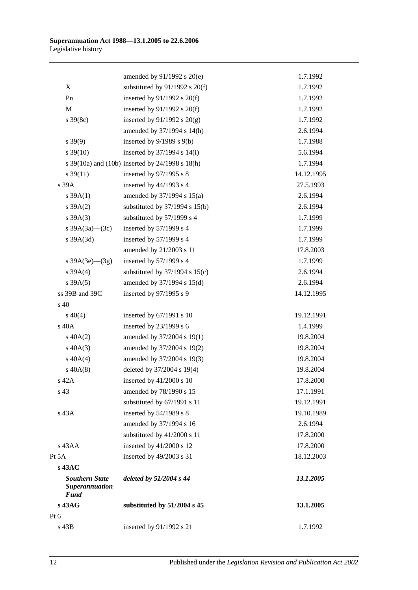| s $39A(3e)$ (3g)<br>s 39A(4)<br>s 39A(5)<br>ss 39B and 39C<br>$s\ 40(4)$<br>s 40A<br>$s\ 40A(2)$<br>$s\ 40A(3)$<br>$s\ 40A(4)$<br>$s\ 40A(8)$<br>s 42A<br>s 43A<br>$s$ 43AA<br>$s$ 43AC<br><b>Southern State</b><br>Superannuation<br><b>Fund</b><br>s 43AG | amended by 21/2003 s 11<br>inserted by 57/1999 s 4<br>substituted by $37/1994$ s $15(c)$<br>amended by 37/1994 s 15(d)<br>inserted by 97/1995 s 9<br>inserted by 67/1991 s 10<br>inserted by 23/1999 s 6<br>amended by 37/2004 s 19(1)<br>amended by 37/2004 s 19(2)<br>amended by 37/2004 s 19(3)<br>deleted by 37/2004 s 19(4)<br>inserted by 41/2000 s 10<br>amended by 78/1990 s 15<br>substituted by 67/1991 s 11<br>inserted by 54/1989 s 8<br>amended by 37/1994 s 16<br>substituted by 41/2000 s 11<br>inserted by 41/2000 s 12<br>inserted by 49/2003 s 31<br>deleted by $51/2004$ s $44$<br>substituted by 51/2004 s 45 | 1.7.1999<br>2.6.1994<br>2.6.1994<br>14.12.1995<br>19.12.1991<br>1.4.1999<br>19.8.2004<br>19.8.2004<br>19.8.2004<br>19.8.2004<br>17.8.2000<br>17.1.1991<br>19.12.1991<br>19.10.1989<br>2.6.1994<br>17.8.2000<br>17.8.2000<br>18.12.2003<br>13.1.2005<br>13.1.2005 |
|-------------------------------------------------------------------------------------------------------------------------------------------------------------------------------------------------------------------------------------------------------------|-----------------------------------------------------------------------------------------------------------------------------------------------------------------------------------------------------------------------------------------------------------------------------------------------------------------------------------------------------------------------------------------------------------------------------------------------------------------------------------------------------------------------------------------------------------------------------------------------------------------------------------|------------------------------------------------------------------------------------------------------------------------------------------------------------------------------------------------------------------------------------------------------------------|
|                                                                                                                                                                                                                                                             |                                                                                                                                                                                                                                                                                                                                                                                                                                                                                                                                                                                                                                   |                                                                                                                                                                                                                                                                  |
|                                                                                                                                                                                                                                                             |                                                                                                                                                                                                                                                                                                                                                                                                                                                                                                                                                                                                                                   |                                                                                                                                                                                                                                                                  |
|                                                                                                                                                                                                                                                             |                                                                                                                                                                                                                                                                                                                                                                                                                                                                                                                                                                                                                                   |                                                                                                                                                                                                                                                                  |
|                                                                                                                                                                                                                                                             |                                                                                                                                                                                                                                                                                                                                                                                                                                                                                                                                                                                                                                   |                                                                                                                                                                                                                                                                  |
|                                                                                                                                                                                                                                                             |                                                                                                                                                                                                                                                                                                                                                                                                                                                                                                                                                                                                                                   |                                                                                                                                                                                                                                                                  |
|                                                                                                                                                                                                                                                             |                                                                                                                                                                                                                                                                                                                                                                                                                                                                                                                                                                                                                                   |                                                                                                                                                                                                                                                                  |
|                                                                                                                                                                                                                                                             |                                                                                                                                                                                                                                                                                                                                                                                                                                                                                                                                                                                                                                   |                                                                                                                                                                                                                                                                  |
|                                                                                                                                                                                                                                                             |                                                                                                                                                                                                                                                                                                                                                                                                                                                                                                                                                                                                                                   |                                                                                                                                                                                                                                                                  |
|                                                                                                                                                                                                                                                             |                                                                                                                                                                                                                                                                                                                                                                                                                                                                                                                                                                                                                                   |                                                                                                                                                                                                                                                                  |
|                                                                                                                                                                                                                                                             |                                                                                                                                                                                                                                                                                                                                                                                                                                                                                                                                                                                                                                   |                                                                                                                                                                                                                                                                  |
|                                                                                                                                                                                                                                                             |                                                                                                                                                                                                                                                                                                                                                                                                                                                                                                                                                                                                                                   |                                                                                                                                                                                                                                                                  |
|                                                                                                                                                                                                                                                             |                                                                                                                                                                                                                                                                                                                                                                                                                                                                                                                                                                                                                                   |                                                                                                                                                                                                                                                                  |
|                                                                                                                                                                                                                                                             |                                                                                                                                                                                                                                                                                                                                                                                                                                                                                                                                                                                                                                   |                                                                                                                                                                                                                                                                  |
|                                                                                                                                                                                                                                                             |                                                                                                                                                                                                                                                                                                                                                                                                                                                                                                                                                                                                                                   |                                                                                                                                                                                                                                                                  |
|                                                                                                                                                                                                                                                             |                                                                                                                                                                                                                                                                                                                                                                                                                                                                                                                                                                                                                                   |                                                                                                                                                                                                                                                                  |
|                                                                                                                                                                                                                                                             |                                                                                                                                                                                                                                                                                                                                                                                                                                                                                                                                                                                                                                   |                                                                                                                                                                                                                                                                  |
|                                                                                                                                                                                                                                                             |                                                                                                                                                                                                                                                                                                                                                                                                                                                                                                                                                                                                                                   |                                                                                                                                                                                                                                                                  |
|                                                                                                                                                                                                                                                             |                                                                                                                                                                                                                                                                                                                                                                                                                                                                                                                                                                                                                                   |                                                                                                                                                                                                                                                                  |
|                                                                                                                                                                                                                                                             |                                                                                                                                                                                                                                                                                                                                                                                                                                                                                                                                                                                                                                   |                                                                                                                                                                                                                                                                  |
|                                                                                                                                                                                                                                                             |                                                                                                                                                                                                                                                                                                                                                                                                                                                                                                                                                                                                                                   |                                                                                                                                                                                                                                                                  |
|                                                                                                                                                                                                                                                             |                                                                                                                                                                                                                                                                                                                                                                                                                                                                                                                                                                                                                                   |                                                                                                                                                                                                                                                                  |
|                                                                                                                                                                                                                                                             |                                                                                                                                                                                                                                                                                                                                                                                                                                                                                                                                                                                                                                   |                                                                                                                                                                                                                                                                  |
|                                                                                                                                                                                                                                                             |                                                                                                                                                                                                                                                                                                                                                                                                                                                                                                                                                                                                                                   |                                                                                                                                                                                                                                                                  |
|                                                                                                                                                                                                                                                             |                                                                                                                                                                                                                                                                                                                                                                                                                                                                                                                                                                                                                                   | 17.8.2003                                                                                                                                                                                                                                                        |
| s 39A(3d)                                                                                                                                                                                                                                                   | inserted by 57/1999 s 4                                                                                                                                                                                                                                                                                                                                                                                                                                                                                                                                                                                                           | 1.7.1999                                                                                                                                                                                                                                                         |
| s $39A(3a)$ (3c)                                                                                                                                                                                                                                            | inserted by 57/1999 s 4                                                                                                                                                                                                                                                                                                                                                                                                                                                                                                                                                                                                           | 1.7.1999                                                                                                                                                                                                                                                         |
| $s \, 39A(3)$                                                                                                                                                                                                                                               | substituted by 57/1999 s 4                                                                                                                                                                                                                                                                                                                                                                                                                                                                                                                                                                                                        | 1.7.1999                                                                                                                                                                                                                                                         |
| s 39A(2)                                                                                                                                                                                                                                                    | substituted by $37/1994$ s $15(b)$                                                                                                                                                                                                                                                                                                                                                                                                                                                                                                                                                                                                | 2.6.1994                                                                                                                                                                                                                                                         |
| $s \, 39A(1)$                                                                                                                                                                                                                                               | amended by 37/1994 s 15(a)                                                                                                                                                                                                                                                                                                                                                                                                                                                                                                                                                                                                        | 2.6.1994                                                                                                                                                                                                                                                         |
| s 39A                                                                                                                                                                                                                                                       | inserted by $44/1993$ s 4                                                                                                                                                                                                                                                                                                                                                                                                                                                                                                                                                                                                         | 27.5.1993                                                                                                                                                                                                                                                        |
| $s \frac{39(11)}{2}$                                                                                                                                                                                                                                        | inserted by 97/1995 s 8                                                                                                                                                                                                                                                                                                                                                                                                                                                                                                                                                                                                           | 14.12.1995                                                                                                                                                                                                                                                       |
|                                                                                                                                                                                                                                                             | s 39(10a) and (10b) inserted by 24/1998 s 18(h)                                                                                                                                                                                                                                                                                                                                                                                                                                                                                                                                                                                   | 1.7.1994                                                                                                                                                                                                                                                         |
| $s \, 39(10)$                                                                                                                                                                                                                                               | inserted by $37/1994$ s $14(i)$                                                                                                                                                                                                                                                                                                                                                                                                                                                                                                                                                                                                   | 5.6.1994                                                                                                                                                                                                                                                         |
| $s\,39(9)$                                                                                                                                                                                                                                                  | inserted by $9/1989$ s $9(b)$                                                                                                                                                                                                                                                                                                                                                                                                                                                                                                                                                                                                     | 1.7.1988                                                                                                                                                                                                                                                         |
|                                                                                                                                                                                                                                                             | amended by 37/1994 s 14(h)                                                                                                                                                                                                                                                                                                                                                                                                                                                                                                                                                                                                        | 2.6.1994                                                                                                                                                                                                                                                         |
| $s \, 39(8c)$                                                                                                                                                                                                                                               | inserted by $91/1992$ s $20(g)$                                                                                                                                                                                                                                                                                                                                                                                                                                                                                                                                                                                                   | 1.7.1992                                                                                                                                                                                                                                                         |
| $\mathbf M$                                                                                                                                                                                                                                                 | inserted by $91/1992$ s $20(f)$                                                                                                                                                                                                                                                                                                                                                                                                                                                                                                                                                                                                   | 1.7.1992                                                                                                                                                                                                                                                         |
| Pn                                                                                                                                                                                                                                                          | inserted by $91/1992$ s $20(f)$                                                                                                                                                                                                                                                                                                                                                                                                                                                                                                                                                                                                   | 1.7.1992                                                                                                                                                                                                                                                         |
|                                                                                                                                                                                                                                                             | substituted by $91/1992$ s $20(f)$                                                                                                                                                                                                                                                                                                                                                                                                                                                                                                                                                                                                | 1.7.1992                                                                                                                                                                                                                                                         |
|                                                                                                                                                                                                                                                             | amended by 91/1992 s 20(e)                                                                                                                                                                                                                                                                                                                                                                                                                                                                                                                                                                                                        | 1.7.1992                                                                                                                                                                                                                                                         |
|                                                                                                                                                                                                                                                             |                                                                                                                                                                                                                                                                                                                                                                                                                                                                                                                                                                                                                                   |                                                                                                                                                                                                                                                                  |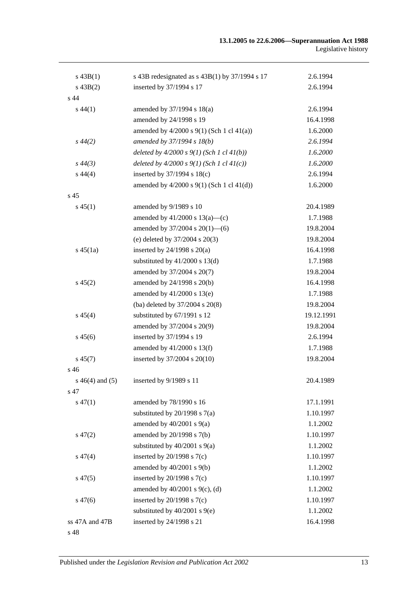| $s\,43B(1)$        | s 43B redesignated as $s$ 43B(1) by 37/1994 s 17 | 2.6.1994   |
|--------------------|--------------------------------------------------|------------|
| $s\,43B(2)$        | inserted by 37/1994 s 17                         | 2.6.1994   |
| s 44               |                                                  |            |
| $s\,44(1)$         | amended by 37/1994 s 18(a)                       | 2.6.1994   |
|                    | amended by 24/1998 s 19                          | 16.4.1998  |
|                    | amended by $4/2000$ s $9(1)$ (Sch 1 cl $41(a)$ ) | 1.6.2000   |
| $s\,44(2)$         | amended by 37/1994 s 18(b)                       | 2.6.1994   |
|                    | deleted by $4/2000 s 9(1)$ (Sch 1 cl $41(b)$ )   | 1.6.2000   |
| $s\,44(3)$         | deleted by $4/2000 s 9(1)$ (Sch 1 cl $41(c)$ )   | 1.6.2000   |
| $s\,44(4)$         | inserted by $37/1994$ s $18(c)$                  | 2.6.1994   |
|                    | amended by $4/2000$ s $9(1)$ (Sch 1 cl $41(d)$ ) | 1.6.2000   |
| s 45               |                                                  |            |
| $s\,45(1)$         | amended by 9/1989 s 10                           | 20.4.1989  |
|                    | amended by $41/2000$ s $13(a)$ —(c)              | 1.7.1988   |
|                    | amended by $37/2004$ s $20(1)$ —(6)              | 19.8.2004  |
|                    | (e) deleted by $37/2004$ s $20(3)$               | 19.8.2004  |
| $s\,45(1a)$        | inserted by $24/1998$ s $20(a)$                  | 16.4.1998  |
|                    | substituted by $41/2000$ s $13(d)$               | 1.7.1988   |
|                    | amended by 37/2004 s 20(7)                       | 19.8.2004  |
| $s\,45(2)$         | amended by 24/1998 s 20(b)                       | 16.4.1998  |
|                    | amended by 41/2000 s 13(e)                       | 1.7.1988   |
|                    | (ba) deleted by 37/2004 s 20(8)                  | 19.8.2004  |
| $s\,45(4)$         | substituted by 67/1991 s 12                      | 19.12.1991 |
|                    | amended by 37/2004 s 20(9)                       | 19.8.2004  |
| $s\,45(6)$         | inserted by 37/1994 s 19                         | 2.6.1994   |
|                    | amended by $41/2000$ s $13(f)$                   | 1.7.1988   |
| $s\,45(7)$         | inserted by 37/2004 s 20(10)                     | 19.8.2004  |
| s 46               |                                                  |            |
| $s\,46(4)$ and (5) | inserted by 9/1989 s 11                          | 20.4.1989  |
| s 47               |                                                  |            |
| $s\,47(1)$         | amended by 78/1990 s 16                          | 17.1.1991  |
|                    | substituted by $20/1998$ s $7(a)$                | 1.10.1997  |
|                    | amended by $40/2001$ s $9(a)$                    | 1.1.2002   |
| $s\,47(2)$         | amended by 20/1998 s 7(b)                        | 1.10.1997  |
|                    | substituted by $40/2001$ s $9(a)$                | 1.1.2002   |
| $s\,47(4)$         | inserted by $20/1998$ s $7(c)$                   | 1.10.1997  |
|                    | amended by $40/2001$ s $9(b)$                    | 1.1.2002   |
| $s\,47(5)$         | inserted by $20/1998$ s $7(c)$                   | 1.10.1997  |
|                    | amended by $40/2001$ s $9(c)$ , (d)              | 1.1.2002   |
| $s\,47(6)$         | inserted by $20/1998$ s $7(c)$                   | 1.10.1997  |
|                    | substituted by $40/2001$ s $9(e)$                | 1.1.2002   |
| ss 47A and 47B     | inserted by 24/1998 s 21                         | 16.4.1998  |
| s 48               |                                                  |            |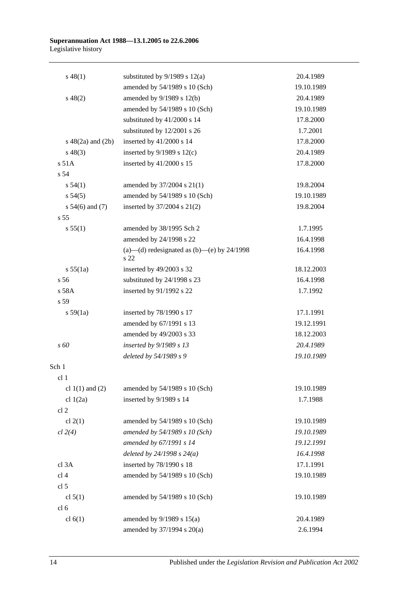#### **Superannuation Act 1988—13.1.2005 to 22.6.2006** Legislative history

| $s\,48(1)$             | substituted by $9/1989$ s $12(a)$                    | 20.4.1989  |
|------------------------|------------------------------------------------------|------------|
|                        | amended by 54/1989 s 10 (Sch)                        | 19.10.1989 |
| $s\ 48(2)$             | amended by 9/1989 s 12(b)                            | 20.4.1989  |
|                        | amended by 54/1989 s 10 (Sch)                        | 19.10.1989 |
|                        | substituted by 41/2000 s 14                          | 17.8.2000  |
|                        | substituted by 12/2001 s 26                          | 1.7.2001   |
| $s\ 48(2a)$ and $(2b)$ | inserted by 41/2000 s 14                             | 17.8.2000  |
| $s\,48(3)$             | inserted by $9/1989$ s $12(c)$                       | 20.4.1989  |
| $s$ 51 $A$             | inserted by 41/2000 s 15                             | 17.8.2000  |
| s 54                   |                                                      |            |
| s 54(1)                | amended by 37/2004 s 21(1)                           | 19.8.2004  |
| $s\,54(5)$             | amended by 54/1989 s 10 (Sch)                        | 19.10.1989 |
| s $54(6)$ and $(7)$    | inserted by 37/2004 s 21(2)                          | 19.8.2004  |
| s <sub>55</sub>        |                                                      |            |
| s 55(1)                | amended by 38/1995 Sch 2                             | 1.7.1995   |
|                        | amended by 24/1998 s 22                              | 16.4.1998  |
|                        | (a)—(d) redesignated as (b)—(e) by $24/1998$<br>s 22 | 16.4.1998  |
| s 55(1a)               | inserted by 49/2003 s 32                             | 18.12.2003 |
| s <sub>56</sub>        | substituted by 24/1998 s 23                          | 16.4.1998  |
| s 58A                  | inserted by 91/1992 s 22                             | 1.7.1992   |
| s 59                   |                                                      |            |
| s 59(1a)               | inserted by 78/1990 s 17                             | 17.1.1991  |
|                        | amended by 67/1991 s 13                              | 19.12.1991 |
|                        | amended by 49/2003 s 33                              | 18.12.2003 |
| s 60                   | inserted by 9/1989 s 13                              | 20.4.1989  |
|                        | deleted by 54/1989 s 9                               | 19.10.1989 |
| Sch 1                  |                                                      |            |
| cl <sub>1</sub>        |                                                      |            |
| cl $1(1)$ and $(2)$    | amended by 54/1989 s 10 (Sch)                        | 19.10.1989 |
| cl $1(2a)$             | inserted by 9/1989 s 14                              | 1.7.1988   |
| cl <sub>2</sub>        |                                                      |            |
| cl $2(1)$              | amended by 54/1989 s 10 (Sch)                        | 19.10.1989 |
| cl 2(4)                | amended by 54/1989 s 10 (Sch)                        | 19.10.1989 |
|                        | amended by 67/1991 s 14                              | 19.12.1991 |
|                        | deleted by $24/1998 s 24(a)$                         | 16.4.1998  |
| cl 3A                  | inserted by 78/1990 s 18                             | 17.1.1991  |
| cl <sub>4</sub>        | amended by 54/1989 s 10 (Sch)                        | 19.10.1989 |
| cl <sub>5</sub>        |                                                      |            |
| cl $5(1)$              | amended by 54/1989 s 10 (Sch)                        | 19.10.1989 |
| cl <sub>6</sub>        |                                                      |            |
| cl $6(1)$              | amended by $9/1989$ s $15(a)$                        | 20.4.1989  |
|                        | amended by 37/1994 s 20(a)                           | 2.6.1994   |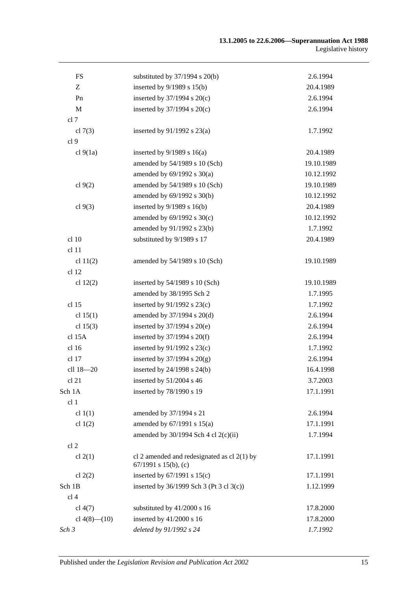| ${\rm FS}$         | substituted by $37/1994$ s $20(b)$                                         | 2.6.1994   |
|--------------------|----------------------------------------------------------------------------|------------|
| Z                  | inserted by 9/1989 s 15(b)                                                 | 20.4.1989  |
| Pn                 | inserted by $37/1994$ s $20(c)$                                            | 2.6.1994   |
| $\mathbf M$        | inserted by $37/1994$ s $20(c)$                                            | 2.6.1994   |
| cl 7               |                                                                            |            |
| cl $7(3)$          | inserted by $91/1992$ s $23(a)$                                            | 1.7.1992   |
| cl <sub>9</sub>    |                                                                            |            |
| cl $9(1a)$         | inserted by $9/1989$ s $16(a)$                                             | 20.4.1989  |
|                    | amended by 54/1989 s 10 (Sch)                                              | 19.10.1989 |
|                    | amended by $69/1992$ s $30(a)$                                             | 10.12.1992 |
| cl $9(2)$          | amended by 54/1989 s 10 (Sch)                                              | 19.10.1989 |
|                    | amended by 69/1992 s 30(b)                                                 | 10.12.1992 |
| cl $9(3)$          | inserted by $9/1989$ s $16(b)$                                             | 20.4.1989  |
|                    | amended by 69/1992 s 30(c)                                                 | 10.12.1992 |
|                    | amended by 91/1992 s 23(b)                                                 | 1.7.1992   |
| cl 10              | substituted by 9/1989 s 17                                                 | 20.4.1989  |
| cl 11              |                                                                            |            |
| cl $11(2)$         | amended by 54/1989 s 10 (Sch)                                              | 19.10.1989 |
| cl 12              |                                                                            |            |
| cl $12(2)$         | inserted by $54/1989$ s 10 (Sch)                                           | 19.10.1989 |
|                    | amended by 38/1995 Sch 2                                                   | 1.7.1995   |
| cl 15              | inserted by $91/1992$ s $23(c)$                                            | 1.7.1992   |
| cl $15(1)$         | amended by $37/1994$ s $20(d)$                                             | 2.6.1994   |
| cl $15(3)$         | inserted by $37/1994$ s $20(e)$                                            | 2.6.1994   |
| cl 15A             | inserted by $37/1994$ s $20(f)$                                            | 2.6.1994   |
| cl 16              | inserted by $91/1992$ s $23(c)$                                            | 1.7.1992   |
| cl 17              | inserted by $37/1994$ s $20(g)$                                            | 2.6.1994   |
| cll 18-20          | inserted by $24/1998$ s $24(b)$                                            | 16.4.1998  |
| cl 21              | inserted by $51/2004$ s 46                                                 | 3.7.2003   |
| Sch 1A             | inserted by 78/1990 s 19                                                   | 17.1.1991  |
| cl 1               |                                                                            |            |
| cl $1(1)$          | amended by 37/1994 s 21                                                    | 2.6.1994   |
| cl $1(2)$          | amended by $67/1991$ s $15(a)$                                             | 17.1.1991  |
|                    | amended by $30/1994$ Sch 4 cl $2(c)(ii)$                                   | 1.7.1994   |
| cl <sub>2</sub>    |                                                                            |            |
| cl $2(1)$          | cl 2 amended and redesignated as cl $2(1)$ by<br>$67/1991$ s $15(b)$ , (c) | 17.1.1991  |
| cl $2(2)$          | inserted by $67/1991$ s $15(c)$                                            | 17.1.1991  |
| Sch 1B             | inserted by 36/1999 Sch 3 (Pt 3 cl 3(c))                                   | 1.12.1999  |
| cl <sub>4</sub>    |                                                                            |            |
| cl $4(7)$          | substituted by 41/2000 s 16                                                | 17.8.2000  |
| cl $4(8)$ — $(10)$ | inserted by 41/2000 s 16                                                   | 17.8.2000  |
| Sch 3              | deleted by 91/1992 s 24                                                    | 1.7.1992   |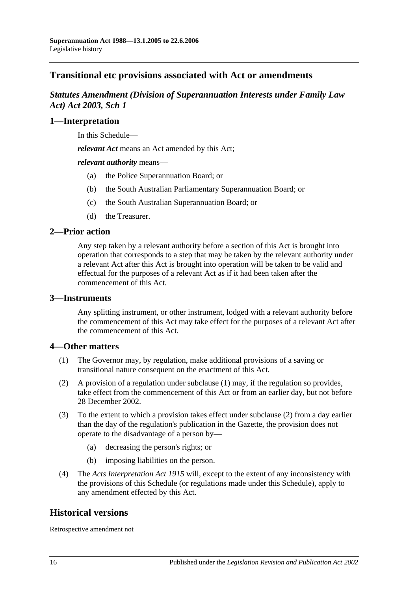# **Transitional etc provisions associated with Act or amendments**

## *Statutes Amendment (Division of Superannuation Interests under Family Law Act) Act 2003, Sch 1*

## **1—Interpretation**

In this Schedule—

*relevant Act* means an Act amended by this Act;

*relevant authority* means—

- (a) the Police Superannuation Board; or
- (b) the South Australian Parliamentary Superannuation Board; or
- (c) the South Australian Superannuation Board; or
- (d) the Treasurer.

## **2—Prior action**

Any step taken by a relevant authority before a section of this Act is brought into operation that corresponds to a step that may be taken by the relevant authority under a relevant Act after this Act is brought into operation will be taken to be valid and effectual for the purposes of a relevant Act as if it had been taken after the commencement of this Act.

### **3—Instruments**

Any splitting instrument, or other instrument, lodged with a relevant authority before the commencement of this Act may take effect for the purposes of a relevant Act after the commencement of this Act.

### **4—Other matters**

- (1) The Governor may, by regulation, make additional provisions of a saving or transitional nature consequent on the enactment of this Act.
- (2) A provision of a regulation under subclause (1) may, if the regulation so provides, take effect from the commencement of this Act or from an earlier day, but not before 28 December 2002.
- (3) To the extent to which a provision takes effect under subclause (2) from a day earlier than the day of the regulation's publication in the Gazette, the provision does not operate to the disadvantage of a person by—
	- (a) decreasing the person's rights; or
	- (b) imposing liabilities on the person.
- (4) The *[Acts Interpretation Act](http://www.legislation.sa.gov.au/index.aspx?action=legref&type=act&legtitle=Acts%20Interpretation%20Act%201915) 1915* will, except to the extent of any inconsistency with the provisions of this Schedule (or regulations made under this Schedule), apply to any amendment effected by this Act.

## **Historical versions**

Retrospective amendment not